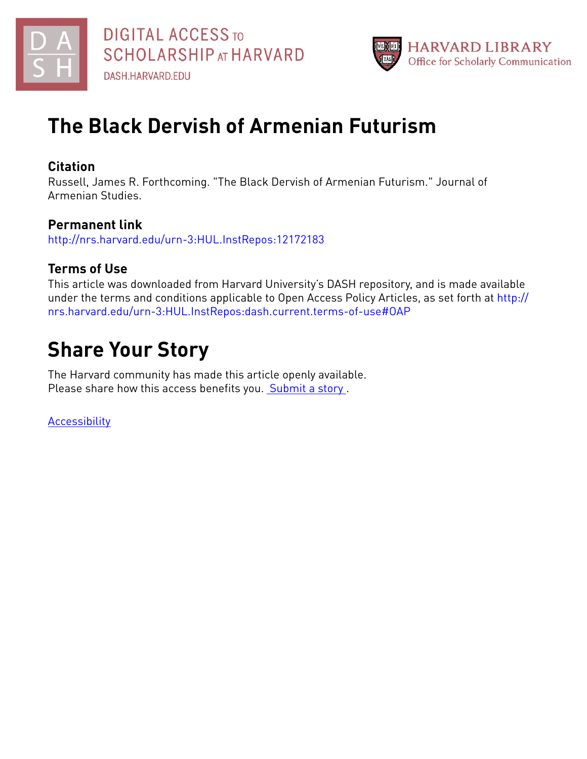



# **The Black Dervish of Armenian Futurism**

## **Citation**

Russell, James R. Forthcoming. "The Black Dervish of Armenian Futurism." Journal of Armenian Studies.

## **Permanent link**

<http://nrs.harvard.edu/urn-3:HUL.InstRepos:12172183>

## **Terms of Use**

This article was downloaded from Harvard University's DASH repository, and is made available under the terms and conditions applicable to Open Access Policy Articles, as set forth at [http://](http://nrs.harvard.edu/urn-3:HUL.InstRepos:dash.current.terms-of-use#OAP) [nrs.harvard.edu/urn-3:HUL.InstRepos:dash.current.terms-of-use#OAP](http://nrs.harvard.edu/urn-3:HUL.InstRepos:dash.current.terms-of-use#OAP)

# **Share Your Story**

The Harvard community has made this article openly available. Please share how this access benefits you. [Submit](http://osc.hul.harvard.edu/dash/open-access-feedback?handle=&title=The%20Black%20Dervish%20of%20Armenian%20Futurism&community=1/1&collection=1/2&owningCollection1/2&harvardAuthors=e52dbe48d0922932f9aca2dde1aa5d5d&departmentNear%20Eastern%20Languages%20and%20Civilizations) a story.

**[Accessibility](https://dash.harvard.edu/pages/accessibility)**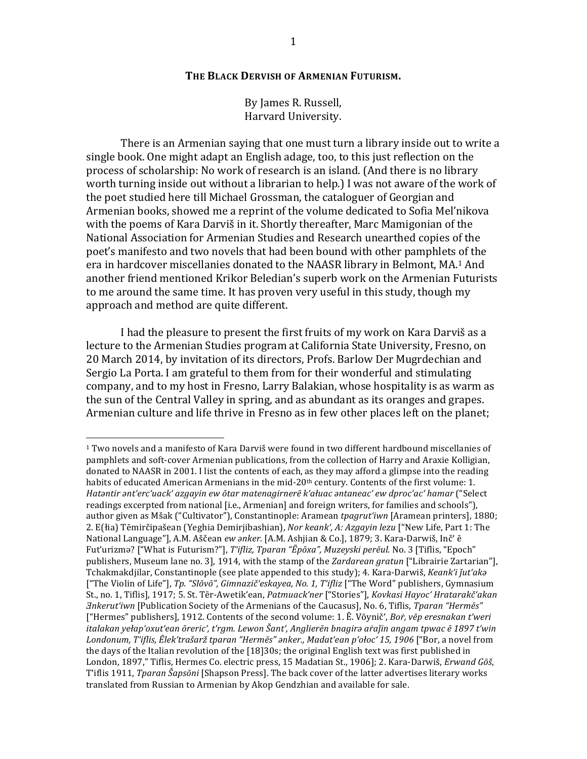#### **THE BLACK DERVISH OF ARMENIAN FUTURISM.**

By James R. Russell, Harvard University.

There is an Armenian saying that one must turn a library inside out to write a single book. One might adapt an English adage, too, to this just reflection on the process of scholarship: No work of research is an island. (And there is no library worth turning inside out without a librarian to help.) I was not aware of the work of the poet studied here till Michael Grossman, the cataloguer of Georgian and Armenian books, showed me a reprint of the volume dedicated to Sofia Mel'nikova with the poems of Kara Darviš in it. Shortly thereafter, Marc Mamigonian of the National Association for Armenian Studies and Research unearthed copies of the poet's manifesto and two novels that had been bound with other pamphlets of the era in hardcover miscellanies donated to the NAASR library in Belmont, MA.<sup>1</sup> And another friend mentioned Krikor Beledian's superb work on the Armenian Futurists to me around the same time. It has proven very useful in this study, though my approach and method are quite different.

I had the pleasure to present the first fruits of my work on Kara Darviš as a lecture to the Armenian Studies program at California State University, Fresno, on 20 March 2014, by invitation of its directors, Profs. Barlow Der Mugrdechian and Sergio La Porta. I am grateful to them from for their wonderful and stimulating company, and to my host in Fresno, Larry Balakian, whose hospitality is as warm as the sun of the Central Valley in spring, and as abundant as its oranges and grapes. Armenian culture and life thrive in Fresno as in few other places left on the planet;

 $1$  Two novels and a manifesto of Kara Darviš were found in two different hardbound miscellanies of pamphlets and soft-cover Armenian publications, from the collection of Harry and Araxie Kolligian, donated to NAASR in 2001. I list the contents of each, as they may afford a glimpse into the reading habits of educated American Armenians in the mid-20<sup>th</sup> century. Contents of the first volume: 1. *Hatǝntir ant'erc'uack'* azgayin ew ōtar matenagirnerē k'ałuac antaneac' ew dproc'ac' hamar ("Select readings excerpted from national [i.e., Armenian] and foreign writers, for families and schools"), author given as Mšak ("Cultivator"), Constantinople: Aramean tpagrut'iwn [Aramean printers], 1880; 2. E(łia) Tēmirčipašean (Yeghia Demirjibashian), *Nor keank', A: Azgayin lezu* ["New Life, Part 1: The National Language"], A.M. Aščean ew anker. [A.M. Ashjian & Co.], 1879; 3. Kara-Darwiš, Inč' ē Fut'urizmǝ? ["What is Futurism?"], *T'ifliz, Tparan "Ēpōxa", Muzeyski perēul.* No. 3 [Tiflis, "Epoch" publishers, Museum lane no. 3], 1914, with the stamp of the *Zardarean gratun* ["Librairie Zartarian"], Tchakmakdjilar, Constantinople (see plate appended to this study); 4. Kara-Darwiš, *Keank'i jut'aka* ["The Violin of Life"], Tp. "Slōvō", Gimnazič'eskayea, No. 1, T'ifliz ["The Word" publishers, Gymnasium St., no. 1, Tiflis], 1917; 5. St. Tēr-Awetik'ean, *Patmuack'ner* ["Stories"], *Kovkasi Hayoc' Hratarakč'akan <i>∃nkerut'iwn* [Publication Society of the Armenians of the Caucasus], No. 6, Tiflis, *Tparan "Hermēs"* ["Hermes" publishers], 1912. Contents of the second volume: 1. E. Vōynič', *Bor*, vēp eresnakan t'weri *italakan yełap'oxut'ean ōreric', t'rgm. Lewon Šant', Anglierēn bnagirǝ aṙaǰin angam tpwac ē 1897 t'win*  Londonum, T'iflis, Ēlek'trašarž tparan "Hermēs" anker., Madat'ean p'ołoc' 15, 1906 ["Bor, a novel from the days of the Italian revolution of the  $[18]30s$ ; the original English text was first published in London, 1897," Tiflis, Hermes Co. electric press, 15 Madatian St., 1906]; 2. Kara-Darwiš, *Erwand Gōš*, T'iflis 1911, *Tparan Šapsōni* [Shapson Press]. The back cover of the latter advertises literary works translated from Russian to Armenian by Akop Gendzhian and available for sale.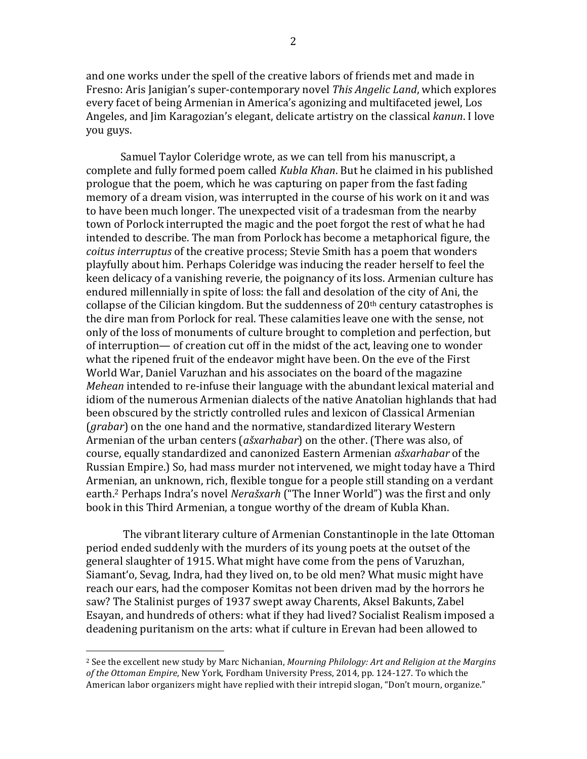and one works under the spell of the creative labors of friends met and made in Fresno: Aris Janigian's super-contemporary novel *This Angelic Land*, which explores every facet of being Armenian in America's agonizing and multifaceted jewel, Los Angeles, and Jim Karagozian's elegant, delicate artistry on the classical *kanun*. I love you guys.

Samuel Taylor Coleridge wrote, as we can tell from his manuscript, a complete and fully formed poem called *Kubla Khan*. But he claimed in his published prologue that the poem, which he was capturing on paper from the fast fading memory of a dream vision, was interrupted in the course of his work on it and was to have been much longer. The unexpected visit of a tradesman from the nearby town of Porlock interrupted the magic and the poet forgot the rest of what he had intended to describe. The man from Porlock has become a metaphorical figure, the *coitus interruptus* of the creative process; Stevie Smith has a poem that wonders playfully about him. Perhaps Coleridge was inducing the reader herself to feel the keen delicacy of a vanishing reverie, the poignancy of its loss. Armenian culture has endured millennially in spite of loss: the fall and desolation of the city of Ani, the collapse of the Cilician kingdom. But the suddenness of  $20<sup>th</sup>$  century catastrophes is the dire man from Porlock for real. These calamities leave one with the sense, not only of the loss of monuments of culture brought to completion and perfection, but of interruption— of creation cut off in the midst of the act, leaving one to wonder what the ripened fruit of the endeavor might have been. On the eve of the First World War, Daniel Varuzhan and his associates on the board of the magazine *Mehean* intended to re-infuse their language with the abundant lexical material and idiom of the numerous Armenian dialects of the native Anatolian highlands that had been obscured by the strictly controlled rules and lexicon of Classical Armenian (*grabar*) on the one hand and the normative, standardized literary Western Armenian of the urban centers (*ašxarhabar*) on the other. (There was also, of course, equally standardized and canonized Eastern Armenian *ašxarhabar* of the Russian Empire.) So, had mass murder not intervened, we might today have a Third Armenian, an unknown, rich, flexible tongue for a people still standing on a verdant earth.<sup>2</sup> Perhaps Indra's novel *Nerašxarh* ("The Inner World") was the first and only book in this Third Armenian, a tongue worthy of the dream of Kubla Khan.

The vibrant literary culture of Armenian Constantinople in the late Ottoman period ended suddenly with the murders of its young poets at the outset of the general slaughter of 1915. What might have come from the pens of Varuzhan, Siamant'o, Sevag, Indra, had they lived on, to be old men? What music might have reach our ears, had the composer Komitas not been driven mad by the horrors he saw? The Stalinist purges of 1937 swept away Charents, Aksel Bakunts, Zabel Esayan, and hundreds of others: what if they had lived? Socialist Realism imposed a deadening puritanism on the arts: what if culture in Erevan had been allowed to

<sup>&</sup>lt;sup>2</sup> See the excellent new study by Marc Nichanian, *Mourning Philology: Art and Religion at the Margins* of the Ottoman Empire, New York, Fordham University Press, 2014, pp. 124-127. To which the American labor organizers might have replied with their intrepid slogan, "Don't mourn, organize."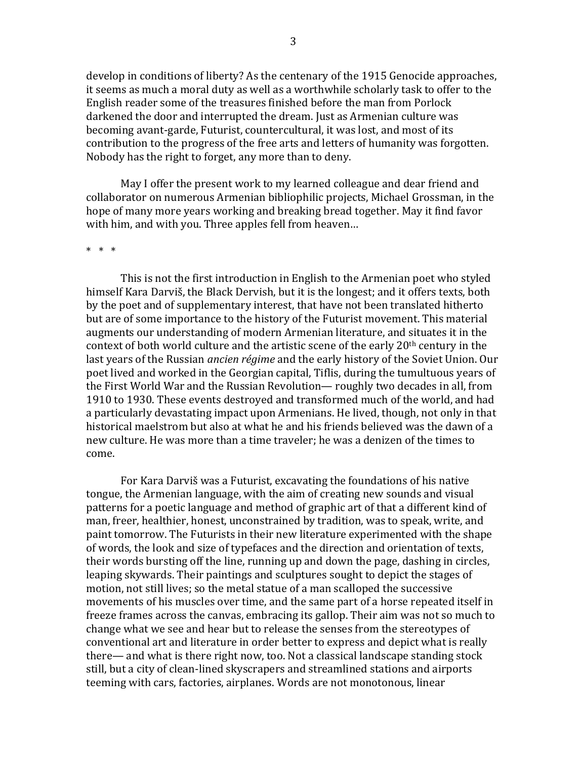develop in conditions of liberty? As the centenary of the 1915 Genocide approaches, it seems as much a moral duty as well as a worthwhile scholarly task to offer to the English reader some of the treasures finished before the man from Porlock darkened the door and interrupted the dream. Just as Armenian culture was becoming avant-garde, Futurist, countercultural, it was lost, and most of its contribution to the progress of the free arts and letters of humanity was forgotten. Nobody has the right to forget, any more than to deny.

May I offer the present work to my learned colleague and dear friend and collaborator on numerous Armenian bibliophilic projects, Michael Grossman, in the hope of many more years working and breaking bread together. May it find favor with him, and with you. Three apples fell from heaven...

#### $* * * *$

This is not the first introduction in English to the Armenian poet who styled himself Kara Darviš, the Black Dervish, but it is the longest; and it offers texts, both by the poet and of supplementary interest, that have not been translated hitherto but are of some importance to the history of the Futurist movement. This material augments our understanding of modern Armenian literature, and situates it in the context of both world culture and the artistic scene of the early  $20<sup>th</sup>$  century in the last years of the Russian *ancien régime* and the early history of the Soviet Union. Our poet lived and worked in the Georgian capital, Tiflis, during the tumultuous years of the First World War and the Russian Revolution— roughly two decades in all, from 1910 to 1930. These events destroyed and transformed much of the world, and had a particularly devastating impact upon Armenians. He lived, though, not only in that historical maelstrom but also at what he and his friends believed was the dawn of a new culture. He was more than a time traveler; he was a denizen of the times to come. 

For Kara Darviš was a Futurist, excavating the foundations of his native tongue, the Armenian language, with the aim of creating new sounds and visual patterns for a poetic language and method of graphic art of that a different kind of man, freer, healthier, honest, unconstrained by tradition, was to speak, write, and paint tomorrow. The Futurists in their new literature experimented with the shape of words, the look and size of typefaces and the direction and orientation of texts, their words bursting off the line, running up and down the page, dashing in circles, leaping skywards. Their paintings and sculptures sought to depict the stages of motion, not still lives; so the metal statue of a man scalloped the successive movements of his muscles over time, and the same part of a horse repeated itself in freeze frames across the canvas, embracing its gallop. Their aim was not so much to change what we see and hear but to release the senses from the stereotypes of conventional art and literature in order better to express and depict what is really  $there$  and what is there right now, too. Not a classical landscape standing stock still, but a city of clean-lined skyscrapers and streamlined stations and airports teeming with cars, factories, airplanes. Words are not monotonous, linear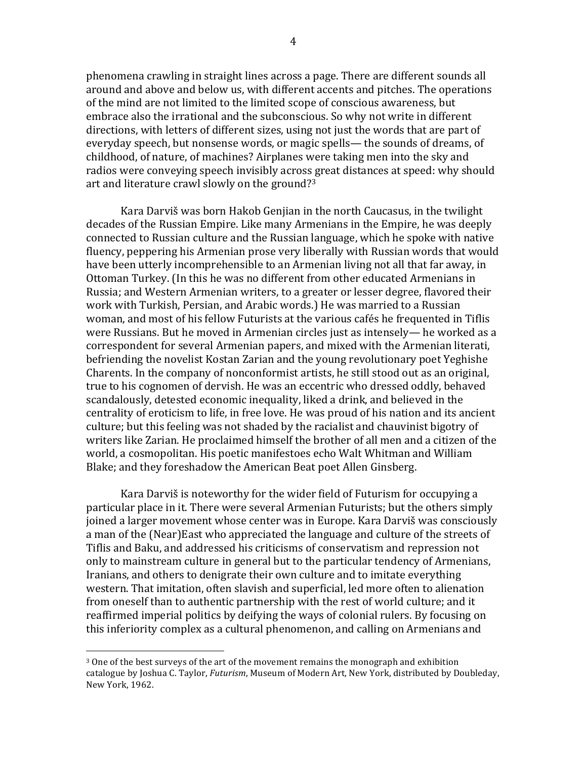phenomena crawling in straight lines across a page. There are different sounds all around and above and below us, with different accents and pitches. The operations of the mind are not limited to the limited scope of conscious awareness, but embrace also the irrational and the subconscious. So why not write in different directions, with letters of different sizes, using not just the words that are part of everyday speech, but nonsense words, or magic spells— the sounds of dreams, of childhood, of nature, of machines? Airplanes were taking men into the sky and radios were conveying speech invisibly across great distances at speed: why should art and literature crawl slowly on the ground?<sup>3</sup>

Kara Darviš was born Hakob Genjian in the north Caucasus, in the twilight decades of the Russian Empire. Like many Armenians in the Empire, he was deeply connected to Russian culture and the Russian language, which he spoke with native fluency, peppering his Armenian prose very liberally with Russian words that would have been utterly incomprehensible to an Armenian living not all that far away, in Ottoman Turkey. (In this he was no different from other educated Armenians in Russia; and Western Armenian writers, to a greater or lesser degree, flavored their work with Turkish, Persian, and Arabic words.) He was married to a Russian woman, and most of his fellow Futurists at the various cafés he frequented in Tiflis were Russians. But he moved in Armenian circles just as intensely— he worked as a correspondent for several Armenian papers, and mixed with the Armenian literati, befriending the novelist Kostan Zarian and the young revolutionary poet Yeghishe Charents. In the company of nonconformist artists, he still stood out as an original, true to his cognomen of dervish. He was an eccentric who dressed oddly, behaved scandalously, detested economic inequality, liked a drink, and believed in the centrality of eroticism to life, in free love. He was proud of his nation and its ancient culture; but this feeling was not shaded by the racialist and chauvinist bigotry of writers like Zarian. He proclaimed himself the brother of all men and a citizen of the world, a cosmopolitan. His poetic manifestoes echo Walt Whitman and William Blake; and they foreshadow the American Beat poet Allen Ginsberg.

Kara Darviš is noteworthy for the wider field of Futurism for occupying a particular place in it. There were several Armenian Futurists; but the others simply joined a larger movement whose center was in Europe. Kara Darviš was consciously a man of the (Near)East who appreciated the language and culture of the streets of Tiflis and Baku, and addressed his criticisms of conservatism and repression not only to mainstream culture in general but to the particular tendency of Armenians, Iranians, and others to denigrate their own culture and to imitate everything western. That imitation, often slavish and superficial, led more often to alienation from oneself than to authentic partnership with the rest of world culture; and it reaffirmed imperial politics by deifying the ways of colonial rulers. By focusing on this inferiority complex as a cultural phenomenon, and calling on Armenians and

 $3$  One of the best surveys of the art of the movement remains the monograph and exhibition catalogue by Joshua C. Taylor, *Futurism*, Museum of Modern Art, New York, distributed by Doubleday, New York, 1962.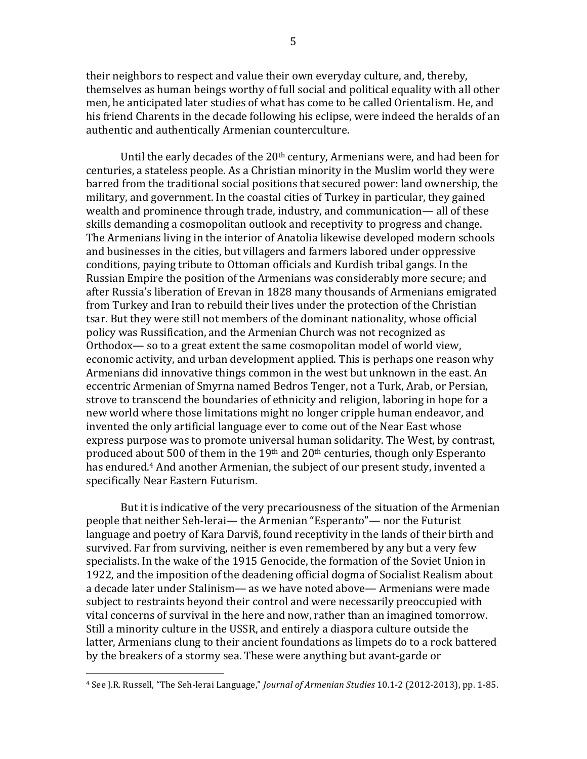their neighbors to respect and value their own everyday culture, and, thereby, themselves as human beings worthy of full social and political equality with all other men, he anticipated later studies of what has come to be called Orientalism. He, and his friend Charents in the decade following his eclipse, were indeed the heralds of an authentic and authentically Armenian counterculture.

Until the early decades of the  $20<sup>th</sup>$  century, Armenians were, and had been for centuries, a stateless people. As a Christian minority in the Muslim world they were barred from the traditional social positions that secured power: land ownership, the military, and government. In the coastal cities of Turkey in particular, they gained wealth and prominence through trade, industry, and communication— all of these skills demanding a cosmopolitan outlook and receptivity to progress and change. The Armenians living in the interior of Anatolia likewise developed modern schools and businesses in the cities, but villagers and farmers labored under oppressive conditions, paying tribute to Ottoman officials and Kurdish tribal gangs. In the Russian Empire the position of the Armenians was considerably more secure; and after Russia's liberation of Erevan in 1828 many thousands of Armenians emigrated from Turkey and Iran to rebuild their lives under the protection of the Christian tsar. But they were still not members of the dominant nationality, whose official policy was Russification, and the Armenian Church was not recognized as Orthodox— so to a great extent the same cosmopolitan model of world view, economic activity, and urban development applied. This is perhaps one reason why Armenians did innovative things common in the west but unknown in the east. An eccentric Armenian of Smyrna named Bedros Tenger, not a Turk, Arab, or Persian, strove to transcend the boundaries of ethnicity and religion, laboring in hope for a new world where those limitations might no longer cripple human endeavor, and invented the only artificial language ever to come out of the Near East whose express purpose was to promote universal human solidarity. The West, by contrast, produced about  $500$  of them in the  $19<sup>th</sup>$  and  $20<sup>th</sup>$  centuries, though only Esperanto has endured.<sup>4</sup> And another Armenian, the subject of our present study, invented a specifically Near Eastern Futurism. 

But it is indicative of the very precariousness of the situation of the Armenian people that neither Seh-lerai— the Armenian "Esperanto"— nor the Futurist language and poetry of Kara Darviš, found receptivity in the lands of their birth and survived. Far from surviving, neither is even remembered by any but a very few specialists. In the wake of the 1915 Genocide, the formation of the Soviet Union in 1922, and the imposition of the deadening official dogma of Socialist Realism about a decade later under Stalinism— as we have noted above— Armenians were made subject to restraints beyond their control and were necessarily preoccupied with vital concerns of survival in the here and now, rather than an imagined tomorrow. Still a minority culture in the USSR, and entirely a diaspora culture outside the latter, Armenians clung to their ancient foundations as limpets do to a rock battered by the breakers of a stormy sea. These were anything but avant-garde or

<sup>4</sup> See J.R. Russell, "The Seh-lerai Language," *Journal of Armenian Studies* 10.1-2 (2012-2013), pp. 1-85.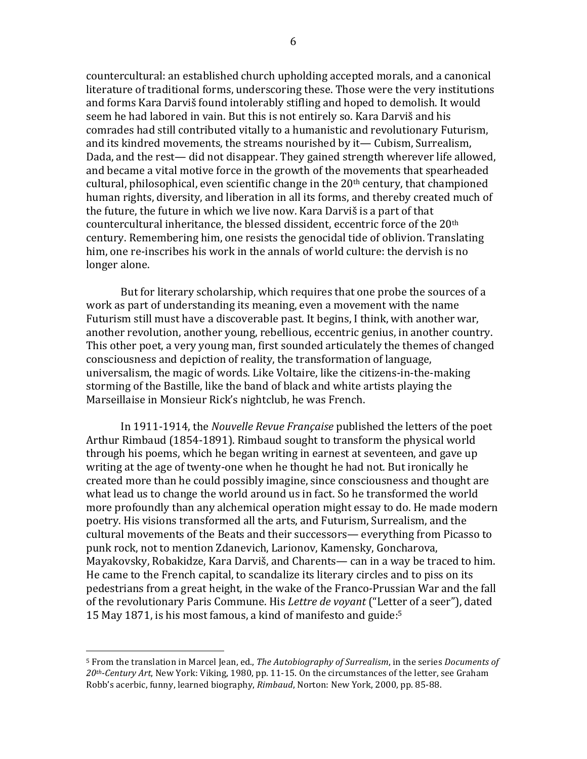countercultural: an established church upholding accepted morals, and a canonical literature of traditional forms, underscoring these. Those were the very institutions and forms Kara Darviš found intolerably stifling and hoped to demolish. It would seem he had labored in vain. But this is not entirely so. Kara Darviš and his comrades had still contributed vitally to a humanistic and revolutionary Futurism, and its kindred movements, the streams nourished by it— Cubism, Surrealism, Dada, and the rest— did not disappear. They gained strength wherever life allowed, and became a vital motive force in the growth of the movements that spearheaded cultural, philosophical, even scientific change in the  $20<sup>th</sup>$  century, that championed human rights, diversity, and liberation in all its forms, and thereby created much of the future, the future in which we live now. Kara Darviš is a part of that countercultural inheritance, the blessed dissident, eccentric force of the  $20<sup>th</sup>$ century. Remembering him, one resists the genocidal tide of oblivion. Translating him, one re-inscribes his work in the annals of world culture: the dervish is no longer alone.

But for literary scholarship, which requires that one probe the sources of a work as part of understanding its meaning, even a movement with the name Futurism still must have a discoverable past. It begins, I think, with another war, another revolution, another young, rebellious, eccentric genius, in another country. This other poet, a very young man, first sounded articulately the themes of changed consciousness and depiction of reality, the transformation of language, universalism, the magic of words. Like Voltaire, like the citizens-in-the-making storming of the Bastille, like the band of black and white artists playing the Marseillaise in Monsieur Rick's nightclub, he was French.

In 1911-1914, the *Nouvelle Revue Française* published the letters of the poet Arthur Rimbaud (1854-1891). Rimbaud sought to transform the physical world through his poems, which he began writing in earnest at seventeen, and gave up writing at the age of twenty-one when he thought he had not. But ironically he created more than he could possibly imagine, since consciousness and thought are what lead us to change the world around us in fact. So he transformed the world more profoundly than any alchemical operation might essay to do. He made modern poetry. His visions transformed all the arts, and Futurism, Surrealism, and the cultural movements of the Beats and their successors— everything from Picasso to punk rock, not to mention Zdanevich, Larionov, Kamensky, Goncharova, Mayakovsky, Robakidze, Kara Darviš, and Charents— can in a way be traced to him. He came to the French capital, to scandalize its literary circles and to piss on its pedestrians from a great height, in the wake of the Franco-Prussian War and the fall of the revolutionary Paris Commune. His *Lettre de voyant* ("Letter of a seer"), dated 15 May 1871, is his most famous, a kind of manifesto and guide:<sup>5</sup>

<sup>&</sup>lt;sup>5</sup> From the translation in Marcel Jean, ed., *The Autobiography of Surrealism*, in the series *Documents of* 20<sup>th</sup>-Century Art, New York: Viking, 1980, pp. 11-15. On the circumstances of the letter, see Graham Robb's acerbic, funny, learned biography, *Rimbaud*, Norton: New York, 2000, pp. 85-88.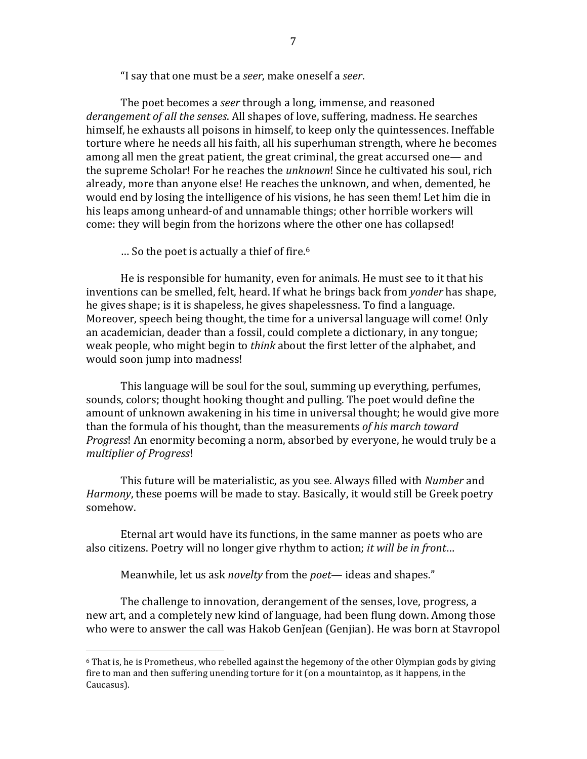"I say that one must be a *seer*, make oneself a *seer*.

The poet becomes a *seer* through a long, immense, and reasoned derangement of all the senses. All shapes of love, suffering, madness. He searches himself, he exhausts all poisons in himself, to keep only the quintessences. Ineffable torture where he needs all his faith, all his superhuman strength, where he becomes among all men the great patient, the great criminal, the great accursed one— and the supreme Scholar! For he reaches the *unknown*! Since he cultivated his soul, rich already, more than anyone else! He reaches the unknown, and when, demented, he would end by losing the intelligence of his visions, he has seen them! Let him die in his leaps among unheard-of and unnamable things; other horrible workers will come: they will begin from the horizons where the other one has collapsed!

 $\ldots$  So the poet is actually a thief of fire.<sup>6</sup>

He is responsible for humanity, even for animals. He must see to it that his inventions can be smelled, felt, heard. If what he brings back from *yonder* has shape, he gives shape; is it is shapeless, he gives shapelessness. To find a language. Moreover, speech being thought, the time for a universal language will come! Only an academician, deader than a fossil, could complete a dictionary, in any tongue; weak people, who might begin to *think* about the first letter of the alphabet, and would soon jump into madness!

This language will be soul for the soul, summing up everything, perfumes, sounds, colors; thought hooking thought and pulling. The poet would define the amount of unknown awakening in his time in universal thought; he would give more than the formula of his thought, than the measurements of his march toward *Progress*! An enormity becoming a norm, absorbed by everyone, he would truly be a *multiplier of Progress*!

This future will be materialistic, as you see. Always filled with *Number* and *Harmony*, these poems will be made to stay. Basically, it would still be Greek poetry somehow. 

Eternal art would have its functions, in the same manner as poets who are also citizens. Poetry will no longer give rhythm to action; *it will be in front...* 

Meanwhile, let us ask *novelty* from the *poet*— ideas and shapes."

 

The challenge to innovation, derangement of the senses, love, progress, a new art, and a completely new kind of language, had been flung down. Among those who were to answer the call was Hakob Genjean (Genjian). He was born at Stavropol

 $6$  That is, he is Prometheus, who rebelled against the hegemony of the other Olympian gods by giving fire to man and then suffering unending torture for it (on a mountaintop, as it happens, in the Caucasus).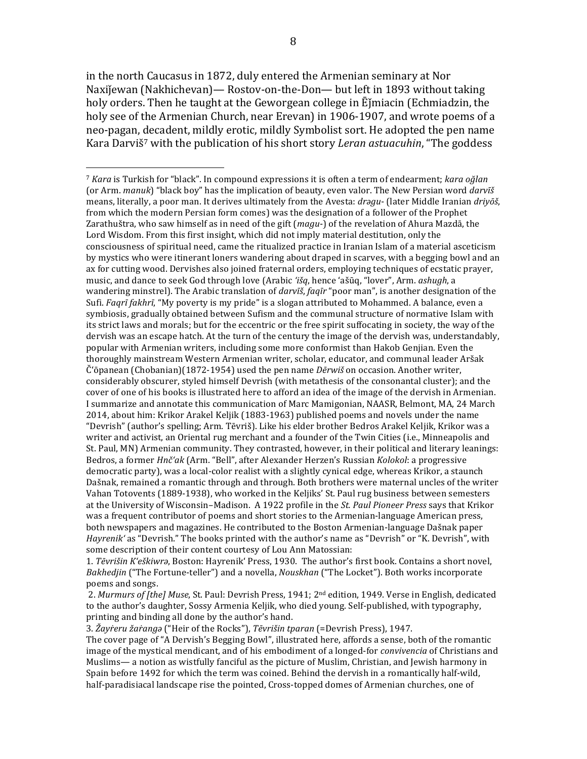in the north Caucasus in 1872, duly entered the Armenian seminary at Nor Naxijewan (Nakhichevan)— Rostov-on-the-Don— but left in 1893 without taking holy orders. Then he taught at the Geworgean college in Ejmiacin (Echmiadzin, the holy see of the Armenian Church, near Erevan) in 1906-1907, and wrote poems of a neo-pagan, decadent, mildly erotic, mildly Symbolist sort. He adopted the pen name Kara Darviš<sup>7</sup> with the publication of his short story *Leran astuacuhin*, "The goddess

 

1. *Tēvrišin K'eškiwra*, Boston: Hayrenik' Press, 1930. The author's first book. Contains a short novel, *Bakhedjin* ("The Fortune-teller") and a novella, *Nouskhan* ("The Locket"). Both works incorporate poems and songs.

2. *Murmurs of [the] Muse*, St. Paul: Devrish Press, 1941; 2<sup>nd</sup> edition, 1949. Verse in English, dedicated to the author's daughter, Sossy Armenia Keljik, who died young. Self-published, with typography, printing and binding all done by the author's hand.

3. *Žayŕeru žaŕangǝ* ("Heir of the Rocks"), *Tēvrišin tparan* (=Devrish Press), 1947.

The cover page of "A Dervish's Begging Bowl", illustrated here, affords a sense, both of the romantic image of the mystical mendicant, and of his embodiment of a longed-for *convivencia* of Christians and Muslims— a notion as wistfully fanciful as the picture of Muslim, Christian, and Jewish harmony in Spain before 1492 for which the term was coined. Behind the dervish in a romantically half-wild, half-paradisiacal landscape rise the pointed, Cross-topped domes of Armenian churches, one of

<sup>&</sup>lt;sup>7</sup> *Kara* is Turkish for "black". In compound expressions it is often a term of endearment; *kara oğlan* (or Arm. *manuk*) "black boy" has the implication of beauty, even valor. The New Persian word *darvīš* means, literally, a poor man. It derives ultimately from the Avesta: *dragu*- (later Middle Iranian *driyōš*, from which the modern Persian form comes) was the designation of a follower of the Prophet Zarathuštra, who saw himself as in need of the gift (*magu*-) of the revelation of Ahura Mazdā, the Lord Wisdom. From this first insight, which did not imply material destitution, only the consciousness of spiritual need, came the ritualized practice in Iranian Islam of a material asceticism by mystics who were itinerant loners wandering about draped in scarves, with a begging bowl and an ax for cutting wood. Dervishes also joined fraternal orders, employing techniques of ecstatic prayer, music, and dance to seek God through love (Arabic 'išq, hence 'ašūq, "lover", Arm. *ashugh*, a wandering minstrel). The Arabic translation of *darvīš*, *faqīr* "poor man", is another designation of the Sufi. *Fagrī fakhrī*, "My poverty is my pride" is a slogan attributed to Mohammed. A balance, even a symbiosis, gradually obtained between Sufism and the communal structure of normative Islam with its strict laws and morals; but for the eccentric or the free spirit suffocating in society, the way of the dervish was an escape hatch. At the turn of the century the image of the dervish was, understandably, popular with Armenian writers, including some more conformist than Hakob Genjian. Even the thoroughly mainstream Western Armenian writer, scholar, educator, and communal leader Aršak Č'ōpanean (Chobanian)(1872-1954) used the pen name *Dērwiš* on occasion. Another writer, considerably obscurer, styled himself Devrish (with metathesis of the consonantal cluster); and the cover of one of his books is illustrated here to afford an idea of the image of the dervish in Armenian. I summarize and annotate this communication of Marc Mamigonian, NAASR, Belmont, MA, 24 March 2014, about him: Krikor Arakel Keljik (1883-1963) published poems and novels under the name "Devrish" (author's spelling; Arm. Tēvriš). Like his elder brother Bedros Arakel Keljik, Krikor was a writer and activist, an Oriental rug merchant and a founder of the Twin Cities (i.e., Minneapolis and St. Paul, MN) Armenian community. They contrasted, however, in their political and literary leanings: Bedros, a former *Hnč'ak* (Arm. "Bell", after Alexander Herzen's Russian *Kolokol*: a progressive democratic party), was a local-color realist with a slightly cynical edge, whereas Krikor, a staunch Dašnak, remained a romantic through and through. Both brothers were maternal uncles of the writer Vahan Totovents (1889-1938), who worked in the Keljiks' St. Paul rug business between semesters at the University of Wisconsin-Madison. A 1922 profile in the *St. Paul Pioneer Press* says that Krikor was a frequent contributor of poems and short stories to the Armenian-language American press, both newspapers and magazines. He contributed to the Boston Armenian-language Dašnak paper *Hayrenik'* as "Devrish." The books printed with the author's name as "Devrish" or "K. Devrish", with some description of their content courtesy of Lou Ann Matossian: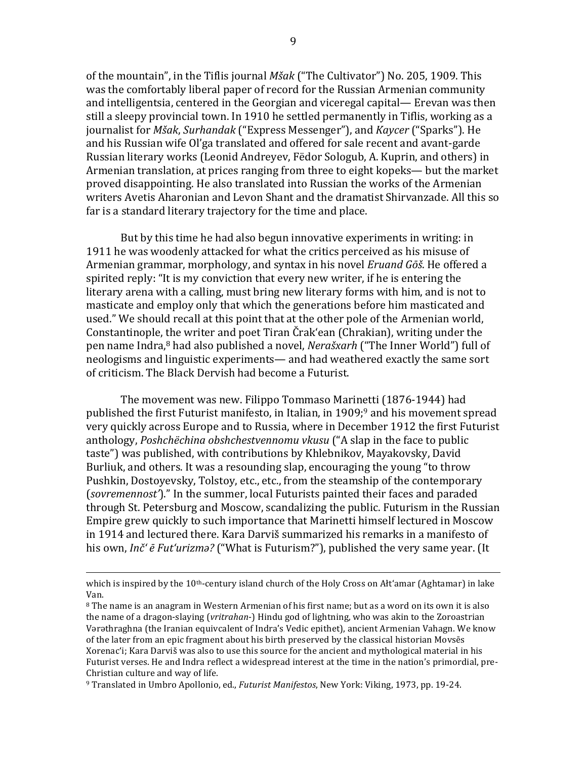of the mountain", in the Tiflis journal *Mšak* ("The Cultivator") No. 205, 1909. This was the comfortably liberal paper of record for the Russian Armenian community and intelligentsia, centered in the Georgian and viceregal capital— Erevan was then still a sleepy provincial town. In 1910 he settled permanently in Tiflis, working as a journalist for *Mšak*, *Surhandak* ("Express Messenger"), and *Kaycer* ("Sparks"). He and his Russian wife Ol'ga translated and offered for sale recent and avant-garde Russian literary works (Leonid Andreyev, Fëdor Sologub, A. Kuprin, and others) in Armenian translation, at prices ranging from three to eight kopeks— but the market proved disappointing. He also translated into Russian the works of the Armenian writers Avetis Aharonian and Levon Shant and the dramatist Shirvanzade. All this so far is a standard literary trajectory for the time and place.

But by this time he had also begun innovative experiments in writing: in 1911 he was woodenly attacked for what the critics perceived as his misuse of Armenian grammar, morphology, and syntax in his novel *Eruand Gōš*. He offered a spirited reply: "It is my conviction that every new writer, if he is entering the literary arena with a calling, must bring new literary forms with him, and is not to masticate and employ only that which the generations before him masticated and used." We should recall at this point that at the other pole of the Armenian world, Constantinople, the writer and poet Tiran Črak'ean (Chrakian), writing under the pen name Indra,<sup>8</sup> had also published a novel, *Nerašxarh* ("The Inner World") full of neologisms and linguistic experiments— and had weathered exactly the same sort of criticism. The Black Dervish had become a Futurist.

The movement was new. Filippo Tommaso Marinetti (1876-1944) had published the first Futurist manifesto, in Italian, in  $1909;9$  and his movement spread very quickly across Europe and to Russia, where in December 1912 the first Futurist anthology, *Poshchëchina obshchestvennomu vkusu* ("A slap in the face to public taste") was published, with contributions by Khlebnikov, Mayakovsky, David Burliuk, and others. It was a resounding slap, encouraging the young "to throw Pushkin, Dostovevsky, Tolstoy, etc., etc., from the steamship of the contemporary (sovremennost')." In the summer, local Futurists painted their faces and paraded through St. Petersburg and Moscow, scandalizing the public. Futurism in the Russian Empire grew quickly to such importance that Marinetti himself lectured in Moscow in 1914 and lectured there. Kara Darviš summarized his remarks in a manifesto of his own, *Inč' ē Fut'urizma?* ("What is Futurism?"), published the very same year. (It

<sup>&</sup>lt;u> 1989 - Andrea San Andrew Maria (h. 1989).</u><br>1900 - Andrew Maria (h. 1980). which is inspired by the  $10<sup>th</sup>$ -century island church of the Holy Cross on Alt'amar (Aghtamar) in lake Van.

 $8$  The name is an anagram in Western Armenian of his first name; but as a word on its own it is also the name of a dragon-slaying (*vritrahan*-) Hindu god of lightning, who was akin to the Zoroastrian Vərəthraghna (the Iranian equivcalent of Indra's Vedic epithet), ancient Armenian Vahagn. We know of the later from an epic fragment about his birth preserved by the classical historian Movses Xorenac'i: Kara Darviš was also to use this source for the ancient and mythological material in his Futurist verses. He and Indra reflect a widespread interest at the time in the nation's primordial, pre-Christian culture and way of life.

<sup>&</sup>lt;sup>9</sup> Translated in Umbro Apollonio, ed., *Futurist Manifestos*, New York: Viking, 1973, pp. 19-24.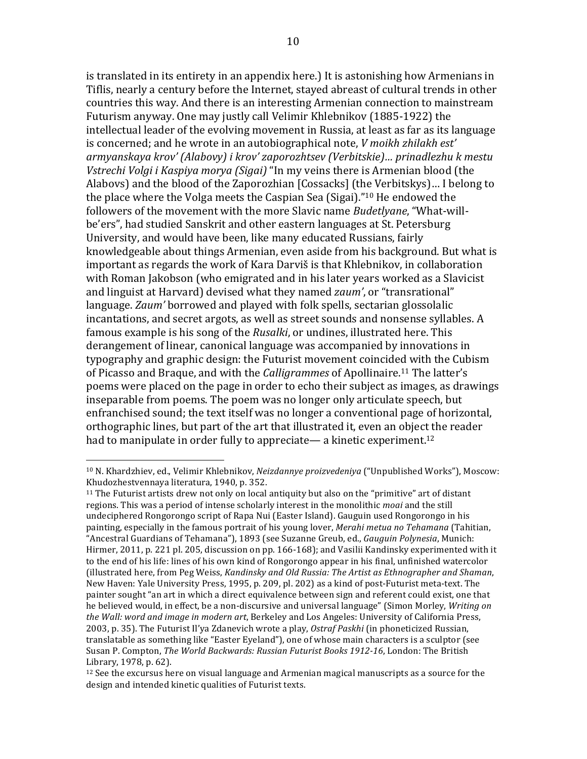is translated in its entirety in an appendix here.) It is astonishing how Armenians in Tiflis, nearly a century before the Internet, stayed abreast of cultural trends in other countries this way. And there is an interesting Armenian connection to mainstream Futurism anyway. One may justly call Velimir Khlebnikov (1885-1922) the intellectual leader of the evolving movement in Russia, at least as far as its language is concerned; and he wrote in an autobiographical note, *V* moikh zhilakh est' armyanskaya krov' (Alabovy) *i* krov' zaporozhtsev (Verbitskie)... prinadlezhu k mestu *Vstrechi Volgi i Kaspiya morya (Sigai)* "In my veins there is Armenian blood (the Alabovs) and the blood of the Zaporozhian [Cossacks] (the Verbitskys)... I belong to the place where the Volga meets the Caspian Sea (Sigai)."<sup>10</sup> He endowed the followers of the movement with the more Slavic name *Budetlyane*, "What-willbe'ers", had studied Sanskrit and other eastern languages at St. Petersburg University, and would have been, like many educated Russians, fairly knowledgeable about things Armenian, even aside from his background. But what is important as regards the work of Kara Darviš is that Khlebnikov, in collaboration with Roman Jakobson (who emigrated and in his later years worked as a Slavicist and linguist at Harvard) devised what they named *zaum'*, or "transrational" language. *Zaum'* borrowed and played with folk spells, sectarian glossolalic incantations, and secret argots, as well as street sounds and nonsense syllables. A famous example is his song of the *Rusalki*, or undines, illustrated here. This derangement of linear, canonical language was accompanied by innovations in typography and graphic design: the Futurist movement coincided with the Cubism of Picasso and Braque, and with the *Calligrammes* of Apollinaire.<sup>11</sup> The latter's poems were placed on the page in order to echo their subject as images, as drawings inseparable from poems. The poem was no longer only articulate speech, but enfranchised sound; the text itself was no longer a conventional page of horizontal, orthographic lines, but part of the art that illustrated it, even an object the reader had to manipulate in order fully to appreciate— a kinetic experiment.<sup>12</sup>

<sup>&</sup>lt;sup>10</sup> N. Khardzhiev, ed., Velimir Khlebnikov, *Neizdannye proizvedeniya* ("Unpublished Works"), Moscow: Khudozhestvennaya literatura, 1940, p. 352.

 $11$  The Futurist artists drew not only on local antiquity but also on the "primitive" art of distant regions. This was a period of intense scholarly interest in the monolithic *moai* and the still undeciphered Rongorongo script of Rapa Nui (Easter Island). Gauguin used Rongorongo in his painting, especially in the famous portrait of his young lover, *Merahi metua no Tehamana* (Tahitian, "Ancestral Guardians of Tehamana"), 1893 (see Suzanne Greub, ed., *Gauguin Polynesia*, Munich: Hirmer, 2011, p. 221 pl. 205, discussion on pp.  $166-168$ ); and Vasilii Kandinsky experimented with it to the end of his life: lines of his own kind of Rongorongo appear in his final, unfinished watercolor (illustrated here, from Peg Weiss, *Kandinsky and Old Russia: The Artist as Ethnographer and Shaman*, New Haven: Yale University Press, 1995, p. 209, pl. 202) as a kind of post-Futurist meta-text. The painter sought "an art in which a direct equivalence between sign and referent could exist, one that he believed would, in effect, be a non-discursive and universal language" (Simon Morley, *Writing on* the Wall: word and *image in modern art*, Berkeley and Los Angeles: University of California Press, 2003, p. 35). The Futurist Il'ya Zdanevich wrote a play, Ostraf Paskhi (in phoneticized Russian, translatable as something like "Easter Eyeland"), one of whose main characters is a sculptor (see Susan P. Compton, *The World Backwards: Russian Futurist Books 1912-16*, London: The British Library, 1978, p. 62).

 $12$  See the excursus here on visual language and Armenian magical manuscripts as a source for the design and intended kinetic qualities of Futurist texts.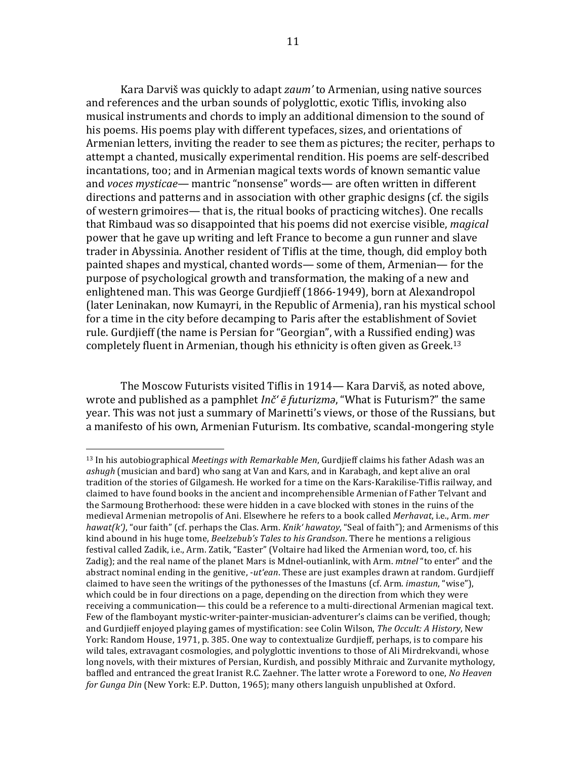Kara Darviš was quickly to adapt *zaum'* to Armenian, using native sources and references and the urban sounds of polyglottic, exotic Tiflis, invoking also musical instruments and chords to imply an additional dimension to the sound of his poems. His poems play with different typefaces, sizes, and orientations of Armenian letters, inviting the reader to see them as pictures; the reciter, perhaps to attempt a chanted, musically experimental rendition. His poems are self-described incantations, too; and in Armenian magical texts words of known semantic value and *voces* mysticae— mantric "nonsense" words— are often written in different directions and patterns and in association with other graphic designs (cf. the sigils of western grimoires— that is, the ritual books of practicing witches). One recalls that Rimbaud was so disappointed that his poems did not exercise visible, *magical* power that he gave up writing and left France to become a gun runner and slave trader in Abyssinia. Another resident of Tiflis at the time, though, did employ both painted shapes and mystical, chanted words— some of them, Armenian— for the purpose of psychological growth and transformation, the making of a new and enlightened man. This was George Gurdjieff (1866-1949), born at Alexandropol (later Leninakan, now Kumayri, in the Republic of Armenia), ran his mystical school for a time in the city before decamping to Paris after the establishment of Soviet rule. Gurdjieff (the name is Persian for "Georgian", with a Russified ending) was completely fluent in Armenian, though his ethnicity is often given as Greek.<sup>13</sup>

The Moscow Futurists visited Tiflis in 1914— Kara Darviš, as noted above, wrote and published as a pamphlet *Inč' ē futurizma*, "What is Futurism?" the same year. This was not just a summary of Marinetti's views, or those of the Russians, but a manifesto of his own, Armenian Futurism. Its combative, scandal-mongering style

<sup>&</sup>lt;sup>13</sup> In his autobiographical *Meetings with Remarkable Men*, Gurdjieff claims his father Adash was an ashugh (musician and bard) who sang at Van and Kars, and in Karabagh, and kept alive an oral tradition of the stories of Gilgamesh. He worked for a time on the Kars-Karakilise-Tiflis railway, and claimed to have found books in the ancient and incomprehensible Armenian of Father Telvant and the Sarmoung Brotherhood: these were hidden in a cave blocked with stones in the ruins of the medieval Armenian metropolis of Ani. Elsewhere he refers to a book called Merhavat, i.e., Arm. mer *hawat(k')*, "our faith" (cf. perhaps the Clas. Arm. *Knik' hawatoy*, "Seal of faith"); and Armenisms of this kind abound in his huge tome, *Beelzebub's Tales to his Grandson*. There he mentions a religious festival called Zadik, i.e., Arm. Zatik, "Easter" (Voltaire had liked the Armenian word, too, cf. his Zadig); and the real name of the planet Mars is Mdnel-outianlink, with Arm. *mtnel* "to enter" and the abstract nominal ending in the genitive, *-ut'ean*. These are just examples drawn at random. Gurdjieff claimed to have seen the writings of the pythonesses of the Imastuns (cf. Arm. *imastun*, "wise"), which could be in four directions on a page, depending on the direction from which they were receiving a communication— this could be a reference to a multi-directional Armenian magical text. Few of the flamboyant mystic-writer-painter-musician-adventurer's claims can be verified, though; and Gurdjieff enjoyed playing games of mystification: see Colin Wilson, *The Occult: A History*, New York: Random House, 1971, p. 385. One way to contextualize Gurdjieff, perhaps, is to compare his wild tales, extravagant cosmologies, and polyglottic inventions to those of Ali Mirdrekvandi, whose long novels, with their mixtures of Persian, Kurdish, and possibly Mithraic and Zurvanite mythology, baffled and entranced the great Iranist R.C. Zaehner. The latter wrote a Foreword to one, *No Heaven for Gunga Din* (New York: E.P. Dutton, 1965); many others languish unpublished at Oxford.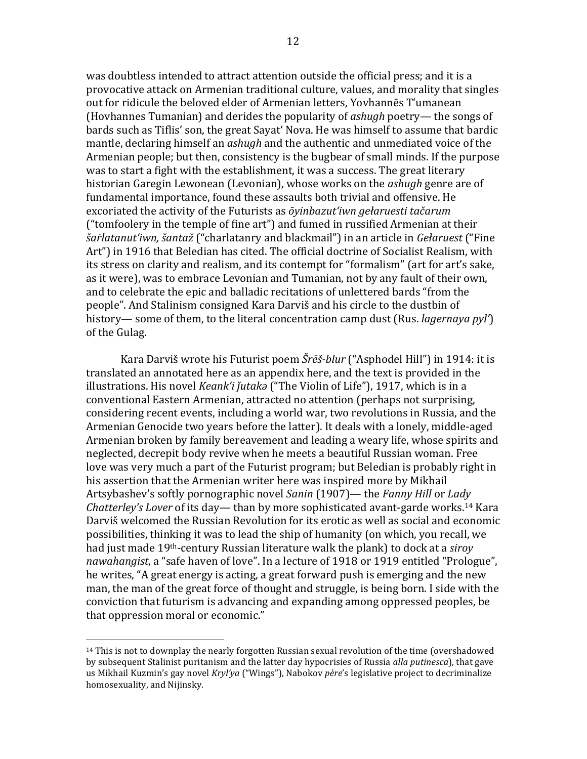was doubtless intended to attract attention outside the official press; and it is a provocative attack on Armenian traditional culture, values, and morality that singles out for ridicule the beloved elder of Armenian letters, Yovhannēs T'umanean (Hoyhannes Tumanian) and derides the popularity of *ashugh* poetry— the songs of bards such as Tiflis' son, the great Sayat' Nova. He was himself to assume that bardic mantle, declaring himself an *ashugh* and the authentic and unmediated voice of the Armenian people; but then, consistency is the bugbear of small minds. If the purpose was to start a fight with the establishment, it was a success. The great literary historian Garegin Lewonean (Levonian), whose works on the *ashugh* genre are of fundamental importance, found these assaults both trivial and offensive. He excoriated the activity of the Futurists as *ōyinbazut'iwn gelaruesti tačarum* ("tomfoolery in the temple of fine  $art$ ") and fumed in russified Armenian at their *šaŕlatanut'iwn, šantaž* ("charlatanry and blackmail") in an article in *Gełaruest* ("Fine Art") in 1916 that Beledian has cited. The official doctrine of Socialist Realism, with its stress on clarity and realism, and its contempt for "formalism" (art for art's sake, as it were), was to embrace Levonian and Tumanian, not by any fault of their own, and to celebrate the epic and balladic recitations of unlettered bards "from the people". And Stalinism consigned Kara Darviš and his circle to the dustbin of history— some of them, to the literal concentration camp dust (Rus. *lagernaya pyl'*) of the Gulag.

Kara Darviš wrote his Futurist poem *Šrēš-blur* ("Asphodel Hill") in 1914: it is translated an annotated here as an appendix here, and the text is provided in the illustrations. His novel *Keank'i jutaka* ("The Violin of Life"), 1917, which is in a conventional Eastern Armenian, attracted no attention (perhaps not surprising, considering recent events, including a world war, two revolutions in Russia, and the Armenian Genocide two years before the latter). It deals with a lonely, middle-aged Armenian broken by family bereavement and leading a weary life, whose spirits and neglected, decrepit body revive when he meets a beautiful Russian woman. Free love was very much a part of the Futurist program; but Beledian is probably right in his assertion that the Armenian writer here was inspired more by Mikhail Artsybashev's softly pornographic novel *Sanin* (1907)— the *Fanny Hill* or *Lady* Chatterley's Lover of its day— than by more sophisticated avant-garde works.<sup>14</sup> Kara Darviš welcomed the Russian Revolution for its erotic as well as social and economic possibilities, thinking it was to lead the ship of humanity (on which, you recall, we had just made 19<sup>th</sup>-century Russian literature walk the plank) to dock at a *siroy* nawahangist, a "safe haven of love". In a lecture of 1918 or 1919 entitled "Prologue", he writes, "A great energy is acting, a great forward push is emerging and the new man, the man of the great force of thought and struggle, is being born. I side with the conviction that futurism is advancing and expanding among oppressed peoples, be that oppression moral or economic."

 $14$  This is not to downplay the nearly forgotten Russian sexual revolution of the time (overshadowed by subsequent Stalinist puritanism and the latter day hypocrisies of Russia *alla putinesca*), that gave us Mikhail Kuzmin's gay novel *Kryl'ya* ("Wings"), Nabokov père's legislative project to decriminalize homosexuality, and Nijinsky.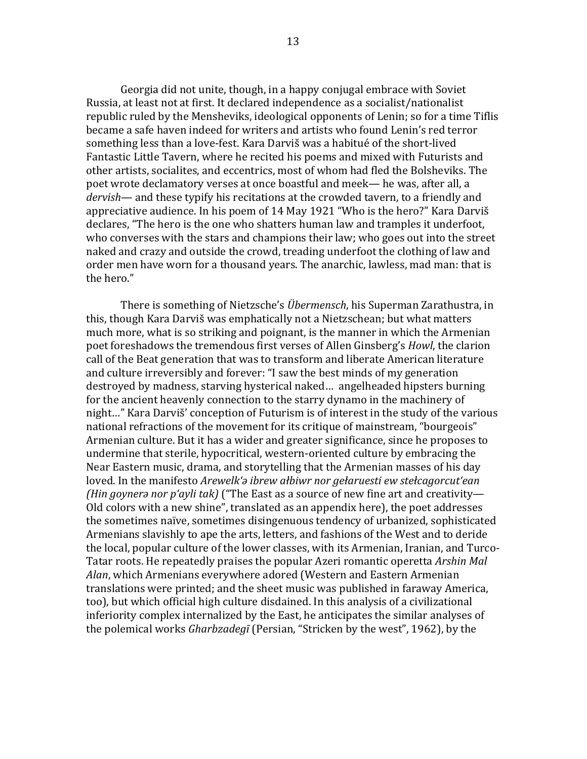Georgia did not unite, though, in a happy conjugal embrace with Soviet Russia, at least not at first. It declared independence as a socialist/nationalist republic ruled by the Mensheviks, ideological opponents of Lenin; so for a time Tiflis became a safe haven indeed for writers and artists who found Lenin's red terror something less than a love-fest. Kara Darviš was a habitué of the short-lived Fantastic Little Tavern, where he recited his poems and mixed with Futurists and other artists, socialites, and eccentrics, most of whom had fled the Bolsheviks. The poet wrote declamatory verses at once boastful and meek— he was, after all, a *dervish*— and these typify his recitations at the crowded tavern, to a friendly and appreciative audience. In his poem of 14 May 1921 "Who is the hero?" Kara Darviš declares, "The hero is the one who shatters human law and tramples it underfoot, who converses with the stars and champions their law; who goes out into the street naked and crazy and outside the crowd, treading underfoot the clothing of law and order men have worn for a thousand vears. The anarchic, lawless, mad man: that is the hero."

There is something of Nietzsche's *Übermensch*, his Superman Zarathustra, in this, though Kara Darviš was emphatically not a Nietzschean; but what matters much more, what is so striking and poignant, is the manner in which the Armenian poet foreshadows the tremendous first verses of Allen Ginsberg's *Howl*, the clarion call of the Beat generation that was to transform and liberate American literature and culture irreversibly and forever: "I saw the best minds of my generation destroyed by madness, starving hysterical naked... angelheaded hipsters burning for the ancient heavenly connection to the starry dynamo in the machinery of night..." Kara Darviš' conception of Futurism is of interest in the study of the various national refractions of the movement for its critique of mainstream, "bourgeois" Armenian culture. But it has a wider and greater significance, since he proposes to undermine that sterile, hypocritical, western-oriented culture by embracing the Near Eastern music, drama, and storytelling that the Armenian masses of his day loved. In the manifesto *Arewelk'a ibrew ałbiwr nor gełaruesti ew stełcagorcut'ean (Hin goynera nor p'ayli tak)* ("The East as a source of new fine art and creativity— Old colors with a new shine", translated as an appendix here), the poet addresses the sometimes naïve, sometimes disingenuous tendency of urbanized, sophisticated Armenians slavishly to ape the arts, letters, and fashions of the West and to deride the local, popular culture of the lower classes, with its Armenian, Iranian, and Turco-Tatar roots. He repeatedly praises the popular Azeri romantic operetta *Arshin Mal* Alan, which Armenians everywhere adored (Western and Eastern Armenian translations were printed; and the sheet music was published in faraway America, too), but which official high culture disdained. In this analysis of a civilizational inferiority complex internalized by the East, he anticipates the similar analyses of the polemical works *Gharbzadegī* (Persian, "Stricken by the west", 1962), by the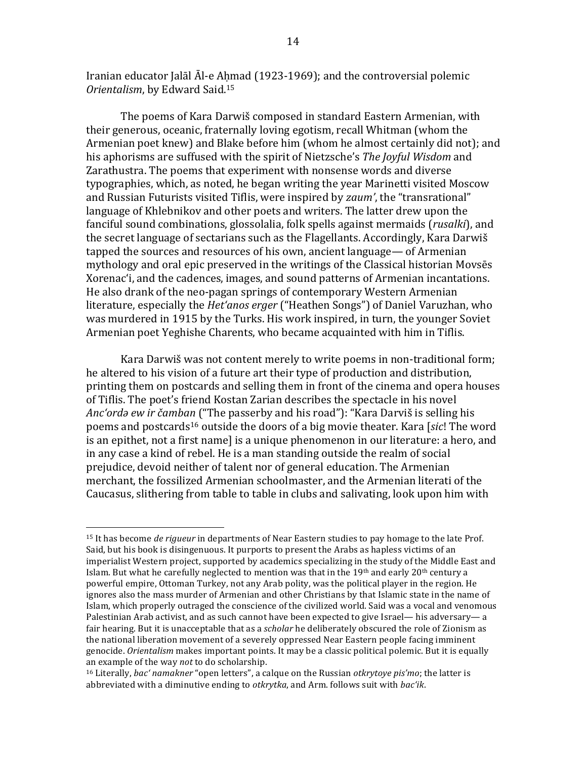Iranian educator Jalāl Āl-e Ahmad (1923-1969); and the controversial polemic *Orientalism, by Edward Said.<sup>15</sup>* 

The poems of Kara Darwiš composed in standard Eastern Armenian, with their generous, oceanic, fraternally loving egotism, recall Whitman (whom the Armenian poet knew) and Blake before him (whom he almost certainly did not); and his aphorisms are suffused with the spirit of Nietzsche's *The Joyful Wisdom* and Zarathustra. The poems that experiment with nonsense words and diverse typographies, which, as noted, he began writing the year Marinetti visited Moscow and Russian Futurists visited Tiflis, were inspired by *zaum'*, the "transrational" language of Khlebnikov and other poets and writers. The latter drew upon the fanciful sound combinations, glossolalia, folk spells against mermaids (*rusalki*), and the secret language of sectarians such as the Flagellants. Accordingly, Kara Darwiš tapped the sources and resources of his own, ancient language— of Armenian mythology and oral epic preserved in the writings of the Classical historian Movsēs Xorenac'i, and the cadences, images, and sound patterns of Armenian incantations. He also drank of the neo-pagan springs of contemporary Western Armenian literature, especially the *Het'anos erger* ("Heathen Songs") of Daniel Varuzhan, who was murdered in 1915 by the Turks. His work inspired, in turn, the younger Soviet Armenian poet Yeghishe Charents, who became acquainted with him in Tiflis.

Kara Darwiš was not content merely to write poems in non-traditional form; he altered to his vision of a future art their type of production and distribution, printing them on postcards and selling them in front of the cinema and opera houses of Tiflis. The poet's friend Kostan Zarian describes the spectacle in his novel *Anc'ordą ew ir čamban* ("The passerby and his road"): "Kara Darviš is selling his poems and postcards<sup>16</sup> outside the doors of a big movie theater. Kara [sic! The word is an epithet, not a first name] is a unique phenomenon in our literature: a hero, and in any case a kind of rebel. He is a man standing outside the realm of social prejudice, devoid neither of talent nor of general education. The Armenian merchant, the fossilized Armenian schoolmaster, and the Armenian literati of the Caucasus, slithering from table to table in clubs and salivating, look upon him with

<sup>&</sup>lt;sup>15</sup> It has become *de rigueur* in departments of Near Eastern studies to pay homage to the late Prof. Said, but his book is disingenuous. It purports to present the Arabs as hapless victims of an imperialist Western project, supported by academics specializing in the study of the Middle East and Islam. But what he carefully neglected to mention was that in the 19<sup>th</sup> and early 20<sup>th</sup> century a powerful empire, Ottoman Turkey, not any Arab polity, was the political player in the region. He ignores also the mass murder of Armenian and other Christians by that Islamic state in the name of Islam, which properly outraged the conscience of the civilized world. Said was a vocal and venomous Palestinian Arab activist, and as such cannot have been expected to give Israel— his adversary— a fair hearing. But it is unacceptable that as a *scholar* he deliberately obscured the role of Zionism as the national liberation movement of a severely oppressed Near Eastern people facing imminent genocide. *Orientalism* makes important points. It may be a classic political polemic. But it is equally an example of the way *not* to do scholarship.

<sup>&</sup>lt;sup>16</sup> Literally, *bac'* namakner "open letters", a calque on the Russian *otkrytoye pis'mo*; the latter is abbreviated with a diminutive ending to *otkrytka*, and Arm. follows suit with *bac'ik*.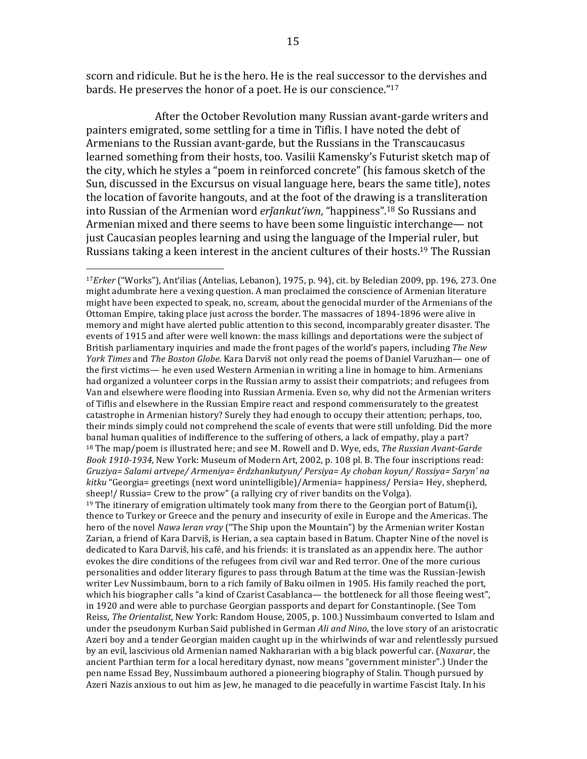scorn and ridicule. But he is the hero. He is the real successor to the dervishes and bards. He preserves the honor of a poet. He is our conscience."<sup>17</sup>

After the October Revolution many Russian avant-garde writers and painters emigrated, some settling for a time in Tiflis. I have noted the debt of Armenians to the Russian avant-garde, but the Russians in the Transcaucasus learned something from their hosts, too. Vasilii Kamensky's Futurist sketch map of the city, which he styles a "poem in reinforced concrete" (his famous sketch of the Sun, discussed in the Excursus on visual language here, bears the same title), notes the location of favorite hangouts, and at the foot of the drawing is a transliteration into Russian of the Armenian word *erjankut'iwn*, "happiness".<sup>18</sup> So Russians and Armenian mixed and there seems to have been some linguistic interchange— not just Caucasian peoples learning and using the language of the Imperial ruler, but Russians taking a keen interest in the ancient cultures of their hosts.<sup>19</sup> The Russian

<sup>&</sup>lt;sup>17</sup>Erker ("Works"), Ant'ilias (Antelias, Lebanon), 1975, p. 94), cit. by Beledian 2009, pp. 196, 273. One might adumbrate here a vexing question. A man proclaimed the conscience of Armenian literature might have been expected to speak, no, scream, about the genocidal murder of the Armenians of the Ottoman Empire, taking place just across the border. The massacres of 1894-1896 were alive in memory and might have alerted public attention to this second, incomparably greater disaster. The events of 1915 and after were well known: the mass killings and deportations were the subject of British parliamentary inquiries and made the front pages of the world's papers, including *The New York Times* and *The Boston Globe*. Kara Darviš not only read the poems of Daniel Varuzhan— one of the first victims— he even used Western Armenian in writing a line in homage to him. Armenians had organized a volunteer corps in the Russian army to assist their compatriots; and refugees from Van and elsewhere were flooding into Russian Armenia. Even so, why did not the Armenian writers of Tiflis and elsewhere in the Russian Empire react and respond commensurately to the greatest catastrophe in Armenian history? Surely they had enough to occupy their attention; perhaps, too, their minds simply could not comprehend the scale of events that were still unfolding. Did the more banal human qualities of indifference to the suffering of others, a lack of empathy, play a part? <sup>18</sup> The map/poem is illustrated here; and see M. Rowell and D. Wye, eds, *The Russian Avant-Garde Book 1910-1934*, New York: Museum of Modern Art, 2002, p. 108 pl. B. The four inscriptions read: *Gruziya= Salami artvepe/ Armeniya= ěrdzhankutyun/ Persiya= Ay choban koyun/ Rossiya= Saryn' na kitku* "Georgia= greetings (next word unintelligible)/Armenia= happiness/ Persia= Hey, shepherd, sheep!/ Russia= Crew to the prow" (a rallying cry of river bandits on the Volga). <sup>19</sup> The itinerary of emigration ultimately took many from there to the Georgian port of Batum(i), thence to Turkey or Greece and the penury and insecurity of exile in Europe and the Americas. The hero of the novel *Nawǝ leran vray* ("The Ship upon the Mountain") by the Armenian writer Kostan Zarian, a friend of Kara Darviš, is Herian, a sea captain based in Batum. Chapter Nine of the novel is dedicated to Kara Darviš, his café, and his friends: it is translated as an appendix here. The author evokes the dire conditions of the refugees from civil war and Red terror. One of the more curious personalities and odder literary figures to pass through Batum at the time was the Russian-Jewish writer Lev Nussimbaum, born to a rich family of Baku oilmen in 1905. His family reached the port, which his biographer calls "a kind of Czarist Casablanca— the bottleneck for all those fleeing west", in 1920 and were able to purchase Georgian passports and depart for Constantinople. (See Tom Reiss, *The Orientalist*, New York: Random House, 2005, p. 100.) Nussimbaum converted to Islam and under the pseudonym Kurban Said published in German *Ali and Nino*, the love story of an aristocratic Azeri boy and a tender Georgian maiden caught up in the whirlwinds of war and relentlessly pursued by an evil, lascivious old Armenian named Nakhararian with a big black powerful car. (*Naxarar*, the ancient Parthian term for a local hereditary dynast, now means "government minister".) Under the pen name Essad Bey, Nussimbaum authored a pioneering biography of Stalin. Though pursued by Azeri Nazis anxious to out him as Jew, he managed to die peacefully in wartime Fascist Italy. In his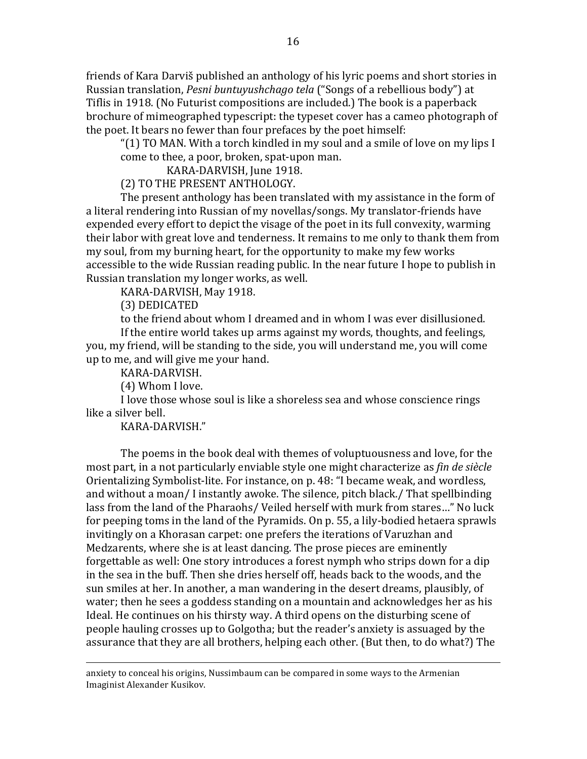friends of Kara Darviš published an anthology of his lyric poems and short stories in Russian translation, *Pesni buntuyushchago tela* ("Songs of a rebellious body") at Tiflis in 1918. (No Futurist compositions are included.) The book is a paperback brochure of mimeographed typescript: the typeset cover has a cameo photograph of the poet. It bears no fewer than four prefaces by the poet himself:

" $(1)$  TO MAN. With a torch kindled in my soul and a smile of love on my lips I come to thee, a poor, broken, spat-upon man.

KARA-DARVISH, June 1918.

(2) TO THE PRESENT ANTHOLOGY.

The present anthology has been translated with my assistance in the form of a literal rendering into Russian of my novellas/songs. My translator-friends have expended every effort to depict the visage of the poet in its full convexity, warming their labor with great love and tenderness. It remains to me only to thank them from my soul, from my burning heart, for the opportunity to make my few works accessible to the wide Russian reading public. In the near future I hope to publish in Russian translation my longer works, as well.

KARA-DARVISH, May 1918.

(3) DEDICATED

to the friend about whom I dreamed and in whom I was ever disillusioned.

If the entire world takes up arms against my words, thoughts, and feelings, you, my friend, will be standing to the side, you will understand me, you will come up to me, and will give me your hand.

KARA-DARVISH.

(4) Whom I love.

I love those whose soul is like a shoreless sea and whose conscience rings like a silver bell.

KARA-DARVISH."

The poems in the book deal with themes of voluptuousness and love, for the most part, in a not particularly enviable style one might characterize as *fin de siècle* Orientalizing Symbolist-lite. For instance, on p. 48: "I became weak, and wordless, and without a moan/ I instantly awoke. The silence, pitch black./ That spellbinding lass from the land of the Pharaohs/ Veiled herself with murk from stares..." No luck for peeping toms in the land of the Pyramids. On p. 55, a lily-bodied hetaera sprawls invitingly on a Khorasan carpet: one prefers the iterations of Varuzhan and Medzarents, where she is at least dancing. The prose pieces are eminently forgettable as well: One story introduces a forest nymph who strips down for a dip in the sea in the buff. Then she dries herself off, heads back to the woods, and the sun smiles at her. In another, a man wandering in the desert dreams, plausibly, of water; then he sees a goddess standing on a mountain and acknowledges her as his Ideal. He continues on his thirsty way. A third opens on the disturbing scene of people hauling crosses up to Golgotha; but the reader's anxiety is assuaged by the assurance that they are all brothers, helping each other. (But then, to do what?) The

<u> 1989 - Andrea San Andrew Maria (h. 1989).</u><br>1900 - Andrew Maria (h. 1980).

anxiety to conceal his origins, Nussimbaum can be compared in some ways to the Armenian Imaginist Alexander Kusikov.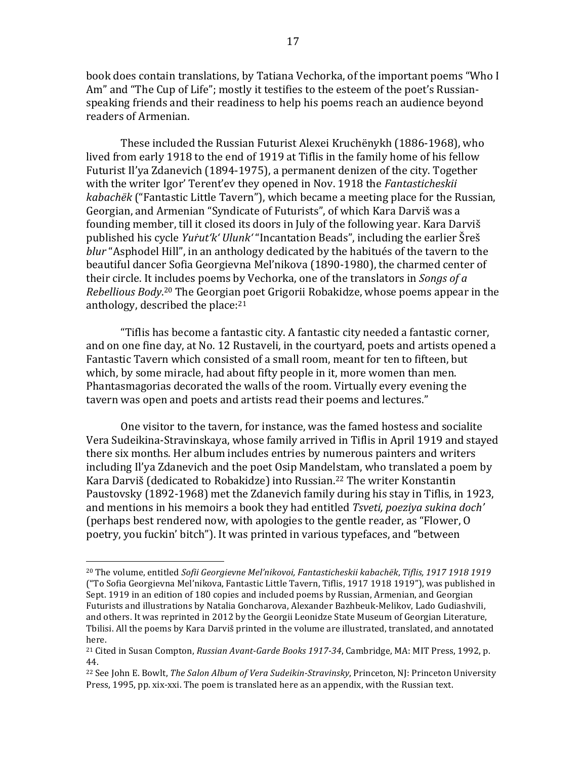book does contain translations, by Tatiana Vechorka, of the important poems "Who I Am" and "The Cup of Life"; mostly it testifies to the esteem of the poet's Russianspeaking friends and their readiness to help his poems reach an audience beyond readers of Armenian.

These included the Russian Futurist Alexei Kruchënykh (1886-1968), who lived from early 1918 to the end of 1919 at Tiflis in the family home of his fellow Futurist Il'ya Zdanevich (1894-1975), a permanent denizen of the city. Together with the writer Igor' Terent'ev they opened in Nov. 1918 the *Fantasticheskii kabachëk* ("Fantastic Little Tavern"), which became a meeting place for the Russian, Georgian, and Armenian "Syndicate of Futurists", of which Kara Darviš was a founding member, till it closed its doors in July of the following year. Kara Darviš published his cycle *Yurut'k' Ulunk'* "Incantation Beads", including the earlier Šreš *blur* "Asphodel Hill", in an anthology dedicated by the habitués of the tavern to the beautiful dancer Sofia Georgievna Mel'nikova (1890-1980), the charmed center of their circle. It includes poems by Vechorka, one of the translators in *Songs of a* Rebellious Body.<sup>20</sup> The Georgian poet Grigorii Robakidze, whose poems appear in the anthology, described the place: $21$ 

"Tiflis has become a fantastic city. A fantastic city needed a fantastic corner, and on one fine day, at No. 12 Rustaveli, in the courtyard, poets and artists opened a Fantastic Tavern which consisted of a small room, meant for ten to fifteen, but which, by some miracle, had about fifty people in it, more women than men. Phantasmagorias decorated the walls of the room. Virtually every evening the tavern was open and poets and artists read their poems and lectures."

One visitor to the tavern, for instance, was the famed hostess and socialite Vera Sudeikina-Stravinskaya, whose family arrived in Tiflis in April 1919 and stayed there six months. Her album includes entries by numerous painters and writers including Il'ya Zdanevich and the poet Osip Mandelstam, who translated a poem by Kara Darviš (dedicated to Robakidze) into Russian.<sup>22</sup> The writer Konstantin Paustovsky (1892-1968) met the Zdanevich family during his stay in Tiflis, in 1923, and mentions in his memoirs a book they had entitled *Tsveti, poeziya sukina doch'* (perhaps best rendered now, with apologies to the gentle reader, as "Flower, O poetry, you fuckin' bitch"). It was printed in various typefaces, and "between

<sup>&</sup>lt;sup>20</sup> The volume, entitled *Sofii Georgievne Mel'nikovoi, Fantasticheskii kabachëk, Tiflis, 1917 1918 1919* ("To Sofia Georgievna Mel'nikova, Fantastic Little Tavern, Tiflis, 1917 1918 1919"), was published in Sept. 1919 in an edition of 180 copies and included poems by Russian, Armenian, and Georgian Futurists and illustrations by Natalia Goncharova, Alexander Bazhbeuk-Melikov, Lado Gudiashvili, and others. It was reprinted in 2012 by the Georgii Leonidze State Museum of Georgian Literature, Tbilisi. All the poems by Kara Darviš printed in the volume are illustrated, translated, and annotated here.

<sup>&</sup>lt;sup>21</sup> Cited in Susan Compton, *Russian Avant-Garde Books* 1917-34, Cambridge, MA: MIT Press, 1992, p. 44.

<sup>&</sup>lt;sup>22</sup> See John E. Bowlt, *The Salon Album of Vera Sudeikin-Stravinsky*, Princeton, NJ: Princeton University Press, 1995, pp. xix-xxi. The poem is translated here as an appendix, with the Russian text.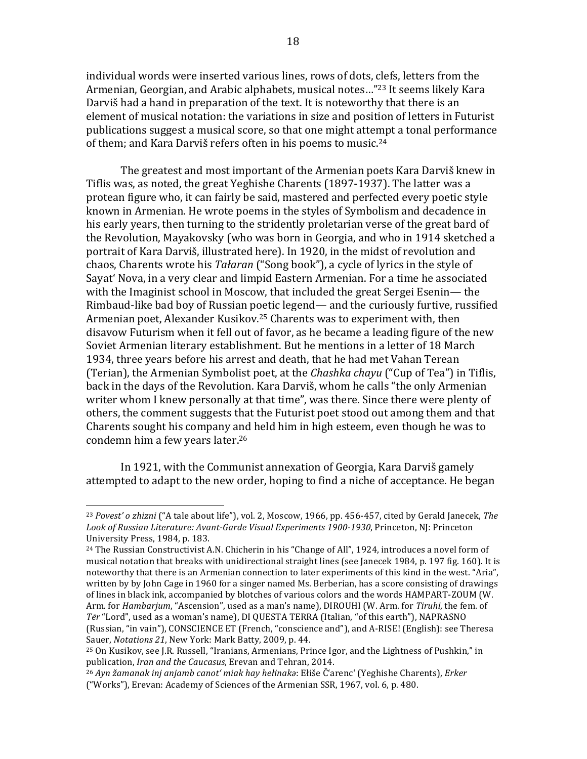individual words were inserted various lines, rows of dots, clefs, letters from the Armenian, Georgian, and Arabic alphabets, musical notes..."<sup>23</sup> It seems likely Kara Darviš had a hand in preparation of the text. It is noteworthy that there is an element of musical notation: the variations in size and position of letters in Futurist publications suggest a musical score, so that one might attempt a tonal performance of them; and Kara Darviš refers often in his poems to music.<sup>24</sup>

The greatest and most important of the Armenian poets Kara Darviš knew in Tiflis was, as noted, the great Yeghishe Charents (1897-1937). The latter was a protean figure who, it can fairly be said, mastered and perfected every poetic style known in Armenian. He wrote poems in the styles of Symbolism and decadence in his early years, then turning to the stridently proletarian verse of the great bard of the Revolution, Mayakovsky (who was born in Georgia, and who in 1914 sketched a portrait of Kara Darviš, illustrated here). In 1920, in the midst of revolution and chaos, Charents wrote his *Tałaran* ("Song book"), a cycle of lyrics in the style of Sayat' Nova, in a very clear and limpid Eastern Armenian. For a time he associated with the Imaginist school in Moscow, that included the great Sergei Esenin— the Rimbaud-like bad boy of Russian poetic legend— and the curiously furtive, russified Armenian poet, Alexander Kusikov.<sup>25</sup> Charents was to experiment with, then disavow Futurism when it fell out of favor, as he became a leading figure of the new Soviet Armenian literary establishment. But he mentions in a letter of 18 March 1934, three vears before his arrest and death, that he had met Vahan Terean (Terian), the Armenian Symbolist poet, at the *Chashka chayu* ("Cup of Tea") in Tiflis, back in the days of the Revolution. Kara Darviš, whom he calls "the only Armenian writer whom I knew personally at that time", was there. Since there were plenty of others, the comment suggests that the Futurist poet stood out among them and that Charents sought his company and held him in high esteem, even though he was to condemn him a few years later.<sup>26</sup>

In 1921, with the Communist annexation of Georgia, Kara Darviš gamely attempted to adapt to the new order, hoping to find a niche of acceptance. He began

 $23 Povest'$  *o* zhizni ("A tale about life"), vol. 2, Moscow, 1966, pp. 456-457, cited by Gerald Janecek, *The* Look of Russian Literature: Avant-Garde Visual Experiments 1900-1930, Princeton, NJ: Princeton University Press, 1984, p. 183.

 $^{24}$  The Russian Constructivist A.N. Chicherin in his "Change of All", 1924, introduces a novel form of musical notation that breaks with unidirectional straight lines (see Janecek 1984, p. 197 fig. 160). It is noteworthy that there is an Armenian connection to later experiments of this kind in the west. "Aria", written by by John Cage in 1960 for a singer named Ms. Berberian, has a score consisting of drawings of lines in black ink, accompanied by blotches of various colors and the words HAMPART-ZOUM (W. Arm. for *Hambarjum*, "Ascension", used as a man's name), DIROUHI (W. Arm. for *Tiruhi*, the fem. of Ter "Lord", used as a woman's name), DI QUESTA TERRA (Italian, "of this earth"), NAPRASNO (Russian, "in vain"), CONSCIENCE ET (French, "conscience and"), and A-RISE! (English): see Theresa Sauer, *Notations 21*, New York: Mark Batty, 2009, p. 44.

<sup>&</sup>lt;sup>25</sup> On Kusikov, see J.R. Russell, "Iranians, Armenians, Prince Igor, and the Lightness of Pushkin," in publication, *Iran and the Caucasus*, Erevan and Tehran, 2014.

<sup>&</sup>lt;sup>26</sup> Ayn žamanak inj anjamb canot' miak hay hełinakǝ: Ełiše Č'arenc' (Yeghishe Charents), *Erker* ("Works"), Erevan: Academy of Sciences of the Armenian SSR, 1967, vol. 6, p. 480.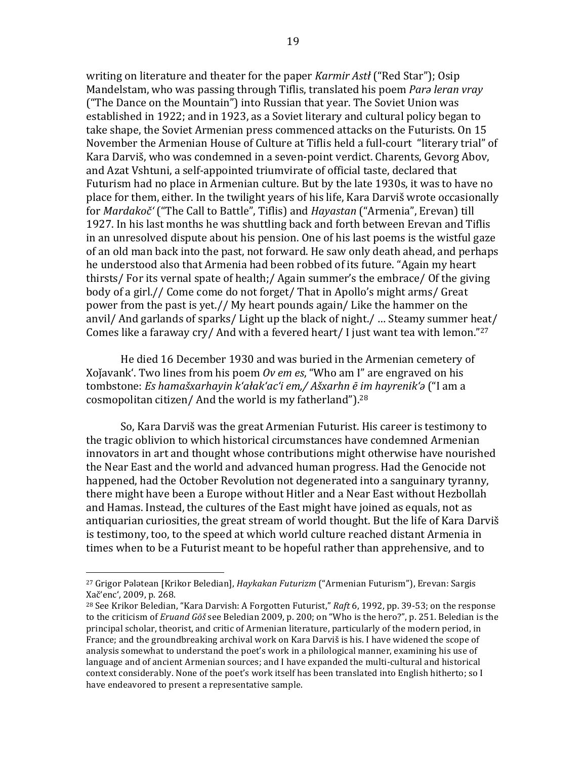writing on literature and theater for the paper *Karmir Astł* ("Red Star"); Osip Mandelstam, who was passing through Tiflis, translated his poem *Para leran vray* ("The Dance on the Mountain") into Russian that year. The Soviet Union was established in 1922; and in 1923, as a Soviet literary and cultural policy began to take shape, the Soviet Armenian press commenced attacks on the Futurists. On 15 November the Armenian House of Culture at Tiflis held a full-court "literary trial" of Kara Darviš, who was condemned in a seven-point verdict. Charents, Gevorg Abov, and Azat Vshtuni, a self-appointed triumvirate of official taste, declared that Futurism had no place in Armenian culture. But by the late 1930s, it was to have no place for them, either. In the twilight years of his life, Kara Darviš wrote occasionally for *Mardakoč'* ("The Call to Battle", Tiflis) and *Hayastan* ("Armenia", Erevan) till 1927. In his last months he was shuttling back and forth between Erevan and Tiflis in an unresolved dispute about his pension. One of his last poems is the wistful gaze of an old man back into the past, not forward. He saw only death ahead, and perhaps he understood also that Armenia had been robbed of its future. "Again my heart thirsts/ For its vernal spate of health;/ Again summer's the embrace/ Of the giving body of a girl.// Come come do not forget/ That in Apollo's might arms/ Great power from the past is yet.// My heart pounds again/ Like the hammer on the anvil/ And garlands of sparks/ Light up the black of night./ ... Steamy summer heat/ Comes like a faraway cry/ And with a fevered heart/ I just want tea with lemon."27

He died 16 December 1930 and was buried in the Armenian cemetery of Xojavank'. Two lines from his poem *Ov em es*, "Who am I" are engraved on his tombstone: *Es hamašxarhayin k'ałak'ac'i em,/ Ašxarhn ē im hayrenik'a* ("I am a cosmopolitan citizen/ And the world is my fatherland").<sup>28</sup>

So, Kara Darviš was the great Armenian Futurist. His career is testimony to the tragic oblivion to which historical circumstances have condemned Armenian innovators in art and thought whose contributions might otherwise have nourished the Near East and the world and advanced human progress. Had the Genocide not happened, had the October Revolution not degenerated into a sanguinary tyranny, there might have been a Europe without Hitler and a Near East without Hezbollah and Hamas. Instead, the cultures of the East might have joined as equals, not as antiquarian curiosities, the great stream of world thought. But the life of Kara Darviš is testimony, too, to the speed at which world culture reached distant Armenia in times when to be a Futurist meant to be hopeful rather than apprehensive, and to

<sup>&</sup>lt;sup>27</sup> Grigor Pələtean [Krikor Beledian], *Haykakan Futurizm* ("Armenian Futurism"), Erevan: Sargis Xač'enc', 2009, p. 268.

 $^{28}$  See Krikor Beledian, "Kara Darvish: A Forgotten Futurist," *Raft* 6, 1992, pp. 39-53; on the response to the criticism of *Eruand Gōš* see Beledian 2009, p. 200; on "Who is the hero?", p. 251. Beledian is the principal scholar, theorist, and critic of Armenian literature, particularly of the modern period, in France; and the groundbreaking archival work on Kara Darviš is his. I have widened the scope of analysis somewhat to understand the poet's work in a philological manner, examining his use of language and of ancient Armenian sources; and I have expanded the multi-cultural and historical context considerably. None of the poet's work itself has been translated into English hitherto; so I have endeavored to present a representative sample.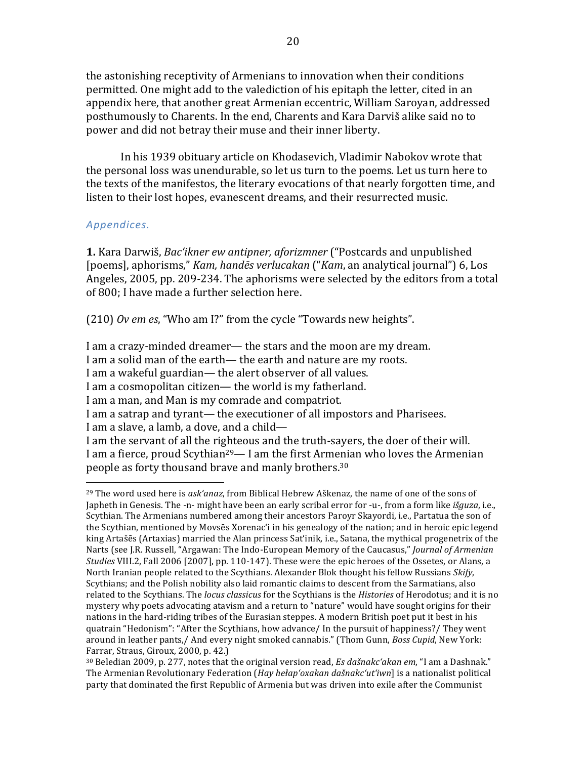the astonishing receptivity of Armenians to innovation when their conditions permitted. One might add to the valediction of his epitaph the letter, cited in an appendix here, that another great Armenian eccentric, William Saroyan, addressed posthumously to Charents. In the end, Charents and Kara Darviš alike said no to power and did not betray their muse and their inner liberty.

In his 1939 obituary article on Khodasevich, Vladimir Nabokov wrote that the personal loss was unendurable, so let us turn to the poems. Let us turn here to the texts of the manifestos, the literary evocations of that nearly forgotten time, and listen to their lost hopes, evanescent dreams, and their resurrected music.

### *Appendices.*

**1.** Kara Darwiš, *Bac'ikner ew antipner, aforizmner* ("Postcards and unpublished [poems], aphorisms," *Kam, handēs verlucakan* ("*Kam*, an analytical journal") 6, Los Angeles, 2005, pp. 209-234. The aphorisms were selected by the editors from a total of 800; I have made a further selection here.

(210) *Ov em es*, "Who am I?" from the cycle "Towards new heights".

I am a crazy-minded dreamer— the stars and the moon are my dream.

I am a solid man of the earth— the earth and nature are my roots.

I am a wakeful guardian— the alert observer of all values.

I am a cosmopolitan citizen— the world is my fatherland.

I am a man, and Man is my comrade and compatriot.

I am a slave, a lamb, a dove, and a child-

 

I am the servant of all the righteous and the truth-sayers, the doer of their will. I am a fierce, proud Scythian<sup>29</sup>— I am the first Armenian who loves the Armenian people as forty thousand brave and manly brothers.<sup>30</sup>

I am a satrap and tyrant— the executioner of all impostors and Pharisees.

 $29$  The word used here is  $ask'anaz$ , from Biblical Hebrew Aškenaz, the name of one of the sons of Japheth in Genesis. The -n- might have been an early scribal error for -u-, from a form like *išguza*, i.e., Scythian. The Armenians numbered among their ancestors Paroyr Skayordi, i.e., Partatua the son of the Scythian, mentioned by Movsēs Xorenac'i in his genealogy of the nation; and in heroic epic legend king Artašēs (Artaxias) married the Alan princess Sat'inik, i.e., Satana, the mythical progenetrix of the Narts (see J.R. Russell, "Argawan: The Indo-European Memory of the Caucasus," *Journal of Armenian Studies* VIII.2, Fall 2006 [2007], pp. 110-147]. These were the epic heroes of the Ossetes, or Alans, a North Iranian people related to the Scythians. Alexander Blok thought his fellow Russians *Skify*, Scythians; and the Polish nobility also laid romantic claims to descent from the Sarmatians, also related to the Scythians. The *locus classicus* for the Scythians is the *Histories* of Herodotus; and it is no mystery why poets advocating atavism and a return to "nature" would have sought origins for their nations in the hard-riding tribes of the Eurasian steppes. A modern British poet put it best in his quatrain "Hedonism": "After the Scythians, how advance/ In the pursuit of happiness?/ They went around in leather pants,/ And every night smoked cannabis." (Thom Gunn, *Boss Cupid*, New York: Farrar, Straus, Giroux, 2000, p. 42.)

 $30$  Beledian 2009, p. 277, notes that the original version read, *Es dašnakc'akan em*, "I am a Dashnak." The Armenian Revolutionary Federation (*Hay hełap'oxakan dašnakc'ut'iwn*] is a nationalist political party that dominated the first Republic of Armenia but was driven into exile after the Communist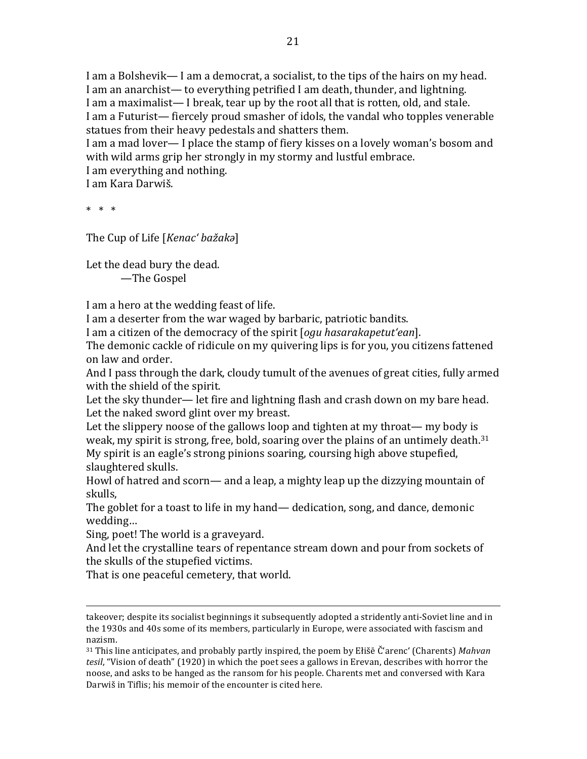I am a Bolshevik— I am a democrat, a socialist, to the tips of the hairs on my head. I am an anarchist— to everything petrified I am death, thunder, and lightning. I am a maximalist—I break, tear up by the root all that is rotten, old, and stale. I am a Futurist— fiercely proud smasher of idols, the vandal who topples venerable statues from their heavy pedestals and shatters them.

I am a mad lover— I place the stamp of fiery kisses on a lovely woman's bosom and with wild arms grip her strongly in my stormy and lustful embrace.

I am everything and nothing.

I am Kara Darwiš.

 $* * * *$ 

The Cup of Life [*Kenac' bažak*a]

Let the dead bury the dead.

—The Gospel 

I am a hero at the wedding feast of life.

I am a deserter from the war waged by barbaric, patriotic bandits.

I am a citizen of the democracy of the spirit [*ogu hasarakapetut'ean*].

The demonic cackle of ridicule on my quivering lips is for you, you citizens fattened on law and order.

And I pass through the dark, cloudy tumult of the avenues of great cities, fully armed with the shield of the spirit.

Let the sky thunder— let fire and lightning flash and crash down on my bare head. Let the naked sword glint over my breast.

Let the slippery noose of the gallows loop and tighten at my throat— my body is weak, my spirit is strong, free, bold, soaring over the plains of an untimely death.<sup>31</sup> My spirit is an eagle's strong pinions soaring, coursing high above stupefied, slaughtered skulls.

Howl of hatred and scorn— and a leap, a mighty leap up the dizzying mountain of skulls,

The goblet for a toast to life in my hand— dedication, song, and dance, demonic wedding…

Sing, poet! The world is a graveyard.

And let the crystalline tears of repentance stream down and pour from sockets of the skulls of the stupefied victims.

That is one peaceful cemetery, that world.

<u> 1989 - Andrea San Andrew Maria (h. 1989).</u><br>1900 - Andrew Maria (h. 1980).

takeover; despite its socialist beginnings it subsequently adopted a stridently anti-Soviet line and in the 1930s and 40s some of its members, particularly in Europe, were associated with fascism and nazism. 

<sup>&</sup>lt;sup>31</sup> This line anticipates, and probably partly inspired, the poem by Ełišē Č'arenc' (Charents) Mahvan *tesil*, "Vision of death" (1920) in which the poet sees a gallows in Erevan, describes with horror the noose, and asks to be hanged as the ransom for his people. Charents met and conversed with Kara Darwiš in Tiflis; his memoir of the encounter is cited here.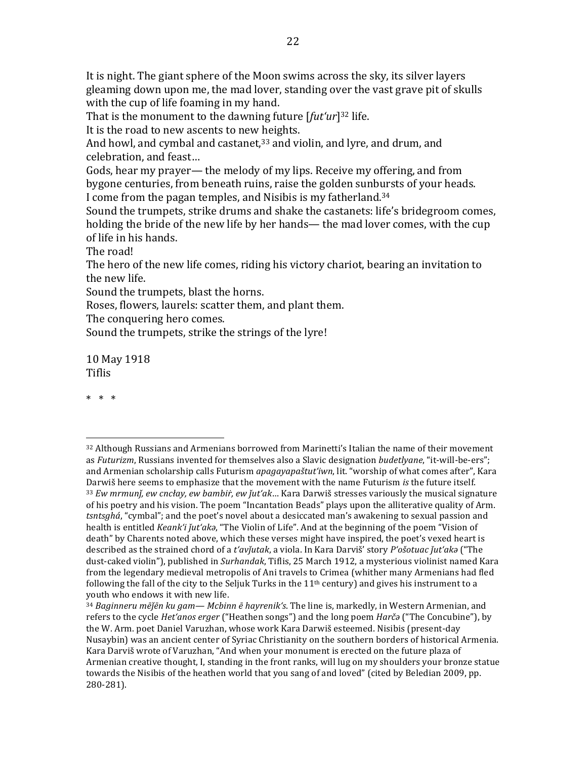It is night. The giant sphere of the Moon swims across the sky, its silver layers gleaming down upon me, the mad lover, standing over the vast grave pit of skulls with the cup of life foaming in my hand.

That is the monument to the dawning future  $[$ *fut'ur* $]$ <sup>32</sup> life.

It is the road to new ascents to new heights.

And howl, and cymbal and castanet, $33$  and violin, and lyre, and drum, and celebration, and feast...

Gods, hear my prayer— the melody of my lips. Receive my offering, and from bygone centuries, from beneath ruins, raise the golden sunbursts of your heads. I come from the pagan temples, and Nisibis is my fatherland.<sup>34</sup>

Sound the trumpets, strike drums and shake the castanets: life's bridegroom comes, holding the bride of the new life by her hands— the mad lover comes, with the cup of life in his hands.

The road!

The hero of the new life comes, riding his victory chariot, bearing an invitation to the new life.

Sound the trumpets, blast the horns.

Roses, flowers, laurels: scatter them, and plant them.

The conquering hero comes.

 

Sound the trumpets, strike the strings of the lyre!

10 May 1918 Tiflis

\* \* \*

 $32$  Although Russians and Armenians borrowed from Marinetti's Italian the name of their movement as *Futurizm*, Russians invented for themselves also a Slavic designation *budetlyane*, "it-will-be-ers"; and Armenian scholarship calls Futurism *apagayapaštut'iwn*, lit. "worship of what comes after", Kara Darwiš here seems to emphasize that the movement with the name Futurism *is* the future itself. <sup>33</sup> *Ew mrmunj, ew cncłay, ew bambiŕ, ew jut'ak*... Kara Darwiš stresses variously the musical signature of his poetry and his vision. The poem "Incantation Beads" plays upon the alliterative quality of Arm. *tsntsghá*, "cymbal"; and the poet's novel about a desiccated man's awakening to sexual passion and health is entitled *Keank'i jut'ak*a, "The Violin of Life". And at the beginning of the poem "Vision of death" by Charents noted above, which these verses might have inspired, the poet's vexed heart is described as the strained chord of a *t'avĭutak*, a viola. In Kara Darviš' story *P'ošotuac ĭut'aka* ("The dust-caked violin"), published in *Surhandak*, Tiflis, 25 March 1912, a mysterious violinist named Kara from the legendary medieval metropolis of Ani travels to Crimea (whither many Armenians had fled following the fall of the city to the Seljuk Turks in the  $11<sup>th</sup>$  century) and gives his instrument to a youth who endows it with new life.

<sup>&</sup>lt;sup>34</sup> *Baginneru mējēn ku gam— Mcbinn ē hayrenik's*. The line is, markedly, in Western Armenian, and refers to the cycle *Het'anos erger* ("Heathen songs") and the long poem *Harča* ("The Concubine"), by the W. Arm. poet Daniel Varuzhan, whose work Kara Darwiš esteemed. Nisibis (present-day Nusaybin) was an ancient center of Syriac Christianity on the southern borders of historical Armenia. Kara Darviš wrote of Varuzhan, "And when your monument is erected on the future plaza of Armenian creative thought, I, standing in the front ranks, will lug on my shoulders your bronze statue towards the Nisibis of the heathen world that you sang of and loved" (cited by Beledian 2009, pp. 280-281).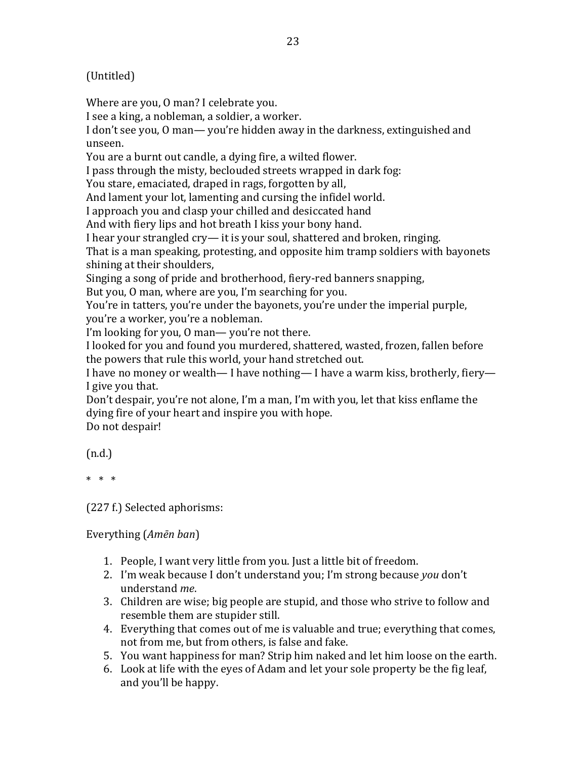## (Untitled)

Where are you, O man? I celebrate you.

I see a king, a nobleman, a soldier, a worker.

I don't see you, 0 man— you're hidden away in the darkness, extinguished and unseen.

You are a burnt out candle, a dying fire, a wilted flower.

I pass through the misty, beclouded streets wrapped in dark fog:

You stare, emaciated, draped in rags, forgotten by all,

And lament your lot, lamenting and cursing the infidel world.

I approach you and clasp your chilled and desiccated hand

And with fiery lips and hot breath I kiss your bony hand.

I hear your strangled  $\text{cry}$ — it is your soul, shattered and broken, ringing.

That is a man speaking, protesting, and opposite him tramp soldiers with bayonets shining at their shoulders.

Singing a song of pride and brotherhood, fiery-red banners snapping,

But you, O man, where are you, I'm searching for you.

You're in tatters, you're under the bayonets, you're under the imperial purple, you're a worker, you're a nobleman.

I'm looking for you, 0 man— you're not there.

I looked for you and found you murdered, shattered, wasted, frozen, fallen before the powers that rule this world, your hand stretched out.

I have no money or wealth— I have nothing— I have a warm kiss, brotherly, fiery— I give you that.

Don't despair, you're not alone, I'm a man, I'm with you, let that kiss enflame the dying fire of your heart and inspire you with hope. Do not despair!

(n.d.)

 $* * *$ 

(227 f.) Selected aphorisms:

Everything (*Amēn ban*)

- 1. People, I want very little from you. Just a little bit of freedom.
- 2. I'm weak because I don't understand you; I'm strong because you don't understand *me*.
- 3. Children are wise; big people are stupid, and those who strive to follow and resemble them are stupider still.
- 4. Everything that comes out of me is valuable and true; everything that comes, not from me, but from others, is false and fake.
- 5. You want happiness for man? Strip him naked and let him loose on the earth.
- 6. Look at life with the eyes of Adam and let your sole property be the fig leaf, and you'll be happy.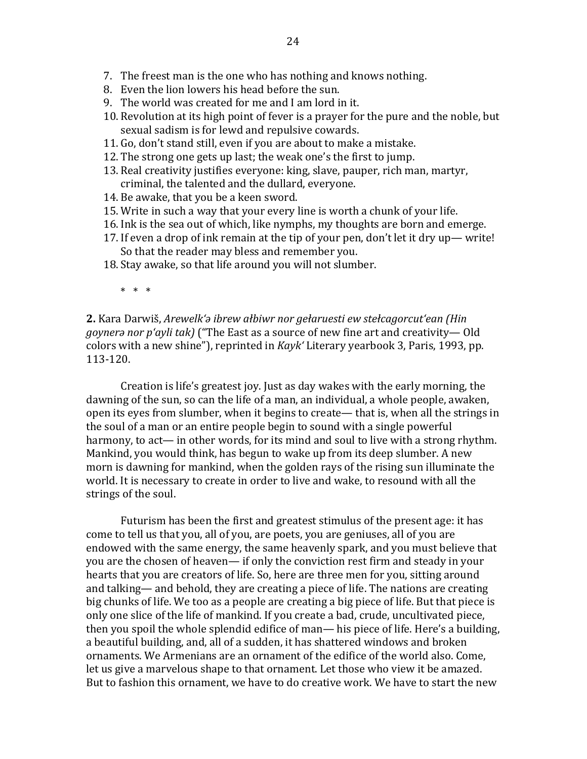- 8. Even the lion lowers his head before the sun.
- 9. The world was created for me and I am lord in it.
- 10. Revolution at its high point of fever is a prayer for the pure and the noble, but sexual sadism is for lewd and repulsive cowards.
- 11. Go, don't stand still, even if you are about to make a mistake.
- 12. The strong one gets up last; the weak one's the first to jump.
- 13. Real creativity justifies everyone: king, slave, pauper, rich man, martyr, criminal, the talented and the dullard, everyone.
- 14. Be awake, that you be a keen sword.
- 15. Write in such a way that your every line is worth a chunk of your life.
- 16. Ink is the sea out of which, like nymphs, my thoughts are born and emerge.
- 17. If even a drop of ink remain at the tip of your pen, don't let it dry up— write! So that the reader may bless and remember you.
- 18. Stay awake, so that life around you will not slumber.
	- $* * * *$

**2.** Kara Darwiš, *Arewelk'a ibrew ałbiwr nor gełaruesti ew stełcagorcut'ean (Hin*) *goynera nor p'ayli tak*) ("The East as a source of new fine art and creativity— Old colors with a new shine"), reprinted in *Kayk'* Literary yearbook 3, Paris, 1993, pp. 113-120.

Creation is life's greatest joy. Just as day wakes with the early morning, the dawning of the sun, so can the life of a man, an individual, a whole people, awaken, open its eyes from slumber, when it begins to create— that is, when all the strings in the soul of a man or an entire people begin to sound with a single powerful harmony, to act— in other words, for its mind and soul to live with a strong rhythm. Mankind, you would think, has begun to wake up from its deep slumber. A new morn is dawning for mankind, when the golden rays of the rising sun illuminate the world. It is necessary to create in order to live and wake, to resound with all the strings of the soul.

Futurism has been the first and greatest stimulus of the present age: it has come to tell us that you, all of you, are poets, you are geniuses, all of you are endowed with the same energy, the same heavenly spark, and you must believe that you are the chosen of heaven— if only the conviction rest firm and steady in your hearts that you are creators of life. So, here are three men for you, sitting around and talking— and behold, they are creating a piece of life. The nations are creating big chunks of life. We too as a people are creating a big piece of life. But that piece is only one slice of the life of mankind. If you create a bad, crude, uncultivated piece, then you spoil the whole splendid edifice of man— his piece of life. Here's a building, a beautiful building, and, all of a sudden, it has shattered windows and broken ornaments. We Armenians are an ornament of the edifice of the world also. Come, let us give a marvelous shape to that ornament. Let those who view it be amazed. But to fashion this ornament, we have to do creative work. We have to start the new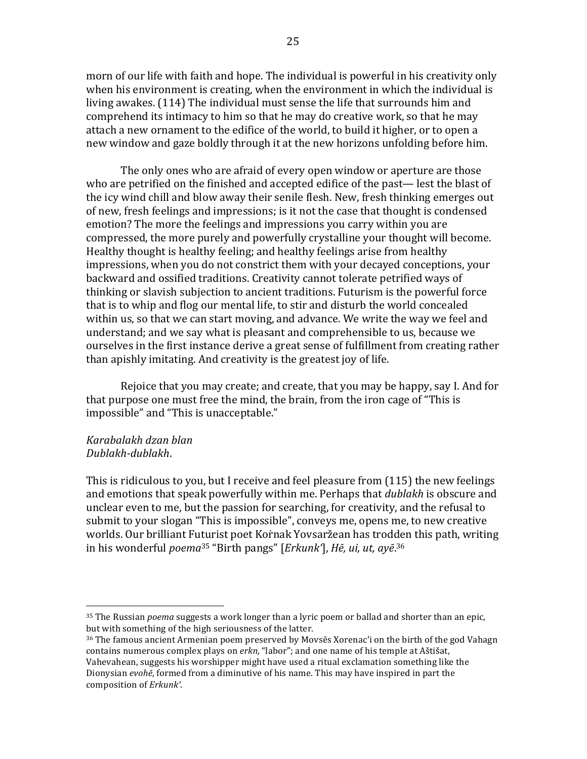morn of our life with faith and hope. The individual is powerful in his creativity only when his environment is creating, when the environment in which the individual is living awakes. (114) The individual must sense the life that surrounds him and comprehend its intimacy to him so that he may do creative work, so that he may attach a new ornament to the edifice of the world, to build it higher, or to open a new window and gaze boldly through it at the new horizons unfolding before him.

The only ones who are afraid of every open window or aperture are those who are petrified on the finished and accepted edifice of the past— lest the blast of the icy wind chill and blow away their senile flesh. New, fresh thinking emerges out of new, fresh feelings and impressions; is it not the case that thought is condensed emotion? The more the feelings and impressions you carry within you are compressed, the more purely and powerfully crystalline your thought will become. Healthy thought is healthy feeling; and healthy feelings arise from healthy impressions, when you do not constrict them with your decayed conceptions, your backward and ossified traditions. Creativity cannot tolerate petrified ways of thinking or slavish subjection to ancient traditions. Futurism is the powerful force that is to whip and flog our mental life, to stir and disturb the world concealed within us, so that we can start moving, and advance. We write the way we feel and understand; and we say what is pleasant and comprehensible to us, because we ourselves in the first instance derive a great sense of fulfillment from creating rather than apishly imitating. And creativity is the greatest joy of life.

Rejoice that you may create; and create, that you may be happy, say I. And for that purpose one must free the mind, the brain, from the iron cage of "This is impossible" and "This is unacceptable."

### *Karabalakh dzan blan Dublakh-dublakh*.

 

This is ridiculous to you, but I receive and feel pleasure from  $(115)$  the new feelings and emotions that speak powerfully within me. Perhaps that *dublakh* is obscure and unclear even to me, but the passion for searching, for creativity, and the refusal to submit to your slogan "This is impossible", conveys me, opens me, to new creative worlds. Our brilliant Futurist poet Kornak Yovsaržean has trodden this path, writing in his wonderful *poema*<sup>35</sup> "Birth pangs" [*Erkunk'*], *Hē, ui, ut, ayē*.<sup>36</sup>

<sup>35</sup> The Russian *poema* suggests a work longer than a lyric poem or ballad and shorter than an epic, but with something of the high seriousness of the latter.

 $36$  The famous ancient Armenian poem preserved by Movsēs Xorenac'i on the birth of the god Vahagn contains numerous complex plays on erkn, "labor"; and one name of his temple at Aštišat, Vahevahean, suggests his worshipper might have used a ritual exclamation something like the Dionysian *evohe*, formed from a diminutive of his name. This may have inspired in part the composition of *Erkunk'*.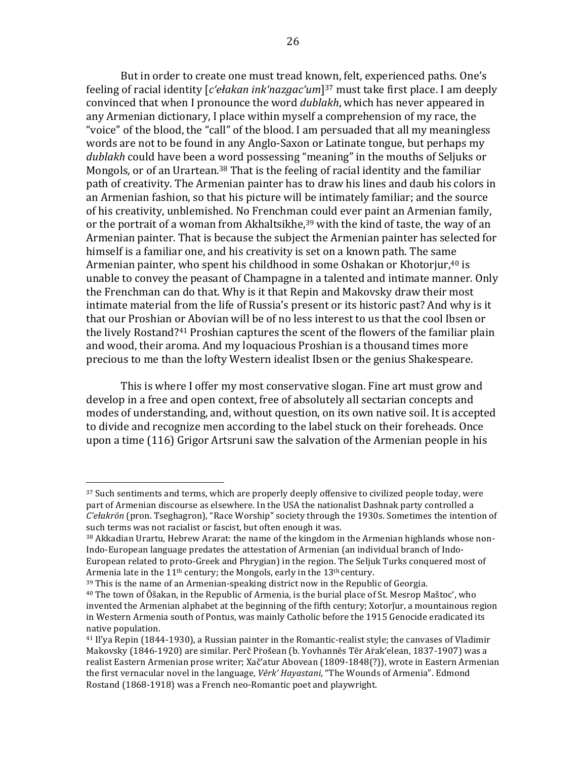But in order to create one must tread known, felt, experienced paths. One's feeling of racial identity [*c'ełakan ink'nazgac'um*]<sup>37</sup> must take first place. I am deeply convinced that when I pronounce the word *dublakh*, which has never appeared in any Armenian dictionary, I place within myself a comprehension of my race, the "voice" of the blood, the "call" of the blood. I am persuaded that all my meaningless words are not to be found in any Anglo-Saxon or Latinate tongue, but perhaps my *dublakh* could have been a word possessing "meaning" in the mouths of Seljuks or Mongols, or of an Urartean.<sup>38</sup> That is the feeling of racial identity and the familiar path of creativity. The Armenian painter has to draw his lines and daub his colors in an Armenian fashion, so that his picture will be intimately familiar; and the source of his creativity, unblemished. No Frenchman could ever paint an Armenian family, or the portrait of a woman from Akhaltsikhe, $39$  with the kind of taste, the way of an Armenian painter. That is because the subject the Armenian painter has selected for himself is a familiar one, and his creativity is set on a known path. The same Armenian painter, who spent his childhood in some Oshakan or Khotorjur,<sup>40</sup> is unable to convey the peasant of Champagne in a talented and intimate manner. Only the Frenchman can do that. Why is it that Repin and Makovsky draw their most intimate material from the life of Russia's present or its historic past? And why is it that our Proshian or Abovian will be of no less interest to us that the cool Ibsen or the lively Rostand?<sup>41</sup> Proshian captures the scent of the flowers of the familiar plain and wood, their aroma. And my loquacious Proshian is a thousand times more precious to me than the lofty Western idealist Ibsen or the genius Shakespeare.

This is where I offer my most conservative slogan. Fine art must grow and develop in a free and open context, free of absolutely all sectarian concepts and modes of understanding, and, without question, on its own native soil. It is accepted to divide and recognize men according to the label stuck on their foreheads. Once upon a time  $(116)$  Grigor Artsruni saw the salvation of the Armenian people in his

 $39$  This is the name of an Armenian-speaking district now in the Republic of Georgia.

<sup>&</sup>lt;sup>37</sup> Such sentiments and terms, which are properly deeply offensive to civilized people today, were part of Armenian discourse as elsewhere. In the USA the nationalist Dashnak party controlled a *C'ełakrōn* (pron. Tseghagron), "Race Worship" society through the 1930s. Sometimes the intention of such terms was not racialist or fascist, but often enough it was.

 $38$  Akkadian Urartu, Hebrew Ararat: the name of the kingdom in the Armenian highlands whose non-Indo-European language predates the attestation of Armenian (an individual branch of Indo-European related to proto-Greek and Phrygian) in the region. The Seljuk Turks conquered most of Armenia late in the  $11<sup>th</sup>$  century; the Mongols, early in the  $13<sup>th</sup>$  century.

 $40$  The town of  $\bar{\rm O}$ šakan, in the Republic of Armenia, is the burial place of St. Mesrop Maštoc', who invented the Armenian alphabet at the beginning of the fifth century; Xotorjur, a mountainous region in Western Armenia south of Pontus, was mainly Catholic before the 1915 Genocide eradicated its native population.

 $41$  Il'ya Repin (1844-1930), a Russian painter in the Romantic-realist style; the canvases of Vladimir Makovsky (1846-1920) are similar. Perč Prošean (b. Yovhannēs Tēr Arak'elean, 1837-1907) was a realist Eastern Armenian prose writer; Xač'atur Abovean (1809-1848(?)), wrote in Eastern Armenian the first vernacular novel in the language, *Vērk' Hayastani*, "The Wounds of Armenia". Edmond Rostand (1868-1918) was a French neo-Romantic poet and playwright.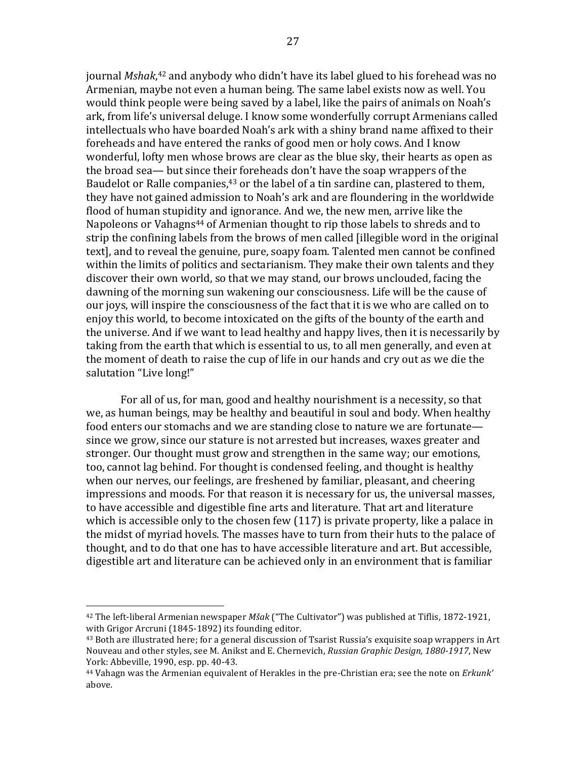journal *Mshak*,<sup>42</sup> and anybody who didn't have its label glued to his forehead was no Armenian, maybe not even a human being. The same label exists now as well. You would think people were being saved by a label, like the pairs of animals on Noah's ark, from life's universal deluge. I know some wonderfully corrupt Armenians called intellectuals who have boarded Noah's ark with a shiny brand name affixed to their foreheads and have entered the ranks of good men or holy cows. And I know wonderful, lofty men whose brows are clear as the blue sky, their hearts as open as the broad sea— but since their foreheads don't have the soap wrappers of the Baudelot or Ralle companies,<sup>43</sup> or the label of a tin sardine can, plastered to them, they have not gained admission to Noah's ark and are floundering in the worldwide flood of human stupidity and ignorance. And we, the new men, arrive like the Napoleons or Vahagns<sup>44</sup> of Armenian thought to rip those labels to shreds and to strip the confining labels from the brows of men called [illegible word in the original text], and to reveal the genuine, pure, soapy foam. Talented men cannot be confined within the limits of politics and sectarianism. They make their own talents and they discover their own world, so that we may stand, our brows unclouded, facing the dawning of the morning sun wakening our consciousness. Life will be the cause of our joys, will inspire the consciousness of the fact that it is we who are called on to enjoy this world, to become intoxicated on the gifts of the bounty of the earth and the universe. And if we want to lead healthy and happy lives, then it is necessarily by taking from the earth that which is essential to us, to all men generally, and even at the moment of death to raise the cup of life in our hands and cry out as we die the salutation "Live long!"

For all of us, for man, good and healthy nourishment is a necessity, so that we, as human beings, may be healthy and beautiful in soul and body. When healthy food enters our stomachs and we are standing close to nature we are fortunate since we grow, since our stature is not arrested but increases, waxes greater and stronger. Our thought must grow and strengthen in the same way; our emotions, too, cannot lag behind. For thought is condensed feeling, and thought is healthy when our nerves, our feelings, are freshened by familiar, pleasant, and cheering impressions and moods. For that reason it is necessary for us, the universal masses, to have accessible and digestible fine arts and literature. That art and literature which is accessible only to the chosen few  $(117)$  is private property, like a palace in the midst of myriad hovels. The masses have to turn from their huts to the palace of thought, and to do that one has to have accessible literature and art. But accessible, digestible art and literature can be achieved only in an environment that is familiar

<sup>&</sup>lt;sup>42</sup> The left-liberal Armenian newspaper *Mšak* ("The Cultivator") was published at Tiflis, 1872-1921, with Grigor Arcruni (1845-1892) its founding editor.

 $43$  Both are illustrated here; for a general discussion of Tsarist Russia's exquisite soap wrappers in Art Nouveau and other styles, see M. Anikst and E. Chernevich, *Russian Graphic Design, 1880-1917*, New York: Abbeville, 1990, esp. pp. 40-43.

<sup>&</sup>lt;sup>44</sup> Vahagn was the Armenian equivalent of Herakles in the pre-Christian era; see the note on *Erkunk'* above.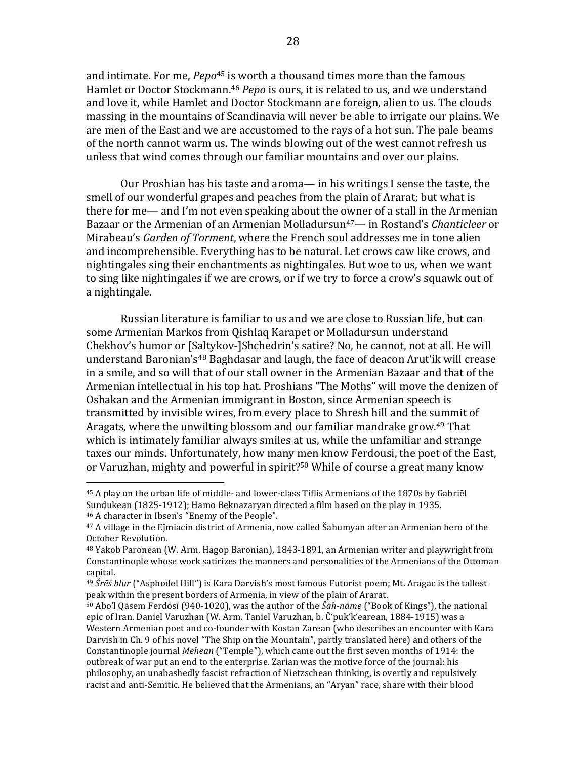and intimate. For me, *Pepo*<sup>45</sup> is worth a thousand times more than the famous Hamlet or Doctor Stockmann.<sup>46</sup> *Pepo* is ours, it is related to us, and we understand and love it, while Hamlet and Doctor Stockmann are foreign, alien to us. The clouds massing in the mountains of Scandinavia will never be able to irrigate our plains. We are men of the East and we are accustomed to the rays of a hot sun. The pale beams of the north cannot warm us. The winds blowing out of the west cannot refresh us unless that wind comes through our familiar mountains and over our plains.

Our Proshian has his taste and aroma— in his writings I sense the taste, the smell of our wonderful grapes and peaches from the plain of Ararat; but what is there for me— and I'm not even speaking about the owner of a stall in the Armenian Bazaar or the Armenian of an Armenian Molladursun<sup>47</sup>— in Rostand's *Chanticleer* or Mirabeau's *Garden of Torment*, where the French soul addresses me in tone alien and incomprehensible. Everything has to be natural. Let crows caw like crows, and nightingales sing their enchantments as nightingales. But woe to us, when we want to sing like nightingales if we are crows, or if we try to force a crow's squawk out of a nightingale.

Russian literature is familiar to us and we are close to Russian life, but can some Armenian Markos from Qishlaq Karapet or Molladursun understand Chekhov's humor or [Saltykov-]Shchedrin's satire? No, he cannot, not at all. He will understand Baronian's<sup>48</sup> Baghdasar and laugh, the face of deacon Arut'ik will crease in a smile, and so will that of our stall owner in the Armenian Bazaar and that of the Armenian intellectual in his top hat. Proshians "The Moths" will move the denizen of Oshakan and the Armenian immigrant in Boston, since Armenian speech is transmitted by invisible wires, from every place to Shresh hill and the summit of Aragats, where the unwilting blossom and our familiar mandrake grow.<sup>49</sup> That which is intimately familiar always smiles at us, while the unfamiliar and strange taxes our minds. Unfortunately, how many men know Ferdousi, the poet of the East, or Varuzhan, mighty and powerful in spirit?<sup>50</sup> While of course a great many know

<sup>&</sup>lt;sup>45</sup> A play on the urban life of middle- and lower-class Tiflis Armenians of the 1870s by Gabriel Sundukean  $(1825-1912)$ ; Hamo Beknazaryan directed a film based on the play in 1935. <sup>46</sup> A character in Ibsen's "Enemy of the People".

 $47$  A village in the  $\bar{E}$ jmiacin district of Armenia, now called Šahumyan after an Armenian hero of the October Revolution.

 $48$  Yakob Paronean (W. Arm. Hagop Baronian), 1843-1891, an Armenian writer and playwright from Constantinople whose work satirizes the manners and personalities of the Armenians of the Ottoman capital.

<sup>&</sup>lt;sup>49</sup> *Šrēš blur* ("Asphodel Hill") is Kara Darvish's most famous Futurist poem; Mt. Aragac is the tallest peak within the present borders of Armenia, in view of the plain of Ararat.

<sup>&</sup>lt;sup>50</sup> Abo'l Qāsem Ferdōsī (940-1020), was the author of the Šāh-nāme ("Book of Kings"), the national epic of Iran. Daniel Varuzhan (W. Arm. Taniel Varuzhan, b. Č'puk'k'earean, 1884-1915) was a Western Armenian poet and co-founder with Kostan Zarean (who describes an encounter with Kara Darvish in Ch. 9 of his novel "The Ship on the Mountain", partly translated here) and others of the Constantinople journal *Mehean* ("Temple"), which came out the first seven months of 1914: the outbreak of war put an end to the enterprise. Zarian was the motive force of the journal: his philosophy, an unabashedly fascist refraction of Nietzschean thinking, is overtly and repulsively racist and anti-Semitic. He believed that the Armenians, an "Aryan" race, share with their blood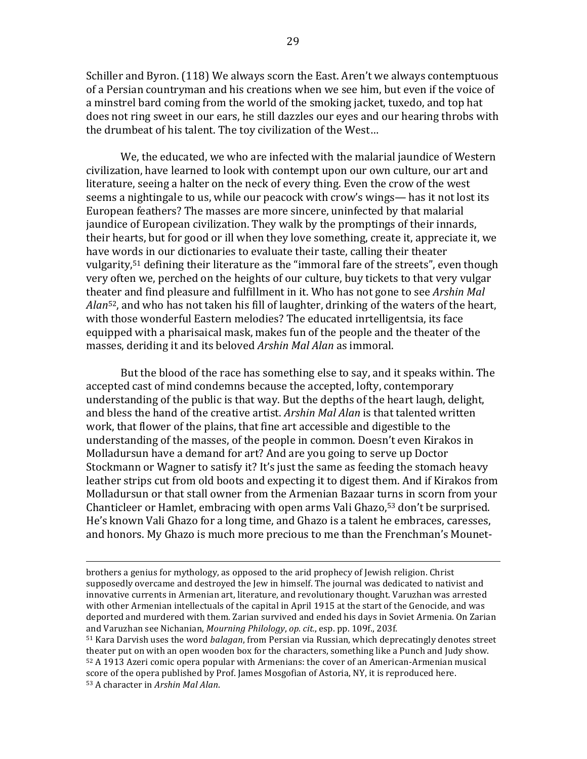Schiller and Byron. (118) We always scorn the East. Aren't we always contemptuous of a Persian countryman and his creations when we see him, but even if the voice of a minstrel bard coming from the world of the smoking jacket, tuxedo, and top hat does not ring sweet in our ears, he still dazzles our eves and our hearing throbs with the drumbeat of his talent. The toy civilization of the West...

We, the educated, we who are infected with the malarial jaundice of Western civilization, have learned to look with contempt upon our own culture, our art and literature, seeing a halter on the neck of every thing. Even the crow of the west seems a nightingale to us, while our peacock with crow's wings— has it not lost its European feathers? The masses are more sincere, uninfected by that malarial jaundice of European civilization. They walk by the promptings of their innards, their hearts, but for good or ill when they love something, create it, appreciate it, we have words in our dictionaries to evaluate their taste, calling their theater vulgarity,<sup>51</sup> defining their literature as the "immoral fare of the streets", even though very often we, perched on the heights of our culture, buy tickets to that very vulgar theater and find pleasure and fulfillment in it. Who has not gone to see *Arshin Mal Alan*<sup>52</sup>, and who has not taken his fill of laughter, drinking of the waters of the heart, with those wonderful Eastern melodies? The educated inrtelligentsia, its face equipped with a pharisaical mask, makes fun of the people and the theater of the masses, deriding it and its beloved *Arshin Mal Alan* as immoral.

But the blood of the race has something else to say, and it speaks within. The accepted cast of mind condemns because the accepted, lofty, contemporary understanding of the public is that way. But the depths of the heart laugh, delight, and bless the hand of the creative artist. *Arshin Mal Alan* is that talented written work, that flower of the plains, that fine art accessible and digestible to the understanding of the masses, of the people in common. Doesn't even Kirakos in Molladursun have a demand for art? And are you going to serve up Doctor Stockmann or Wagner to satisfy it? It's just the same as feeding the stomach heavy leather strips cut from old boots and expecting it to digest them. And if Kirakos from Molladursun or that stall owner from the Armenian Bazaar turns in scorn from your Chanticleer or Hamlet, embracing with open arms Vali Ghazo,  $53$  don't be surprised. He's known Vali Ghazo for a long time, and Ghazo is a talent he embraces, caresses, and honors. My Ghazo is much more precious to me than the Frenchman's Mounet-

<u> 1989 - Andrea Santa Andrea Andrea Andrea Andrea Andrea Andrea Andrea Andrea Andrea Andrea Andrea Andrea Andr</u>

brothers a genius for mythology, as opposed to the arid prophecy of Jewish religion. Christ supposedly overcame and destroyed the Jew in himself. The journal was dedicated to nativist and innovative currents in Armenian art, literature, and revolutionary thought. Varuzhan was arrested with other Armenian intellectuals of the capital in April 1915 at the start of the Genocide, and was deported and murdered with them. Zarian survived and ended his days in Soviet Armenia. On Zarian and Varuzhan see Nichanian, *Mourning Philology*, *op. cit.*, esp. pp. 109f., 203f.

<sup>&</sup>lt;sup>51</sup> Kara Darvish uses the word *balagan*, from Persian via Russian, which deprecatingly denotes street theater put on with an open wooden box for the characters, something like a Punch and Judy show.  $52$  A 1913 Azeri comic opera popular with Armenians: the cover of an American-Armenian musical score of the opera published by Prof. James Mosgofian of Astoria, NY, it is reproduced here. 53 A character in Arshin Mal Alan.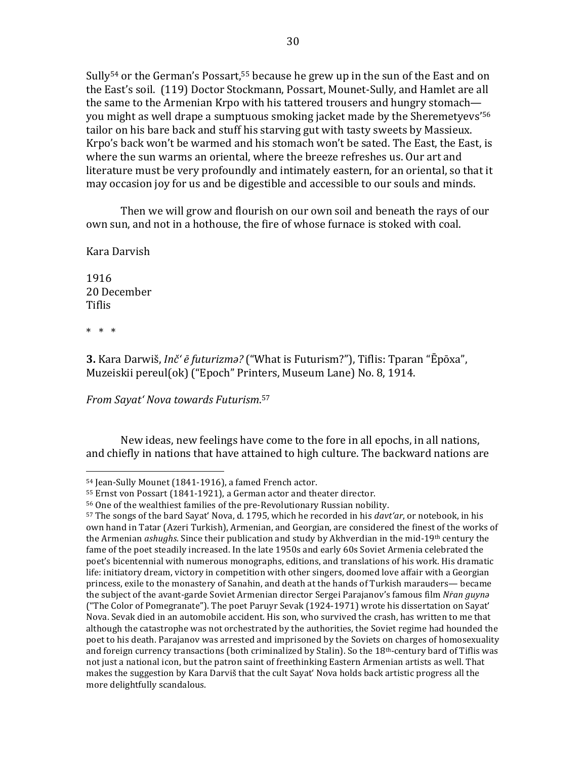Sully<sup>54</sup> or the German's Possart,<sup>55</sup> because he grew up in the sun of the East and on the East's soil. (119) Doctor Stockmann, Possart, Mounet-Sully, and Hamlet are all the same to the Armenian Krpo with his tattered trousers and hungry stomach you might as well drape a sumptuous smoking jacket made by the Sheremetyevs<sup>'56</sup> tailor on his bare back and stuff his starving gut with tasty sweets by Massieux. Krpo's back won't be warmed and his stomach won't be sated. The East, the East, is where the sun warms an oriental, where the breeze refreshes us. Our art and literature must be very profoundly and intimately eastern, for an oriental, so that it may occasion joy for us and be digestible and accessible to our souls and minds.

Then we will grow and flourish on our own soil and beneath the rays of our own sun, and not in a hothouse, the fire of whose furnace is stoked with coal.

Kara Darvish

1916 20 December Tiflis

\* \* \*

**3.** Kara Darwiš, *Inč' ē futurizma?* ("What is Futurism?"), Tiflis: Tparan "Ēpōxa", Muzeiskii pereul(ok) ("Epoch" Printers, Museum Lane) No. 8, 1914.

*From Sayat' Nova towards Futurism*. 57

 

New ideas, new feelings have come to the fore in all epochs, in all nations, and chiefly in nations that have attained to high culture. The backward nations are

<sup>54</sup> Jean-Sully Mounet (1841-1916), a famed French actor.

<sup>55</sup> Ernst von Possart (1841-1921), a German actor and theater director.

<sup>&</sup>lt;sup>56</sup> One of the wealthiest families of the pre-Revolutionary Russian nobility.

<sup>57</sup> The songs of the bard Sayat' Nova, d. 1795, which he recorded in his *davt'ar*, or notebook, in his own hand in Tatar (Azeri Turkish), Armenian, and Georgian, are considered the finest of the works of the Armenian *ashughs*. Since their publication and study by Akhverdian in the mid-19<sup>th</sup> century the fame of the poet steadily increased. In the late 1950s and early 60s Soviet Armenia celebrated the poet's bicentennial with numerous monographs, editions, and translations of his work. His dramatic life: initiatory dream, victory in competition with other singers, doomed love affair with a Georgian princess, exile to the monastery of Sanahin, and death at the hands of Turkish marauders— became the subject of the avant-garde Soviet Armenian director Sergei Parajanov's famous film *Nran guyna* ("The Color of Pomegranate"). The poet Paruyr Sevak  $(1924-1971)$  wrote his dissertation on Sayat' Nova. Sevak died in an automobile accident. His son, who survived the crash, has written to me that although the catastrophe was not orchestrated by the authorities, the Soviet regime had hounded the poet to his death. Parajanov was arrested and imprisoned by the Soviets on charges of homosexuality and foreign currency transactions (both criminalized by Stalin). So the  $18<sup>th</sup>$ -century bard of Tiflis was not just a national icon, but the patron saint of freethinking Eastern Armenian artists as well. That makes the suggestion by Kara Darviš that the cult Sayat' Nova holds back artistic progress all the more delightfully scandalous.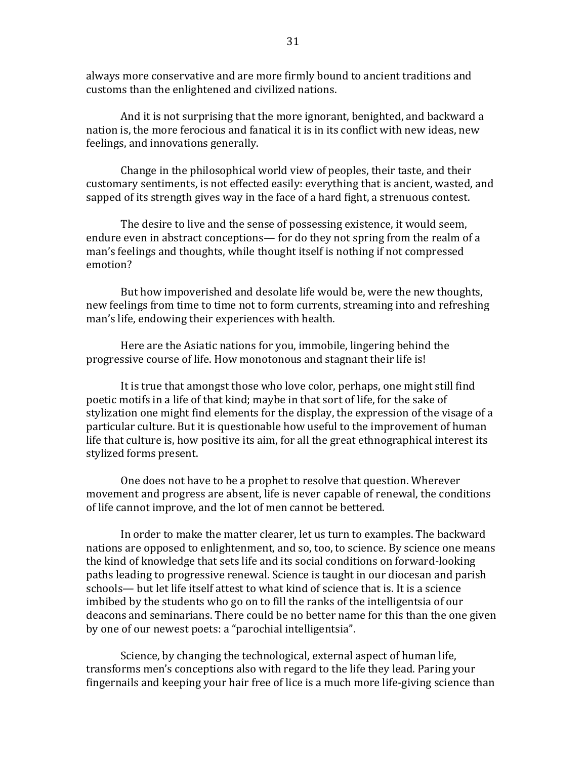always more conservative and are more firmly bound to ancient traditions and customs than the enlightened and civilized nations.

And it is not surprising that the more ignorant, benighted, and backward a nation is, the more ferocious and fanatical it is in its conflict with new ideas, new feelings, and innovations generally.

Change in the philosophical world view of peoples, their taste, and their customary sentiments, is not effected easily: everything that is ancient, wasted, and sapped of its strength gives way in the face of a hard fight, a strenuous contest.

The desire to live and the sense of possessing existence, it would seem, endure even in abstract conceptions— for do they not spring from the realm of a man's feelings and thoughts, while thought itself is nothing if not compressed emotion?

But how impoverished and desolate life would be, were the new thoughts, new feelings from time to time not to form currents, streaming into and refreshing man's life, endowing their experiences with health.

Here are the Asiatic nations for you, immobile, lingering behind the progressive course of life. How monotonous and stagnant their life is!

It is true that amongst those who love color, perhaps, one might still find poetic motifs in a life of that kind; maybe in that sort of life, for the sake of stylization one might find elements for the display, the expression of the visage of a particular culture. But it is questionable how useful to the improvement of human life that culture is, how positive its aim, for all the great ethnographical interest its stylized forms present.

One does not have to be a prophet to resolve that question. Wherever movement and progress are absent, life is never capable of renewal, the conditions of life cannot improve, and the lot of men cannot be bettered.

In order to make the matter clearer, let us turn to examples. The backward nations are opposed to enlightenment, and so, too, to science. By science one means the kind of knowledge that sets life and its social conditions on forward-looking paths leading to progressive renewal. Science is taught in our diocesan and parish schools— but let life itself attest to what kind of science that is. It is a science imbibed by the students who go on to fill the ranks of the intelligentsia of our deacons and seminarians. There could be no better name for this than the one given by one of our newest poets: a "parochial intelligentsia".

Science, by changing the technological, external aspect of human life, transforms men's conceptions also with regard to the life they lead. Paring your fingernails and keeping your hair free of lice is a much more life-giving science than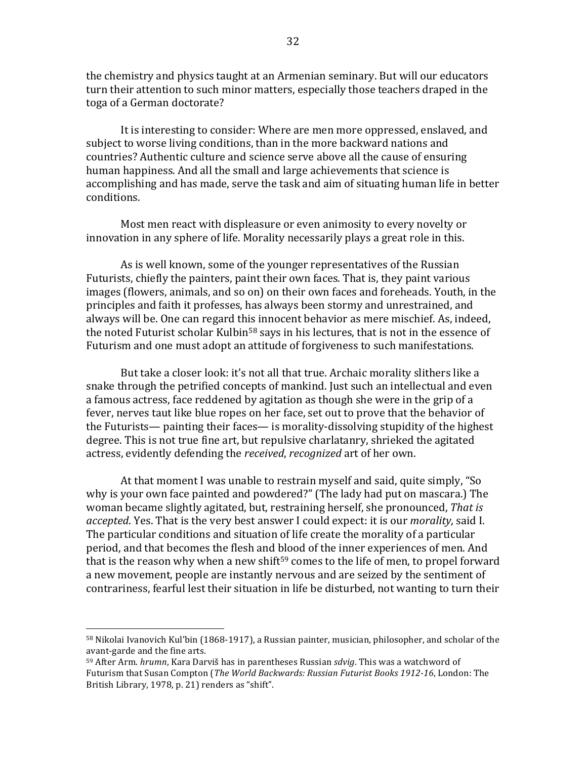the chemistry and physics taught at an Armenian seminary. But will our educators turn their attention to such minor matters, especially those teachers draped in the toga of a German doctorate?

It is interesting to consider: Where are men more oppressed, enslaved, and subject to worse living conditions, than in the more backward nations and countries? Authentic culture and science serve above all the cause of ensuring human happiness. And all the small and large achievements that science is accomplishing and has made, serve the task and aim of situating human life in better conditions.

Most men react with displeasure or even animosity to every novelty or innovation in any sphere of life. Morality necessarily plays a great role in this.

As is well known, some of the vounger representatives of the Russian Futurists, chiefly the painters, paint their own faces. That is, they paint various images (flowers, animals, and so on) on their own faces and foreheads. Youth, in the principles and faith it professes, has always been stormy and unrestrained, and always will be. One can regard this innocent behavior as mere mischief. As, indeed, the noted Futurist scholar Kulbin<sup>58</sup> says in his lectures, that is not in the essence of Futurism and one must adopt an attitude of forgiveness to such manifestations.

But take a closer look: it's not all that true. Archaic morality slithers like a snake through the petrified concepts of mankind. Just such an intellectual and even a famous actress, face reddened by agitation as though she were in the grip of a fever, nerves taut like blue ropes on her face, set out to prove that the behavior of the Futurists— painting their faces— is morality-dissolving stupidity of the highest degree. This is not true fine art, but repulsive charlatanry, shrieked the agitated actress, evidently defending the *received*, *recognized* art of her own.

At that moment I was unable to restrain myself and said, quite simply, "So why is your own face painted and powdered?" (The lady had put on mascara.) The woman became slightly agitated, but, restraining herself, she pronounced, That is *accepted*. Yes. That is the very best answer I could expect: it is our *morality*, said I. The particular conditions and situation of life create the morality of a particular period, and that becomes the flesh and blood of the inner experiences of men. And that is the reason why when a new shift<sup>59</sup> comes to the life of men, to propel forward a new movement, people are instantly nervous and are seized by the sentiment of contrariness, fearful lest their situation in life be disturbed, not wanting to turn their

 $58$  Nikolai Ivanovich Kul'bin (1868-1917), a Russian painter, musician, philosopher, and scholar of the avant-garde and the fine arts.

<sup>&</sup>lt;sup>59</sup> After Arm. *hrumn*, Kara Darviš has in parentheses Russian *sdviq*. This was a watchword of Futurism that Susan Compton (The World Backwards: Russian Futurist Books 1912-16, London: The British Library, 1978, p. 21) renders as "shift".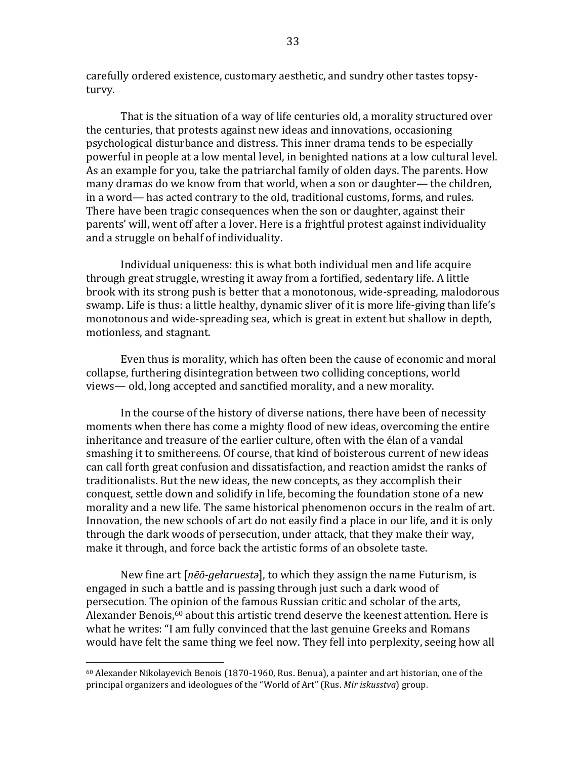carefully ordered existence, customary aesthetic, and sundry other tastes topsyturvy.

That is the situation of a way of life centuries old, a morality structured over the centuries, that protests against new ideas and innovations, occasioning psychological disturbance and distress. This inner drama tends to be especially powerful in people at a low mental level, in benighted nations at a low cultural level. As an example for you, take the patriarchal family of olden days. The parents. How many dramas do we know from that world, when a son or daughter— the children, in a word— has acted contrary to the old, traditional customs, forms, and rules. There have been tragic consequences when the son or daughter, against their parents' will, went off after a lover. Here is a frightful protest against individuality and a struggle on behalf of individuality.

Individual uniqueness: this is what both individual men and life acquire through great struggle, wresting it away from a fortified, sedentary life. A little brook with its strong push is better that a monotonous, wide-spreading, malodorous swamp. Life is thus: a little healthy, dynamic sliver of it is more life-giving than life's monotonous and wide-spreading sea, which is great in extent but shallow in depth, motionless, and stagnant.

Even thus is morality, which has often been the cause of economic and moral collapse, furthering disintegration between two colliding conceptions, world views— old, long accepted and sanctified morality, and a new morality.

In the course of the history of diverse nations, there have been of necessity moments when there has come a mighty flood of new ideas, overcoming the entire inheritance and treasure of the earlier culture, often with the élan of a vandal smashing it to smithereens. Of course, that kind of boisterous current of new ideas can call forth great confusion and dissatisfaction, and reaction amidst the ranks of traditionalists. But the new ideas, the new concepts, as they accomplish their conquest, settle down and solidify in life, becoming the foundation stone of a new morality and a new life. The same historical phenomenon occurs in the realm of art. Innovation, the new schools of art do not easily find a place in our life, and it is only through the dark woods of persecution, under attack, that they make their way, make it through, and force back the artistic forms of an obsolete taste.

New fine art [*nēō-gełaruesta*], to which they assign the name Futurism, is engaged in such a battle and is passing through just such a dark wood of persecution. The opinion of the famous Russian critic and scholar of the arts, Alexander Benois, $60$  about this artistic trend deserve the keenest attention. Here is what he writes: "I am fully convinced that the last genuine Greeks and Romans would have felt the same thing we feel now. They fell into perplexity, seeing how all

 $60$  Alexander Nikolayevich Benois (1870-1960, Rus. Benua), a painter and art historian, one of the principal organizers and ideologues of the "World of Art" (Rus. Mir iskusstva) group.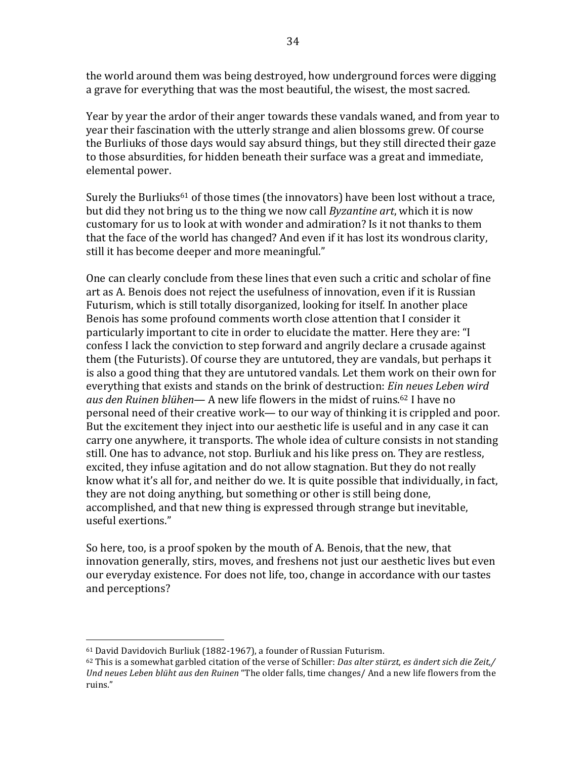the world around them was being destroyed, how underground forces were digging a grave for everything that was the most beautiful, the wisest, the most sacred.

Year by year the ardor of their anger towards these vandals waned, and from year to year their fascination with the utterly strange and alien blossoms grew. Of course the Burliuks of those days would say absurd things, but they still directed their gaze to those absurdities, for hidden beneath their surface was a great and immediate, elemental power.

Surely the Burliuks<sup>61</sup> of those times (the innovators) have been lost without a trace, but did they not bring us to the thing we now call *Byzantine art*, which it is now customary for us to look at with wonder and admiration? Is it not thanks to them that the face of the world has changed? And even if it has lost its wondrous clarity, still it has become deeper and more meaningful."

One can clearly conclude from these lines that even such a critic and scholar of fine art as A. Benois does not reject the usefulness of innovation, even if it is Russian Futurism, which is still totally disorganized, looking for itself. In another place Benois has some profound comments worth close attention that I consider it particularly important to cite in order to elucidate the matter. Here they are: "I confess I lack the conviction to step forward and angrily declare a crusade against them (the Futurists). Of course they are untutored, they are vandals, but perhaps it is also a good thing that they are untutored vandals. Let them work on their own for everything that exists and stands on the brink of destruction: *Ein neues Leben wird aus den Ruinen blühen*— A new life flowers in the midst of ruins.<sup>62</sup> I have no personal need of their creative work— to our way of thinking it is crippled and poor. But the excitement they inject into our aesthetic life is useful and in any case it can carry one anywhere, it transports. The whole idea of culture consists in not standing still. One has to advance, not stop. Burliuk and his like press on. They are restless, excited, they infuse agitation and do not allow stagnation. But they do not really know what it's all for, and neither do we. It is quite possible that individually, in fact, they are not doing anything, but something or other is still being done, accomplished, and that new thing is expressed through strange but inevitable, useful exertions."

So here, too, is a proof spoken by the mouth of A. Benois, that the new, that innovation generally, stirs, moves, and freshens not just our aesthetic lives but even our everyday existence. For does not life, too, change in accordance with our tastes and perceptions?

<sup>&</sup>lt;sup>61</sup> David Davidovich Burliuk (1882-1967), a founder of Russian Futurism.

 $62$  This is a somewhat garbled citation of the verse of Schiller: *Das alter stürzt, es ändert sich die Zeit,/ Und neues Leben blüht aus den Ruinen* "The older falls, time changes/ And a new life flowers from the ruins."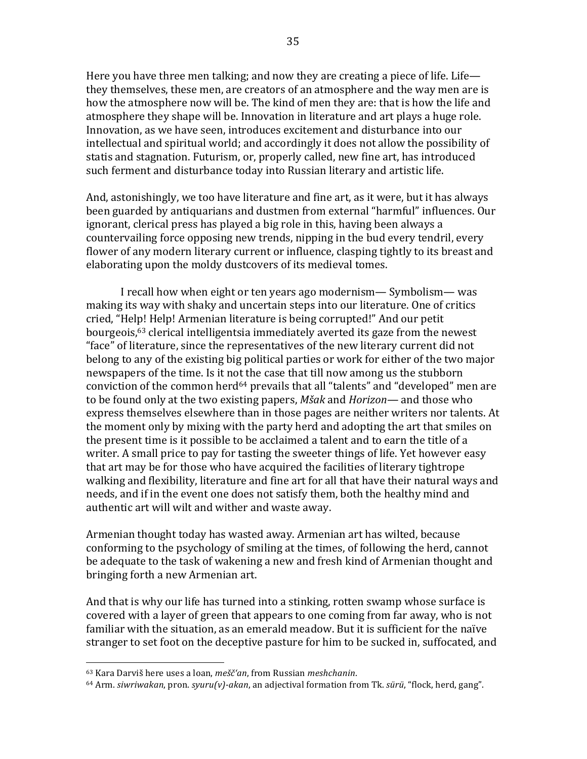Here you have three men talking; and now they are creating a piece of life. Life they themselves, these men, are creators of an atmosphere and the way men are is how the atmosphere now will be. The kind of men they are: that is how the life and atmosphere they shape will be. Innovation in literature and art plays a huge role. Innovation, as we have seen, introduces excitement and disturbance into our intellectual and spiritual world; and accordingly it does not allow the possibility of statis and stagnation. Futurism, or, properly called, new fine art, has introduced such ferment and disturbance today into Russian literary and artistic life.

And, astonishingly, we too have literature and fine art, as it were, but it has always been guarded by antiquarians and dustmen from external "harmful" influences. Our ignorant, clerical press has played a big role in this, having been always a countervailing force opposing new trends, nipping in the bud every tendril, every flower of any modern literary current or influence, clasping tightly to its breast and elaborating upon the moldy dustcovers of its medieval tomes.

I recall how when eight or ten years ago modernism— Symbolism— was making its way with shaky and uncertain steps into our literature. One of critics cried, "Help! Help! Armenian literature is being corrupted!" And our petit bourgeois, $63$  clerical intelligentsia immediately averted its gaze from the newest "face" of literature, since the representatives of the new literary current did not belong to any of the existing big political parties or work for either of the two major newspapers of the time. Is it not the case that till now among us the stubborn conviction of the common herd<sup>64</sup> prevails that all "talents" and "developed" men are to be found only at the two existing papers, *Mšak* and *Horizon*— and those who express themselves elsewhere than in those pages are neither writers nor talents. At the moment only by mixing with the party herd and adopting the art that smiles on the present time is it possible to be acclaimed a talent and to earn the title of a writer. A small price to pay for tasting the sweeter things of life. Yet however easy that art may be for those who have acquired the facilities of literary tightrope walking and flexibility, literature and fine art for all that have their natural ways and needs, and if in the event one does not satisfy them, both the healthy mind and authentic art will wilt and wither and waste away.

Armenian thought today has wasted away. Armenian art has wilted, because conforming to the psychology of smiling at the times, of following the herd, cannot be adequate to the task of wakening a new and fresh kind of Armenian thought and bringing forth a new Armenian art.

And that is why our life has turned into a stinking, rotten swamp whose surface is covered with a layer of green that appears to one coming from far away, who is not familiar with the situation, as an emerald meadow. But it is sufficient for the naïve stranger to set foot on the deceptive pasture for him to be sucked in, suffocated, and

<sup>63</sup> Kara Darviš here uses a loan, *mešč'an*, from Russian *meshchanin*.

<sup>64</sup> Arm. *siwriwakan*, pron. *syuru(v)-akan*, an adjectival formation from Tk. *sürü*, "flock, herd, gang".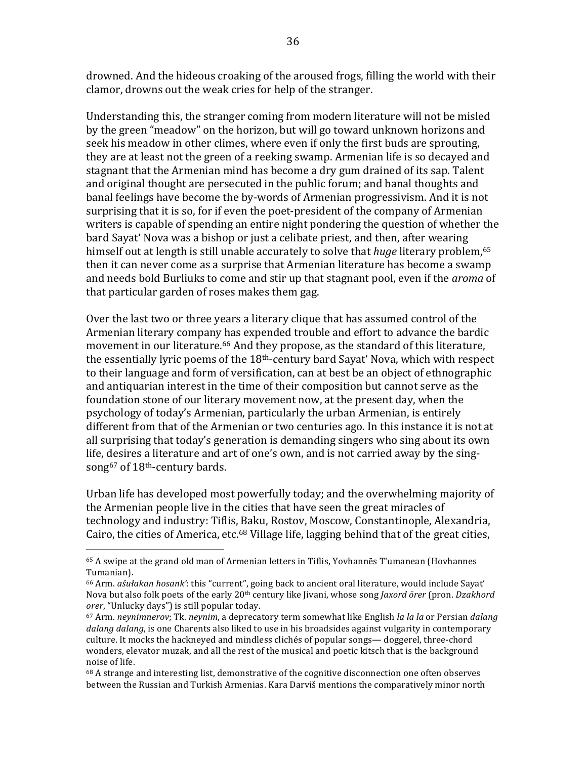drowned. And the hideous croaking of the aroused frogs, filling the world with their clamor, drowns out the weak cries for help of the stranger.

Understanding this, the stranger coming from modern literature will not be misled by the green "meadow" on the horizon, but will go toward unknown horizons and seek his meadow in other climes, where even if only the first buds are sprouting. they are at least not the green of a reeking swamp. Armenian life is so decayed and stagnant that the Armenian mind has become a dry gum drained of its sap. Talent and original thought are persecuted in the public forum; and banal thoughts and banal feelings have become the by-words of Armenian progressivism. And it is not surprising that it is so, for if even the poet-president of the company of Armenian writers is capable of spending an entire night pondering the question of whether the bard Sayat' Nova was a bishop or just a celibate priest, and then, after wearing himself out at length is still unable accurately to solve that *huge* literary problem,<sup>65</sup> then it can never come as a surprise that Armenian literature has become a swamp and needs bold Burliuks to come and stir up that stagnant pool, even if the *aroma* of that particular garden of roses makes them gag.

Over the last two or three years a literary clique that has assumed control of the Armenian literary company has expended trouble and effort to advance the bardic movement in our literature.<sup>66</sup> And they propose, as the standard of this literature, the essentially lyric poems of the  $18<sup>th</sup>$ -century bard Sayat' Nova, which with respect to their language and form of versification, can at best be an object of ethnographic and antiquarian interest in the time of their composition but cannot serve as the foundation stone of our literary movement now, at the present day, when the psychology of today's Armenian, particularly the urban Armenian, is entirely different from that of the Armenian or two centuries ago. In this instance it is not at all surprising that today's generation is demanding singers who sing about its own life, desires a literature and art of one's own, and is not carried away by the singsong<sup>67</sup> of 18<sup>th</sup>-century bards.

Urban life has developed most powerfully today; and the overwhelming majority of the Armenian people live in the cities that have seen the great miracles of technology and industry: Tiflis, Baku, Rostov, Moscow, Constantinople, Alexandria, Cairo, the cities of America, etc.<sup>68</sup> Village life, lagging behind that of the great cities,

 $65$  A swipe at the grand old man of Armenian letters in Tiflis, Yovhannes T'umanean (Hovhannes Tumanian).

<sup>&</sup>lt;sup>66</sup> Arm. *ašułakan hosank'*: this "current", going back to ancient oral literature, would include Sayat' Nova but also folk poets of the early 20<sup>th</sup> century like Jivani, whose song *Jaxord ōrer* (pron. *Dzakhord* orer, "Unlucky days") is still popular today.

<sup>67</sup> Arm. *neynimnerov*; Tk. *neynim*, a deprecatory term somewhat like English *la la la* or Persian *dalang* dalang dalang, is one Charents also liked to use in his broadsides against vulgarity in contemporary culture. It mocks the hackneyed and mindless clichés of popular songs— doggerel, three-chord wonders, elevator muzak, and all the rest of the musical and poetic kitsch that is the background noise of life.

 $68$  A strange and interesting list, demonstrative of the cognitive disconnection one often observes between the Russian and Turkish Armenias. Kara Darviš mentions the comparatively minor north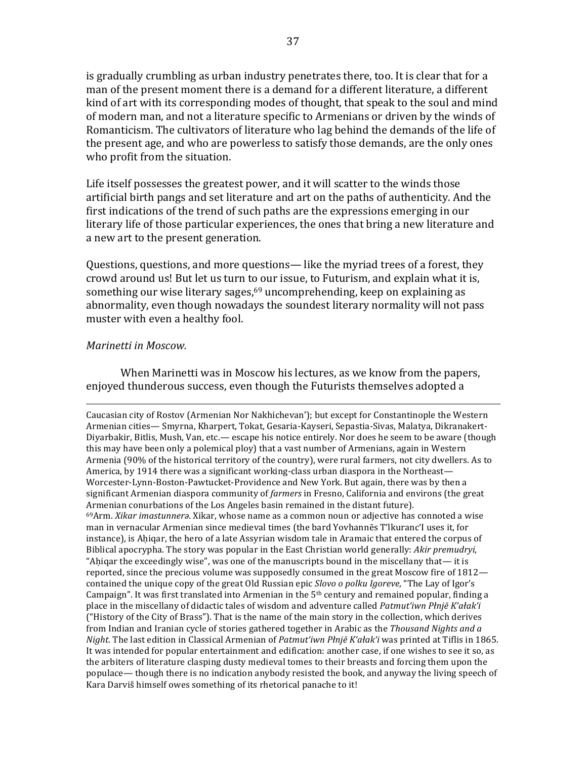is gradually crumbling as urban industry penetrates there, too. It is clear that for a man of the present moment there is a demand for a different literature, a different kind of art with its corresponding modes of thought, that speak to the soul and mind of modern man, and not a literature specific to Armenians or driven by the winds of Romanticism. The cultivators of literature who lag behind the demands of the life of the present age, and who are powerless to satisfy those demands, are the only ones who profit from the situation.

Life itself possesses the greatest power, and it will scatter to the winds those artificial birth pangs and set literature and art on the paths of authenticity. And the first indications of the trend of such paths are the expressions emerging in our literary life of those particular experiences, the ones that bring a new literature and a new art to the present generation.

Questions, questions, and more questions— like the myriad trees of a forest, they crowd around us! But let us turn to our issue, to Futurism, and explain what it is, something our wise literary sages, $69$  uncomprehending, keep on explaining as abnormality, even though nowadays the soundest literary normality will not pass muster with even a healthy fool.

# *Marinetti in Moscow.*

When Marinetti was in Moscow his lectures, as we know from the papers, enjoved thunderous success, even though the Futurists themselves adopted a

<u> 1989 - Andrea Santa Andrea Andrea Andrea Andrea Andrea Andrea Andrea Andrea Andrea Andrea Andrea Andrea Andr</u>

Caucasian city of Rostov (Armenian Nor Nakhichevan'); but except for Constantinople the Western Armenian cities— Smyrna, Kharpert, Tokat, Gesaria-Kayseri, Sepastia-Sivas, Malatya, Dikranakert-Diyarbakir, Bitlis, Mush, Van, etc.— escape his notice entirely. Nor does he seem to be aware (though this may have been only a polemical ploy) that a vast number of Armenians, again in Western Armenia (90% of the historical territory of the country), were rural farmers, not city dwellers. As to America, by 1914 there was a significant working-class urban diaspora in the Northeast— Worcester-Lynn-Boston-Pawtucket-Providence and New York. But again, there was by then a significant Armenian diaspora community of *farmers* in Fresno, California and environs (the great Armenian conurbations of the Los Angeles basin remained in the distant future). <sup>69</sup>Arm. *Xikar imastunnera*. Xikar, whose name as a common noun or adjective has connoted a wise man in vernacular Armenian since medieval times (the bard Yovhannēs T'lkuranc'I uses it, for instance), is Ahiqar, the hero of a late Assyrian wisdom tale in Aramaic that entered the corpus of Biblical apocrypha. The story was popular in the East Christian world generally: *Akir premudryi*, "Ahigar the exceedingly wise", was one of the manuscripts bound in the miscellany that— it is reported, since the precious volume was supposedly consumed in the great Moscow fire of  $1812$ contained the unique copy of the great Old Russian epic *Slovo o polku Igoreve*, "The Lay of Igor's Campaign". It was first translated into Armenian in the  $5<sup>th</sup>$  century and remained popular, finding a place in the miscellany of didactic tales of wisdom and adventure called *Patmut'iwn Płnjē K'ałak'i* ("History of the City of Brass"). That is the name of the main story in the collection, which derives from Indian and Iranian cycle of stories gathered together in Arabic as the *Thousand Nights and a Night*. The last edition in Classical Armenian of *Patmut'iwn Płnjē K'ałak'i* was printed at Tiflis in 1865. It was intended for popular entertainment and edification: another case, if one wishes to see it so, as the arbiters of literature clasping dusty medieval tomes to their breasts and forcing them upon the populace— though there is no indication anybody resisted the book, and anyway the living speech of Kara Darviš himself owes something of its rhetorical panache to it!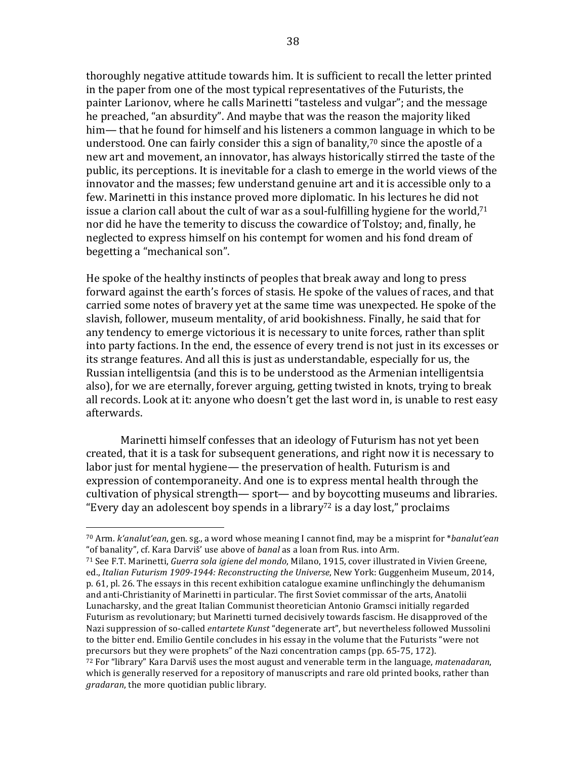thoroughly negative attitude towards him. It is sufficient to recall the letter printed in the paper from one of the most typical representatives of the Futurists, the painter Larionov, where he calls Marinetti "tasteless and vulgar"; and the message he preached, "an absurdity". And maybe that was the reason the majority liked him— that he found for himself and his listeners a common language in which to be understood. One can fairly consider this a sign of banality,<sup>70</sup> since the apostle of a new art and movement, an innovator, has always historically stirred the taste of the public, its perceptions. It is inevitable for a clash to emerge in the world views of the innovator and the masses; few understand genuine art and it is accessible only to a few. Marinetti in this instance proved more diplomatic. In his lectures he did not issue a clarion call about the cult of war as a soul-fulfilling hygiene for the world,<sup>71</sup> nor did he have the temerity to discuss the cowardice of Tolstoy; and, finally, he neglected to express himself on his contempt for women and his fond dream of begetting a "mechanical son".

He spoke of the healthy instincts of peoples that break away and long to press forward against the earth's forces of stasis. He spoke of the values of races, and that carried some notes of bravery yet at the same time was unexpected. He spoke of the slavish, follower, museum mentality, of arid bookishness. Finally, he said that for any tendency to emerge victorious it is necessary to unite forces, rather than split into party factions. In the end, the essence of every trend is not just in its excesses or its strange features. And all this is just as understandable, especially for us, the Russian intelligentsia (and this is to be understood as the Armenian intelligentsia also), for we are eternally, forever arguing, getting twisted in knots, trying to break all records. Look at it: anyone who doesn't get the last word in, is unable to rest easy afterwards.

Marinetti himself confesses that an ideology of Futurism has not yet been created, that it is a task for subsequent generations, and right now it is necessary to labor just for mental hygiene— the preservation of health. Futurism is and expression of contemporaneity. And one is to express mental health through the cultivation of physical strength— sport— and by boycotting museums and libraries. "Every day an adolescent boy spends in a library<sup>72</sup> is a day lost," proclaims

<sup>&</sup>lt;sup>70</sup> Arm. *k'analut'ean*, gen. sg., a word whose meaning I cannot find, may be a misprint for \**banalut'ean* "of banality", cf. Kara Darviš' use above of *banal* as a loan from Rus. into Arm.

<sup>71</sup> See F.T. Marinetti, *Guerra sola igiene del mondo*, Milano, 1915, cover illustrated in Vivien Greene, ed., *Italian Futurism 1909-1944: Reconstructing the Universe*, New York: Guggenheim Museum, 2014, p. 61, pl. 26. The essays in this recent exhibition catalogue examine unflinchingly the dehumanism and anti-Christianity of Marinetti in particular. The first Soviet commissar of the arts, Anatolii Lunacharsky, and the great Italian Communist theoretician Antonio Gramsci initially regarded Futurism as revolutionary; but Marinetti turned decisively towards fascism. He disapproved of the Nazi suppression of so-called *entartete Kunst* "degenerate art", but nevertheless followed Mussolini to the bitter end. Emilio Gentile concludes in his essay in the volume that the Futurists "were not precursors but they were prophets" of the Nazi concentration camps (pp. 65-75, 172).

 $72$  For "library" Kara Darviš uses the most august and venerable term in the language, *matenadaran*, which is generally reserved for a repository of manuscripts and rare old printed books, rather than *gradaran*, the more quotidian public library.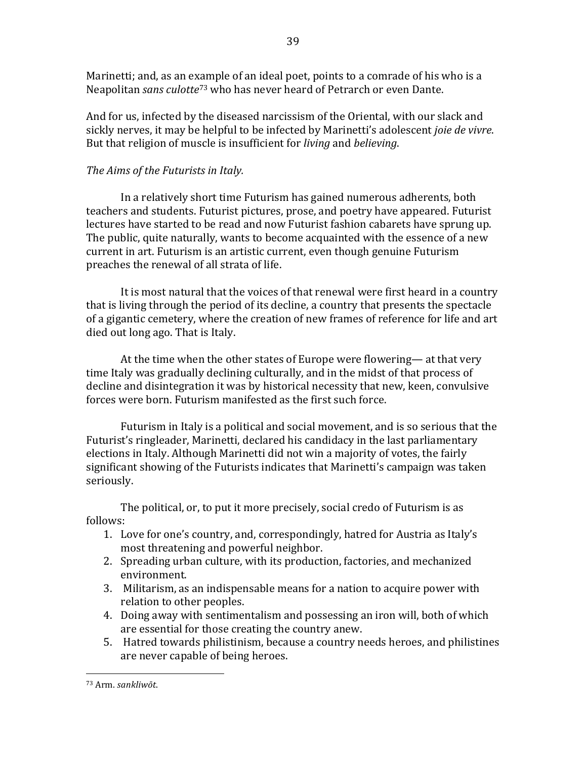Marinetti; and, as an example of an ideal poet, points to a comrade of his who is a Neapolitan *sans culotte*<sup>73</sup> who has never heard of Petrarch or even Dante.

39

And for us, infected by the diseased narcissism of the Oriental, with our slack and sickly nerves, it may be helpful to be infected by Marinetti's adolescent *joie de vivre*. But that religion of muscle is insufficient for *living* and *believing*.

# The Aims of the Futurists in Italy.

In a relatively short time Futurism has gained numerous adherents, both teachers and students. Futurist pictures, prose, and poetry have appeared. Futurist lectures have started to be read and now Futurist fashion cabarets have sprung up. The public, quite naturally, wants to become acquainted with the essence of a new current in art. Futurism is an artistic current, even though genuine Futurism preaches the renewal of all strata of life.

It is most natural that the voices of that renewal were first heard in a country that is living through the period of its decline, a country that presents the spectacle of a gigantic cemetery, where the creation of new frames of reference for life and art died out long ago. That is Italy.

At the time when the other states of Europe were flowering— at that very time Italy was gradually declining culturally, and in the midst of that process of decline and disintegration it was by historical necessity that new, keen, convulsive forces were born. Futurism manifested as the first such force.

Futurism in Italy is a political and social movement, and is so serious that the Futurist's ringleader, Marinetti, declared his candidacy in the last parliamentary elections in Italy. Although Marinetti did not win a majority of votes, the fairly significant showing of the Futurists indicates that Marinetti's campaign was taken seriously. 

The political, or, to put it more precisely, social credo of Futurism is as follows:

- 1. Love for one's country, and, correspondingly, hatred for Austria as Italy's most threatening and powerful neighbor.
- 2. Spreading urban culture, with its production, factories, and mechanized environment.
- 3. Militarism, as an indispensable means for a nation to acquire power with relation to other peoples.
- 4. Doing away with sentimentalism and possessing an iron will, both of which are essential for those creating the country anew.
- 5. Hatred towards philistinism, because a country needs heroes, and philistines are never capable of being heroes.

<sup>73</sup> Arm. *sankliwōt*.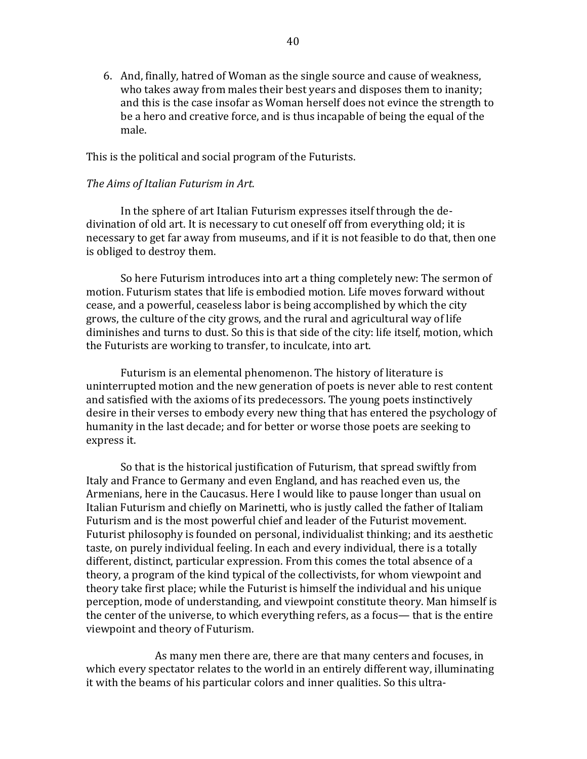6. And, finally, hatred of Woman as the single source and cause of weakness, who takes away from males their best years and disposes them to inanity; and this is the case insofar as Woman herself does not evince the strength to be a hero and creative force, and is thus incapable of being the equal of the male.

This is the political and social program of the Futurists.

## *The Aims of Italian Futurism in Art.*

In the sphere of art Italian Futurism expresses itself through the dedivination of old art. It is necessary to cut oneself off from everything old; it is necessary to get far away from museums, and if it is not feasible to do that, then one is obliged to destroy them.

So here Futurism introduces into art a thing completely new: The sermon of motion. Futurism states that life is embodied motion. Life moves forward without cease, and a powerful, ceaseless labor is being accomplished by which the city grows, the culture of the city grows, and the rural and agricultural way of life diminishes and turns to dust. So this is that side of the city: life itself, motion, which the Futurists are working to transfer, to inculcate, into art.

Futurism is an elemental phenomenon. The history of literature is uninterrupted motion and the new generation of poets is never able to rest content and satisfied with the axioms of its predecessors. The young poets instinctively desire in their verses to embody every new thing that has entered the psychology of humanity in the last decade; and for better or worse those poets are seeking to express it.

So that is the historical justification of Futurism, that spread swiftly from Italy and France to Germany and even England, and has reached even us, the Armenians, here in the Caucasus. Here I would like to pause longer than usual on Italian Futurism and chiefly on Marinetti, who is justly called the father of Italiam Futurism and is the most powerful chief and leader of the Futurist movement. Futurist philosophy is founded on personal, individualist thinking; and its aesthetic taste, on purely individual feeling. In each and every individual, there is a totally different, distinct, particular expression. From this comes the total absence of a theory, a program of the kind typical of the collectivists, for whom viewpoint and theory take first place; while the Futurist is himself the individual and his unique perception, mode of understanding, and viewpoint constitute theory. Man himself is the center of the universe, to which everything refers, as a focus— that is the entire viewpoint and theory of Futurism.

As many men there are, there are that many centers and focuses, in which every spectator relates to the world in an entirely different way, illuminating it with the beams of his particular colors and inner qualities. So this ultra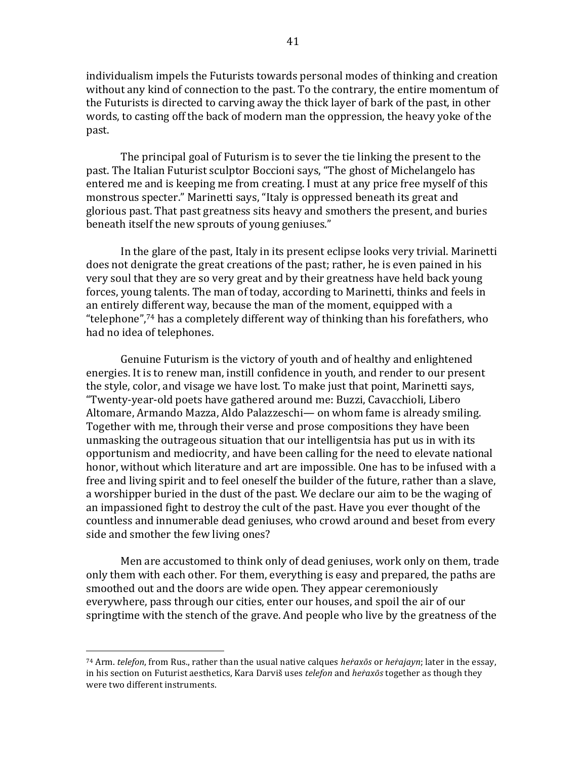individualism impels the Futurists towards personal modes of thinking and creation without any kind of connection to the past. To the contrary, the entire momentum of the Futurists is directed to carving away the thick layer of bark of the past, in other words, to casting off the back of modern man the oppression, the heavy voke of the past.

The principal goal of Futurism is to sever the tie linking the present to the past. The Italian Futurist sculptor Boccioni says, "The ghost of Michelangelo has entered me and is keeping me from creating. I must at any price free myself of this monstrous specter." Marinetti says, "Italy is oppressed beneath its great and glorious past. That past greatness sits heavy and smothers the present, and buries beneath itself the new sprouts of young geniuses."

In the glare of the past, Italy in its present eclipse looks very trivial. Marinetti does not denigrate the great creations of the past; rather, he is even pained in his very soul that they are so very great and by their greatness have held back young forces, young talents. The man of today, according to Marinetti, thinks and feels in an entirely different way, because the man of the moment, equipped with a "telephone",<sup>74</sup> has a completely different way of thinking than his forefathers, who had no idea of telephones.

Genuine Futurism is the victory of youth and of healthy and enlightened energies. It is to renew man, instill confidence in youth, and render to our present the style, color, and visage we have lost. To make just that point, Marinetti says, "Twenty-year-old poets have gathered around me: Buzzi, Cavacchioli, Libero Altomare, Armando Mazza, Aldo Palazzeschi— on whom fame is already smiling. Together with me, through their verse and prose compositions they have been unmasking the outrageous situation that our intelligentsia has put us in with its opportunism and mediocrity, and have been calling for the need to elevate national honor, without which literature and art are impossible. One has to be infused with a free and living spirit and to feel oneself the builder of the future, rather than a slave, a worshipper buried in the dust of the past. We declare our aim to be the waging of an impassioned fight to destroy the cult of the past. Have you ever thought of the countless and innumerable dead geniuses, who crowd around and beset from every side and smother the few living ones?

Men are accustomed to think only of dead geniuses, work only on them, trade only them with each other. For them, everything is easy and prepared, the paths are smoothed out and the doors are wide open. They appear ceremoniously everywhere, pass through our cities, enter our houses, and spoil the air of our springtime with the stench of the grave. And people who live by the greatness of the

<sup>74</sup> Arm. *telefon*, from Rus., rather than the usual native calques *heraxos* or *herajayn*; later in the essay, in his section on Futurist aesthetics, Kara Darviš uses *telefon* and *heraxos* together as though they were two different instruments.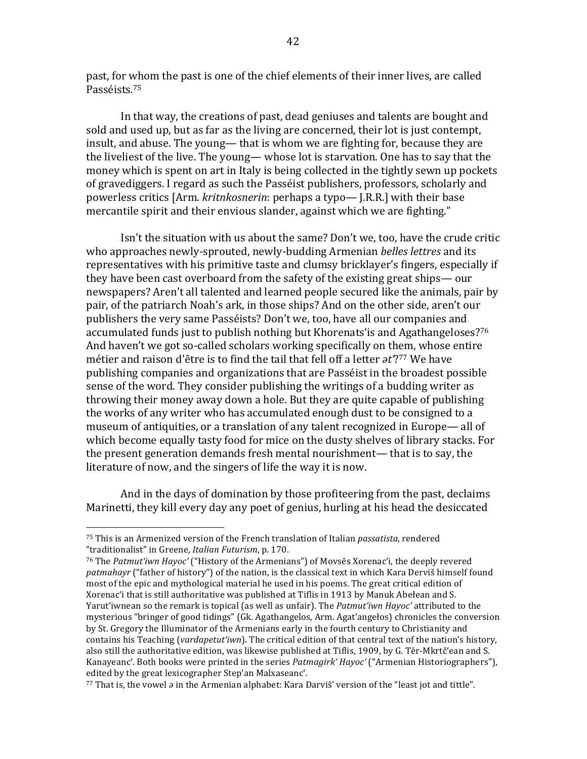past, for whom the past is one of the chief elements of their inner lives, are called Passéists.75

In that way, the creations of past, dead geniuses and talents are bought and sold and used up, but as far as the living are concerned, their lot is just contempt, insult, and abuse. The voung— that is whom we are fighting for, because they are the liveliest of the live. The young— whose lot is starvation. One has to say that the money which is spent on art in Italy is being collected in the tightly sewn up pockets of gravediggers. I regard as such the Passéist publishers, professors, scholarly and powerless critics [Arm. *kritnkosnerin*: perhaps a typo— [.R.R.] with their base mercantile spirit and their envious slander, against which we are fighting."

Isn't the situation with us about the same? Don't we, too, have the crude critic who approaches newly-sprouted, newly-budding Armenian *belles lettres* and its representatives with his primitive taste and clumsy bricklayer's fingers, especially if they have been cast overboard from the safety of the existing great ships— our newspapers? Aren't all talented and learned people secured like the animals, pair by pair, of the patriarch Noah's ark, in those ships? And on the other side, aren't our publishers the very same Passéists? Don't we, too, have all our companies and accumulated funds just to publish nothing but Khorenats' is and Agathangeloses?<sup>76</sup> And haven't we got so-called scholars working specifically on them, whose entire métier and raison d'être is to find the tail that fell off a letter  $\partial t'$ ?<sup>77</sup> We have publishing companies and organizations that are Passéist in the broadest possible sense of the word. They consider publishing the writings of a budding writer as throwing their money away down a hole. But they are quite capable of publishing the works of any writer who has accumulated enough dust to be consigned to a museum of antiquities, or a translation of any talent recognized in Europe— all of which become equally tasty food for mice on the dusty shelves of library stacks. For the present generation demands fresh mental nourishment— that is to say, the literature of now, and the singers of life the way it is now.

And in the days of domination by those profiteering from the past, declaims Marinetti, they kill every day any poet of genius, hurling at his head the desiccated

<sup>&</sup>lt;sup>75</sup> This is an Armenized version of the French translation of Italian *passatista*, rendered "traditionalist" in Greene, *Italian Futurism*, p. 170.

<sup>&</sup>lt;sup>76</sup> The *Patmut'iwn Hayoc'* ("History of the Armenians") of Movsēs Xorenac'i, the deeply revered patmahayr ("father of history") of the nation, is the classical text in which Kara Derviš himself found most of the epic and mythological material he used in his poems. The great critical edition of Xorenac'i that is still authoritative was published at Tiflis in 1913 by Manuk Abełean and S. Yarut'iwnean so the remark is topical (as well as unfair). The *Patmut'iwn Hayoc'* attributed to the mysterious "bringer of good tidings" (Gk. Agathangelos, Arm. Agat'angełos) chronicles the conversion by St. Gregory the Illuminator of the Armenians early in the fourth century to Christianity and contains his Teaching (*vardapetut'iwn*). The critical edition of that central text of the nation's history, also still the authoritative edition, was likewise published at Tiflis, 1909, by G. Tēr-Mkrtč'ean and S. Kanayeanc'. Both books were printed in the series *Patmagirk' Hayoc'* ("Armenian Historiographers"), edited by the great lexicographer Step'an Malxaseanc'.

<sup>77</sup> That is, the vowel  $\partial$  in the Armenian alphabet: Kara Darviš' version of the "least jot and tittle".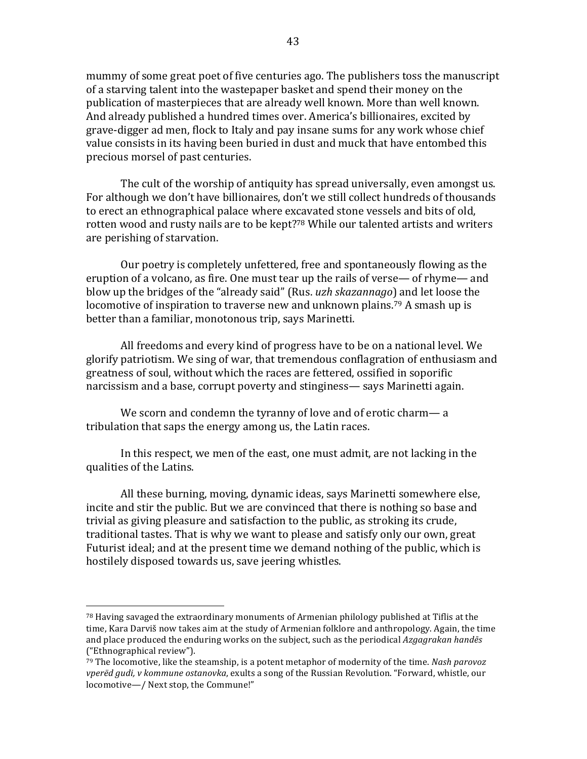mummy of some great poet of five centuries ago. The publishers toss the manuscript of a starving talent into the wastepaper basket and spend their money on the publication of masterpieces that are already well known. More than well known. And already published a hundred times over. America's billionaires, excited by grave-digger ad men, flock to Italy and pay insane sums for any work whose chief value consists in its having been buried in dust and muck that have entombed this precious morsel of past centuries.

The cult of the worship of antiquity has spread universally, even amongst us. For although we don't have billionaires, don't we still collect hundreds of thousands to erect an ethnographical palace where excavated stone vessels and bits of old, rotten wood and rusty nails are to be kept?<sup>78</sup> While our talented artists and writers are perishing of starvation.

Our poetry is completely unfettered, free and spontaneously flowing as the eruption of a volcano, as fire. One must tear up the rails of verse— of rhyme— and blow up the bridges of the "already said" (Rus. *uzh skazannago*) and let loose the locomotive of inspiration to traverse new and unknown plains.<sup>79</sup> A smash up is better than a familiar, monotonous trip, says Marinetti.

All freedoms and every kind of progress have to be on a national level. We glorify patriotism. We sing of war, that tremendous conflagration of enthusiasm and greatness of soul, without which the races are fettered, ossified in soporific narcissism and a base, corrupt poverty and stinginess— says Marinetti again.

We scorn and condemn the tyranny of love and of erotic charm— a tribulation that saps the energy among us, the Latin races.

In this respect, we men of the east, one must admit, are not lacking in the qualities of the Latins.

All these burning, moving, dynamic ideas, says Marinetti somewhere else, incite and stir the public. But we are convinced that there is nothing so base and trivial as giving pleasure and satisfaction to the public, as stroking its crude, traditional tastes. That is why we want to please and satisfy only our own, great Futurist ideal; and at the present time we demand nothing of the public, which is hostilely disposed towards us, save jeering whistles.

 $78$  Having savaged the extraordinary monuments of Armenian philology published at Tiflis at the time, Kara Darviš now takes aim at the study of Armenian folklore and anthropology. Again, the time and place produced the enduring works on the subject, such as the periodical *Azgagrakan handes* ("Ethnographical review").

 $79$  The locomotive, like the steamship, is a potent metaphor of modernity of the time. *Nash parovoz vperëd gudi, v kommune ostanovka*, exults a song of the Russian Revolution. "Forward, whistle, our locomotive-/ Next stop, the Commune!"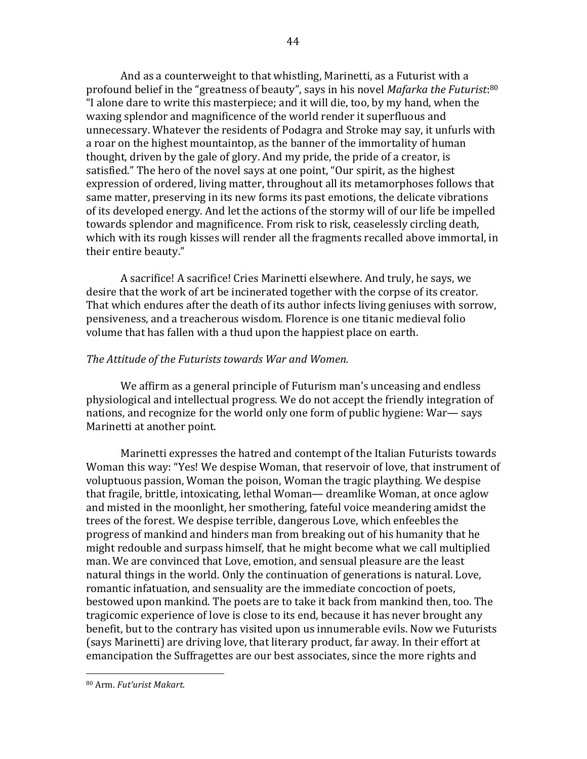And as a counterweight to that whistling, Marinetti, as a Futurist with a profound belief in the "greatness of beauty", says in his novel *Mafarka the Futurist*:<sup>80</sup> "I alone dare to write this masterpiece; and it will die, too, by my hand, when the waxing splendor and magnificence of the world render it superfluous and unnecessary. Whatever the residents of Podagra and Stroke may say, it unfurls with a roar on the highest mountaintop, as the banner of the immortality of human thought, driven by the gale of glory. And my pride, the pride of a creator, is satisfied." The hero of the novel says at one point, "Our spirit, as the highest expression of ordered, living matter, throughout all its metamorphoses follows that same matter, preserving in its new forms its past emotions, the delicate vibrations of its developed energy. And let the actions of the stormy will of our life be impelled towards splendor and magnificence. From risk to risk, ceaselessly circling death, which with its rough kisses will render all the fragments recalled above immortal, in their entire beauty."

A sacrifice! A sacrifice! Cries Marinetti elsewhere. And truly, he says, we desire that the work of art be incinerated together with the corpse of its creator. That which endures after the death of its author infects living geniuses with sorrow, pensiveness, and a treacherous wisdom. Florence is one titanic medieval folio volume that has fallen with a thud upon the happiest place on earth.

# The Attitude of the Futurists towards War and Women.

We affirm as a general principle of Futurism man's unceasing and endless physiological and intellectual progress. We do not accept the friendly integration of nations, and recognize for the world only one form of public hygiene: War— says Marinetti at another point.

Marinetti expresses the hatred and contempt of the Italian Futurists towards Woman this way: "Yes! We despise Woman, that reservoir of love, that instrument of voluptuous passion, Woman the poison, Woman the tragic plaything. We despise that fragile, brittle, intoxicating, lethal Woman— dreamlike Woman, at once aglow and misted in the moonlight, her smothering, fateful voice meandering amidst the trees of the forest. We despise terrible, dangerous Love, which enfeebles the progress of mankind and hinders man from breaking out of his humanity that he might redouble and surpass himself, that he might become what we call multiplied man. We are convinced that Love, emotion, and sensual pleasure are the least natural things in the world. Only the continuation of generations is natural. Love, romantic infatuation, and sensuality are the immediate concoction of poets, bestowed upon mankind. The poets are to take it back from mankind then, too. The tragicomic experience of love is close to its end, because it has never brought any benefit, but to the contrary has visited upon us innumerable evils. Now we Futurists (says Marinetti) are driving love, that literary product, far away. In their effort at emancipation the Suffragettes are our best associates, since the more rights and

<sup>80</sup> Arm. *Fut'urist Makart*.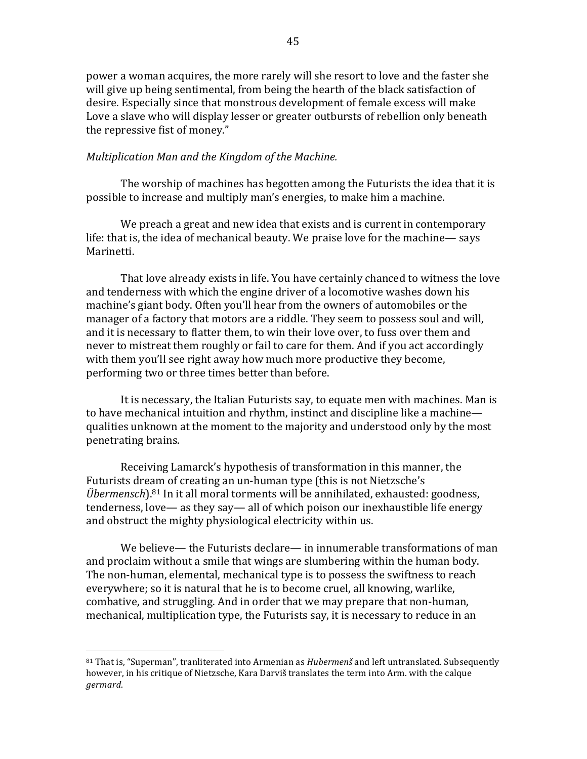power a woman acquires, the more rarely will she resort to love and the faster she will give up being sentimental, from being the hearth of the black satisfaction of desire. Especially since that monstrous development of female excess will make Love a slave who will display lesser or greater outbursts of rebellion only beneath the repressive fist of money."

### *Multiplication Man and the Kingdom of the Machine.*

The worship of machines has begotten among the Futurists the idea that it is possible to increase and multiply man's energies, to make him a machine.

We preach a great and new idea that exists and is current in contemporary life: that is, the idea of mechanical beauty. We praise love for the machine— says Marinetti.

That love already exists in life. You have certainly chanced to witness the love and tenderness with which the engine driver of a locomotive washes down his machine's giant body. Often you'll hear from the owners of automobiles or the manager of a factory that motors are a riddle. They seem to possess soul and will, and it is necessary to flatter them, to win their love over, to fuss over them and never to mistreat them roughly or fail to care for them. And if you act accordingly with them you'll see right away how much more productive they become, performing two or three times better than before.

It is necessary, the Italian Futurists say, to equate men with machines. Man is to have mechanical intuition and rhythm, instinct and discipline like a machine qualities unknown at the moment to the majority and understood only by the most penetrating brains.

Receiving Lamarck's hypothesis of transformation in this manner, the Futurists dream of creating an un-human type (this is not Nietzsche's *Übermensch*).<sup>81</sup> In it all moral torments will be annihilated, exhausted: goodness,  $t$ enderness, love— as they say— all of which poison our inexhaustible life energy and obstruct the mighty physiological electricity within us.

We believe— the Futurists declare— in innumerable transformations of man and proclaim without a smile that wings are slumbering within the human body. The non-human, elemental, mechanical type is to possess the swiftness to reach everywhere; so it is natural that he is to become cruel, all knowing, warlike, combative, and struggling. And in order that we may prepare that non-human, mechanical, multiplication type, the Futurists say, it is necessary to reduce in an

 $81$  That is, "Superman", tranliterated into Armenian as *Hubermenš* and left untranslated. Subsequently however, in his critique of Nietzsche, Kara Darviš translates the term into Arm. with the calque *germard*.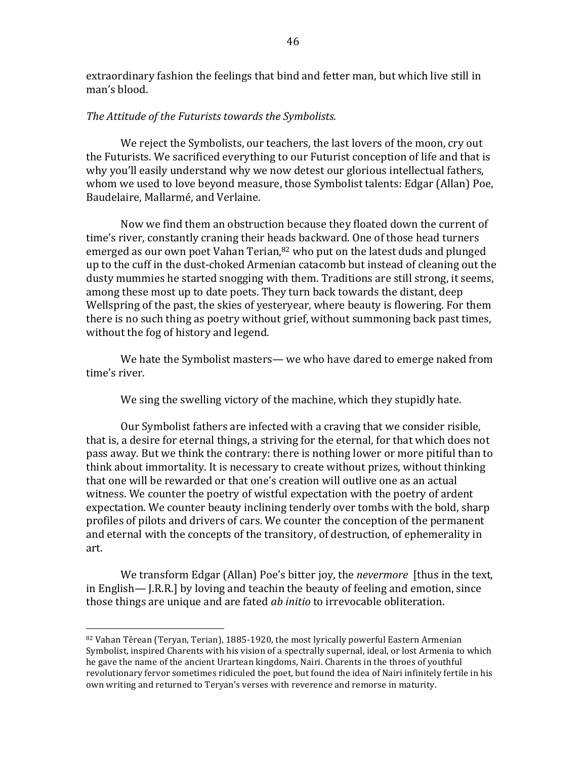extraordinary fashion the feelings that bind and fetter man, but which live still in man's blood.

#### The Attitude of the Futurists towards the Symbolists.

We reject the Symbolists, our teachers, the last lovers of the moon, cry out the Futurists. We sacrificed everything to our Futurist conception of life and that is why you'll easily understand why we now detest our glorious intellectual fathers, whom we used to love beyond measure, those Symbolist talents: Edgar (Allan) Poe, Baudelaire, Mallarmé, and Verlaine.

Now we find them an obstruction because they floated down the current of time's river, constantly craning their heads backward. One of those head turners emerged as our own poet Vahan Terian,  $82$  who put on the latest duds and plunged up to the cuff in the dust-choked Armenian catacomb but instead of cleaning out the dusty mummies he started snogging with them. Traditions are still strong, it seems, among these most up to date poets. They turn back towards the distant, deep Wellspring of the past, the skies of yesteryear, where beauty is flowering. For them there is no such thing as poetry without grief, without summoning back past times, without the fog of history and legend.

We hate the Symbolist masters— we who have dared to emerge naked from time's river.

We sing the swelling victory of the machine, which they stupidly hate.

Our Symbolist fathers are infected with a craving that we consider risible, that is, a desire for eternal things, a striving for the eternal, for that which does not pass away. But we think the contrary: there is nothing lower or more pitiful than to think about immortality. It is necessary to create without prizes, without thinking that one will be rewarded or that one's creation will outlive one as an actual witness. We counter the poetry of wistful expectation with the poetry of ardent expectation. We counter beauty inclining tenderly over tombs with the bold, sharp profiles of pilots and drivers of cars. We counter the conception of the permanent and eternal with the concepts of the transitory, of destruction, of ephemerality in art.

We transform Edgar (Allan) Poe's bitter joy, the *nevermore* [thus in the text, in English— J.R.R.] by loving and teachin the beauty of feeling and emotion, since those things are unique and are fated *ab initio* to irrevocable obliteration.

 $82$  Vahan Tērean (Teryan, Terian), 1885-1920, the most lyrically powerful Eastern Armenian Symbolist, inspired Charents with his vision of a spectrally supernal, ideal, or lost Armenia to which he gave the name of the ancient Urartean kingdoms, Nairi. Charents in the throes of youthful revolutionary fervor sometimes ridiculed the poet, but found the idea of Nairi infinitely fertile in his own writing and returned to Teryan's verses with reverence and remorse in maturity.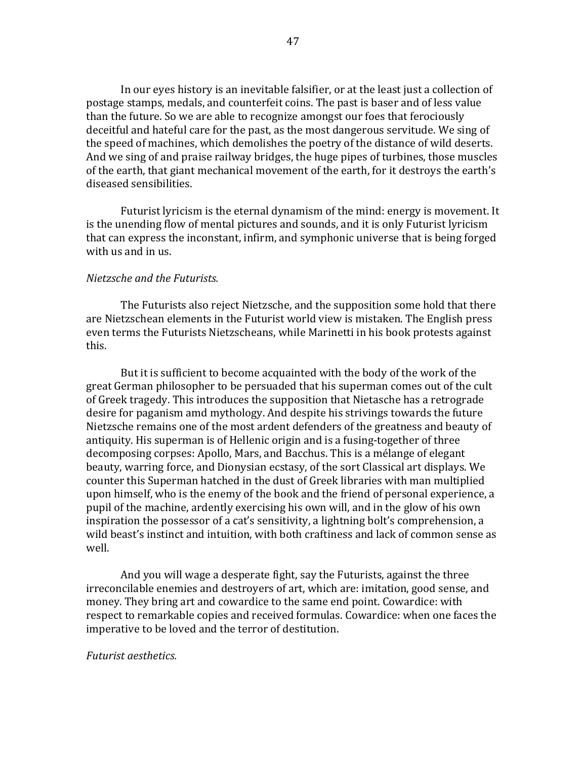In our eyes history is an inevitable falsifier, or at the least just a collection of postage stamps, medals, and counterfeit coins. The past is baser and of less value than the future. So we are able to recognize amongst our foes that ferociously deceitful and hateful care for the past, as the most dangerous servitude. We sing of the speed of machines, which demolishes the poetry of the distance of wild deserts. And we sing of and praise railway bridges, the huge pipes of turbines, those muscles of the earth, that giant mechanical movement of the earth, for it destroys the earth's diseased sensibilities.

Futurist lyricism is the eternal dynamism of the mind: energy is movement. It is the unending flow of mental pictures and sounds, and it is only Futurist lyricism that can express the inconstant, infirm, and symphonic universe that is being forged with us and in us.

# *Nietzsche and the Futurists.*

The Futurists also reject Nietzsche, and the supposition some hold that there are Nietzschean elements in the Futurist world view is mistaken. The English press even terms the Futurists Nietzscheans, while Marinetti in his book protests against this.

But it is sufficient to become acquainted with the body of the work of the great German philosopher to be persuaded that his superman comes out of the cult of Greek tragedy. This introduces the supposition that Nietasche has a retrograde desire for paganism amd mythology. And despite his strivings towards the future Nietzsche remains one of the most ardent defenders of the greatness and beauty of antiquity. His superman is of Hellenic origin and is a fusing-together of three decomposing corpses: Apollo, Mars, and Bacchus. This is a mélange of elegant beauty, warring force, and Dionysian ecstasy, of the sort Classical art displays. We counter this Superman hatched in the dust of Greek libraries with man multiplied upon himself, who is the enemy of the book and the friend of personal experience, a pupil of the machine, ardently exercising his own will, and in the glow of his own inspiration the possessor of a cat's sensitivity, a lightning bolt's comprehension, a wild beast's instinct and intuition, with both craftiness and lack of common sense as well.

And you will wage a desperate fight, say the Futurists, against the three irreconcilable enemies and destroyers of art, which are: imitation, good sense, and money. They bring art and cowardice to the same end point. Cowardice: with respect to remarkable copies and received formulas. Cowardice: when one faces the imperative to be loved and the terror of destitution.

#### *Futurist aesthetics.*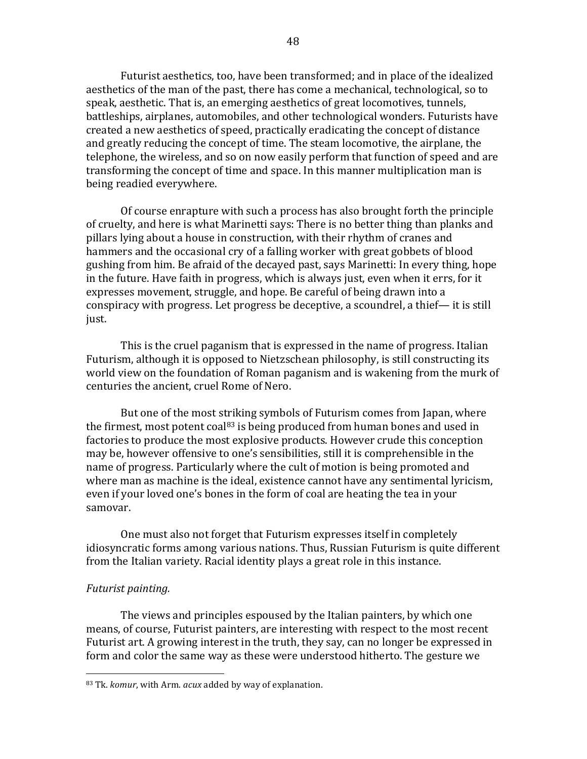Futurist aesthetics, too, have been transformed; and in place of the idealized aesthetics of the man of the past, there has come a mechanical, technological, so to speak, aesthetic. That is, an emerging aesthetics of great locomotives, tunnels, battleships, airplanes, automobiles, and other technological wonders. Futurists have created a new aesthetics of speed, practically eradicating the concept of distance and greatly reducing the concept of time. The steam locomotive, the airplane, the telephone, the wireless, and so on now easily perform that function of speed and are transforming the concept of time and space. In this manner multiplication man is being readied everywhere.

Of course enrapture with such a process has also brought forth the principle of cruelty, and here is what Marinetti says: There is no better thing than planks and pillars lying about a house in construction, with their rhythm of cranes and hammers and the occasional cry of a falling worker with great gobbets of blood gushing from him. Be afraid of the decayed past, says Marinetti: In every thing, hope in the future. Have faith in progress, which is always just, even when it errs, for it expresses movement, struggle, and hope. Be careful of being drawn into a conspiracy with progress. Let progress be deceptive, a scoundrel, a thief— it is still just.

This is the cruel paganism that is expressed in the name of progress. Italian Futurism, although it is opposed to Nietzschean philosophy, is still constructing its world view on the foundation of Roman paganism and is wakening from the murk of centuries the ancient, cruel Rome of Nero.

But one of the most striking symbols of Futurism comes from Japan, where the firmest, most potent coal<sup>83</sup> is being produced from human bones and used in factories to produce the most explosive products. However crude this conception may be, however offensive to one's sensibilities, still it is comprehensible in the name of progress. Particularly where the cult of motion is being promoted and where man as machine is the ideal, existence cannot have any sentimental lyricism, even if your loved one's bones in the form of coal are heating the tea in your samovar.

One must also not forget that Futurism expresses itself in completely idiosyncratic forms among various nations. Thus, Russian Futurism is quite different from the Italian variety. Racial identity plays a great role in this instance.

#### *Futurist painting.*

 

The views and principles espoused by the Italian painters, by which one means, of course, Futurist painters, are interesting with respect to the most recent Futurist art. A growing interest in the truth, they say, can no longer be expressed in form and color the same way as these were understood hitherto. The gesture we

<sup>83</sup> Tk. *komur*, with Arm. *acux* added by way of explanation.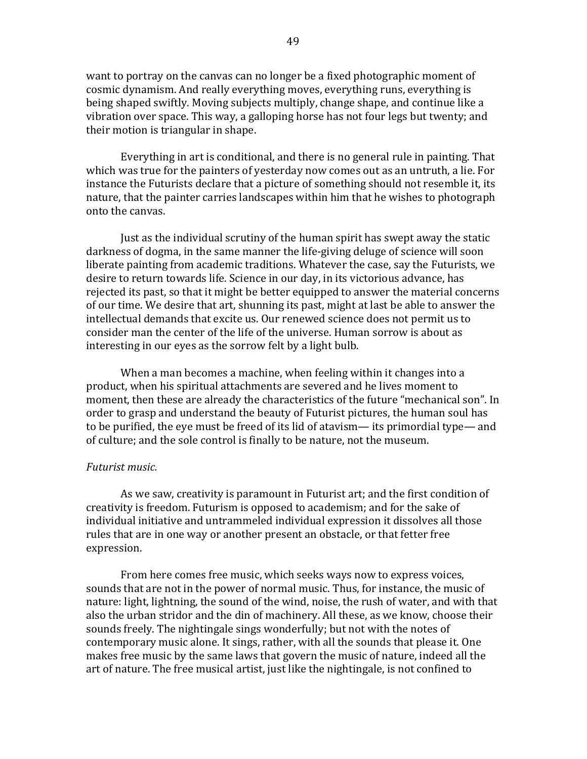want to portray on the canvas can no longer be a fixed photographic moment of cosmic dynamism. And really everything moves, everything runs, everything is being shaped swiftly. Moving subjects multiply, change shape, and continue like a vibration over space. This way, a galloping horse has not four legs but twenty; and their motion is triangular in shape.

Everything in art is conditional, and there is no general rule in painting. That which was true for the painters of yesterday now comes out as an untruth, a lie. For instance the Futurists declare that a picture of something should not resemble it, its nature, that the painter carries landscapes within him that he wishes to photograph onto the canvas.

Just as the individual scrutiny of the human spirit has swept away the static darkness of dogma, in the same manner the life-giving deluge of science will soon liberate painting from academic traditions. Whatever the case, say the Futurists, we desire to return towards life. Science in our day, in its victorious advance, has rejected its past, so that it might be better equipped to answer the material concerns of our time. We desire that art, shunning its past, might at last be able to answer the intellectual demands that excite us. Our renewed science does not permit us to consider man the center of the life of the universe. Human sorrow is about as interesting in our eyes as the sorrow felt by a light bulb.

When a man becomes a machine, when feeling within it changes into a product, when his spiritual attachments are severed and he lives moment to moment, then these are already the characteristics of the future "mechanical son". In order to grasp and understand the beauty of Futurist pictures, the human soul has to be purified, the eye must be freed of its lid of atavism— its primordial type— and of culture; and the sole control is finally to be nature, not the museum.

#### *Futurist music.*

As we saw, creativity is paramount in Futurist art; and the first condition of creativity is freedom. Futurism is opposed to academism; and for the sake of individual initiative and untrammeled individual expression it dissolves all those rules that are in one way or another present an obstacle, or that fetter free expression.

From here comes free music, which seeks ways now to express voices, sounds that are not in the power of normal music. Thus, for instance, the music of nature: light, lightning, the sound of the wind, noise, the rush of water, and with that also the urban stridor and the din of machinery. All these, as we know, choose their sounds freely. The nightingale sings wonderfully; but not with the notes of contemporary music alone. It sings, rather, with all the sounds that please it. One makes free music by the same laws that govern the music of nature, indeed all the art of nature. The free musical artist, just like the nightingale, is not confined to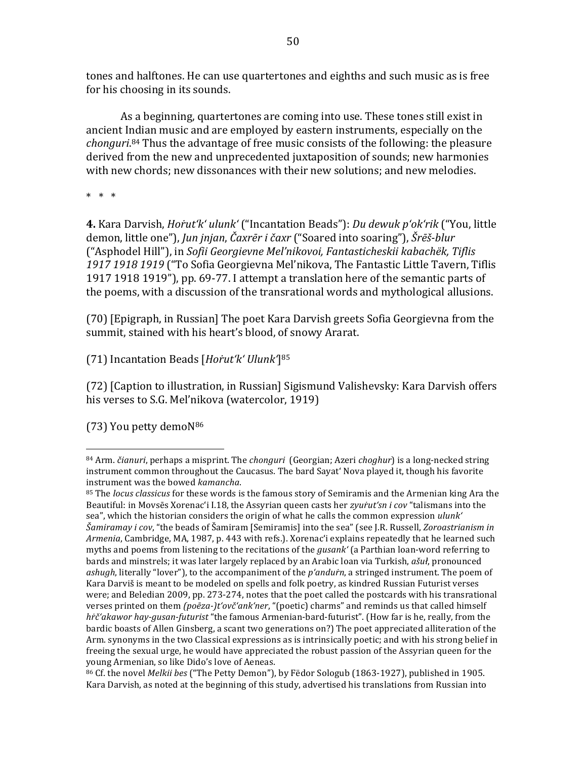tones and halftones. He can use quartertones and eighths and such music as is free for his choosing in its sounds.

As a beginning, quartertones are coming into use. These tones still exist in ancient Indian music and are employed by eastern instruments, especially on the *chonguri*.<sup>84</sup> Thus the advantage of free music consists of the following: the pleasure derived from the new and unprecedented juxtaposition of sounds; new harmonies with new chords; new dissonances with their new solutions; and new melodies.

 $* * * *$ 

**4.** Kara Darvish, *Horut'k' ulunk'* ("Incantation Beads"): *Du dewuk p'ok'rik* ("You, little demon, little one"), *Jun jnjan, Čaxrēr i čaxr* ("Soared into soaring"), Šrēš-blur ("Asphodel Hill"), in *Sofii Georgievne Mel'nikovoi, Fantasticheskii kabachëk, Tiflis* 1917 1918 1919 ("To Sofia Georgievna Mel'nikova, The Fantastic Little Tavern, Tiflis 1917 1918 1919"), pp. 69-77. I attempt a translation here of the semantic parts of the poems, with a discussion of the transrational words and mythological allusions.

(70) [Epigraph, in Russian] The poet Kara Darvish greets Sofia Georgievna from the summit, stained with his heart's blood, of snowy Ararat.

(71) Incantation Beads [*Hoṙut'k' Ulunk'*]85

(72) [Caption to illustration, in Russian] Sigismund Valishevsky: Kara Darvish offers his verses to S.G. Mel'nikova (watercolor, 1919)

(73) You petty demoN<sup>86</sup>

 84 Arm. *čianuri*, perhaps a misprint. The *chonguri* (Georgian; Azeri *choghur*) is a long-necked string instrument common throughout the Caucasus. The bard Sayat' Nova played it, though his favorite instrument was the bowed *kamancha*.

<sup>85</sup> The *locus classicus* for these words is the famous story of Semiramis and the Armenian king Ara the Beautiful: in Movsēs Xorenac'i I.18, the Assyrian queen casts her *zyur`ut'sn i cov* "talismans into the sea", which the historian considers the origin of what he calls the common expression *ulunk'*  $\check{S}$ *amiramay i cov*, "the beads of Šamiram [Semiramis] into the sea" (see J.R. Russell, *Zoroastrianism in* Armenia, Cambridge, MA, 1987, p. 443 with refs.). Xorenac'i explains repeatedly that he learned such myths and poems from listening to the recitations of the *qusank'* (a Parthian loan-word referring to bards and minstrels; it was later largely replaced by an Arabic loan via Turkish, *ašuł*, pronounced *ashugh*, literally "lover"), to the accompaniment of the *p'andurn*, a stringed instrument. The poem of Kara Darviš is meant to be modeled on spells and folk poetry, as kindred Russian Futurist verses were; and Beledian 2009, pp. 273-274, notes that the poet called the postcards with his transrational verses printed on them *(poēza-)t'ovč'ank'ner*, "(poetic) charms" and reminds us that called himself *hŕč'akawor hay-gusan-futurist* "the famous Armenian-bard-futurist". (How far is he, really, from the bardic boasts of Allen Ginsberg, a scant two generations on?) The poet appreciated alliteration of the Arm. synonyms in the two Classical expressions as is intrinsically poetic; and with his strong belief in freeing the sexual urge, he would have appreciated the robust passion of the Assyrian queen for the young Armenian, so like Dido's love of Aeneas.

<sup>&</sup>lt;sup>86</sup> Cf. the novel *Melkii bes* ("The Petty Demon"), by Fëdor Sologub (1863-1927), published in 1905. Kara Darvish, as noted at the beginning of this study, advertised his translations from Russian into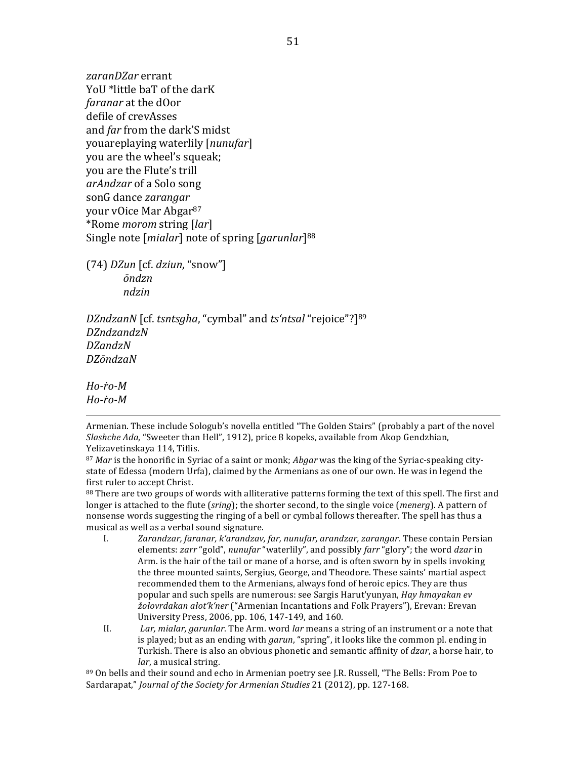*zaranDZar* errant YoU \*little baT of the darK *faranar* at the dOor defile of crevAsses and *far* from the dark'S midst youareplaying waterlily [*nunufar*] you are the wheel's squeak; you are the Flute's trill *arAndzar* of a Solo song sonG dance *zarangar* your vOice Mar Abgar<sup>87</sup> \*Rome *morom* string [*lar*] Single note [*mialar*] note of spring [*garunlar*]<sup>88</sup>

(74) *DZun* [cf. *dziun*, "snow"] *ōndzn ndzin*

*DZndzanN* [cf. *tsntsgha*, "cymbal" and *ts'ntsal* "rejoice"?]<sup>89</sup> *DZndzandzN DZandzN DZōndzaN*

*Ho-ṙo-M Ho-ṙo-M*

Armenian. These include Sologub's novella entitled "The Golden Stairs" (probably a part of the novel *Slashche Ada*, "Sweeter than Hell", 1912), price 8 kopeks, available from Akop Gendzhian, Yelizavetinskaya 114, Tiflis.

<u> 1989 - Andrea San Andrew Maria (h. 1989).</u><br>1900 - Andrew Maria (h. 1980).

87 *Mar* is the honorific in Syriac of a saint or monk; *Abgar* was the king of the Syriac-speaking citystate of Edessa (modern Urfa), claimed by the Armenians as one of our own. He was in legend the first ruler to accept Christ.

88 There are two groups of words with alliterative patterns forming the text of this spell. The first and longer is attached to the flute (*sring*); the shorter second, to the single voice (*menerg*). A pattern of nonsense words suggesting the ringing of a bell or cymbal follows thereafter. The spell has thus a musical as well as a verbal sound signature.

- I. *Zarandzar, faranar, k'arandzav, far, nunufar, arandzar, zarangar*. These contain Persian elements: *zarr* "gold", *nunufar* "waterlily", and possibly *farr* "glory"; the word *dzar* in Arm. is the hair of the tail or mane of a horse, and is often sworn by in spells invoking the three mounted saints, Sergius, George, and Theodore. These saints' martial aspect recommended them to the Armenians, always fond of heroic epics. They are thus popular and such spells are numerous: see Sargis Harut'yunyan, *Hay hmayakan ev žołovrdakan ałot'k'ner* ("Armenian Incantations and Folk Prayers"), Erevan: Erevan University Press, 2006, pp. 106, 147-149, and 160.
- II. *Lar, mialar, garunlar.* The Arm. word *lar* means a string of an instrument or a note that is played; but as an ending with *garun*, "spring", it looks like the common pl. ending in Turkish. There is also an obvious phonetic and semantic affinity of *dzar*, a horse hair, to *lar*, a musical string.

89 On bells and their sound and echo in Armenian poetry see J.R. Russell, "The Bells: From Poe to Sardarapat," *Journal of the Society for Armenian Studies* 21 (2012), pp. 127-168.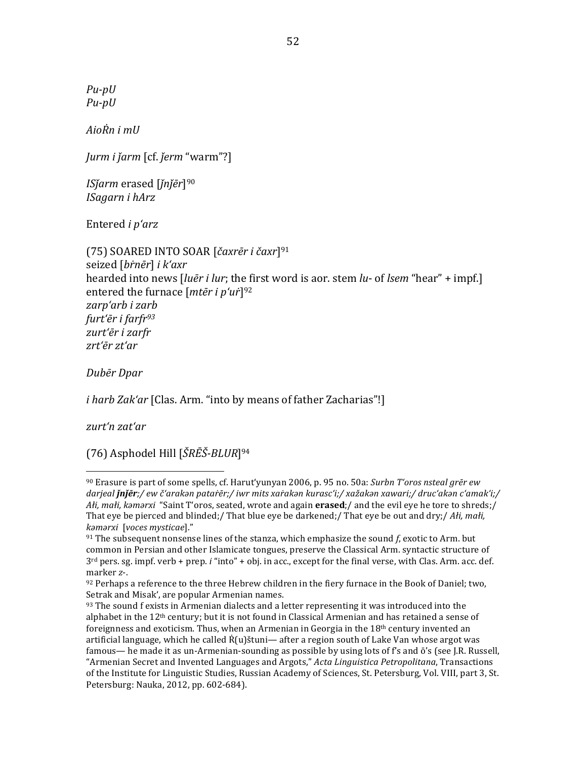*Pu-pU Pu-pU*

*AioṘn i mU*

*Jurm i ǰarm* [cf. *ǰerm* "warm"?]

*ISǰarm* erased [*ǰnǰēr*]90 *ISagarn i hArz*

Entered *i* p'arz

(75) SOARED INTO SOAR [*čaxrēr i čaxr*]91 seized [*bṙnēr*] *i k'axr* hearded into news [*luēr i lur*; the first word is aor. stem *lu*- of *lsem* "hear" + impf.] entered the furnace [mter i p'ur<sup>]92</sup> *zarp'arb i zarb furt'ēr i farfr93 zurt'ēr i zarfr zrt'ēr zt'ar*

*Dubēr Dpar*

*i harb Zak'ar* [Clas. Arm. "into by means of father Zacharias"!]

*zurt'n zat'ar* 

(76) Asphodel Hill [*ŠRĒŠ-BLUR*]94

 $90$  Erasure is part of some spells, cf. Harut'yunyan 2006, p. 95 no. 50a: *Surbn T'oros nsteal grēr ew* darjeal **jnjēr**;/ ew č'arakǝn pataŕēr;/ iwr mits xaŕakǝn kurasc'i;/ xažakǝn xawari;/ druc'akǝn c'amak'i;/ *Ałi, małi, kǝmǝrxi* "Saint T'oros, seated, wrote and again **erased**;/ and the evil eye he tore to shreds;/ That eye be pierced and blinded;/ That blue eye be darkened;/ That eye be out and dry;/ *Ałi, małi, kǝmǝrxi* [*voces mysticae*]."

 $91$  The subsequent nonsense lines of the stanza, which emphasize the sound  $f<sub>i</sub>$  exotic to Arm. but common in Persian and other Islamicate tongues, preserve the Classical Arm. syntactic structure of 3<sup>rd</sup> pers. sg. impf. verb + prep. *i* "into" + obj. in acc., except for the final verse, with Clas. Arm. acc. def. marker z-.

 $92$  Perhaps a reference to the three Hebrew children in the fiery furnace in the Book of Daniel; two, Setrak and Misak', are popular Armenian names.

 $93$  The sound f exists in Armenian dialects and a letter representing it was introduced into the alphabet in the  $12<sup>th</sup>$  century; but it is not found in Classical Armenian and has retained a sense of foreignness and exoticism. Thus, when an Armenian in Georgia in the  $18<sup>th</sup>$  century invented an artificial language, which he called  $\dot{R}(u)$ štuni— after a region south of Lake Van whose argot was famous— he made it as un-Armenian-sounding as possible by using lots of  $f$ 's and  $\bar{o}$ 's (see J.R. Russell, "Armenian Secret and Invented Languages and Argots," Acta Linguistica Petropolitana, Transactions of the Institute for Linguistic Studies, Russian Academy of Sciences, St. Petersburg, Vol. VIII, part 3, St. Petersburg: Nauka, 2012, pp. 602-684).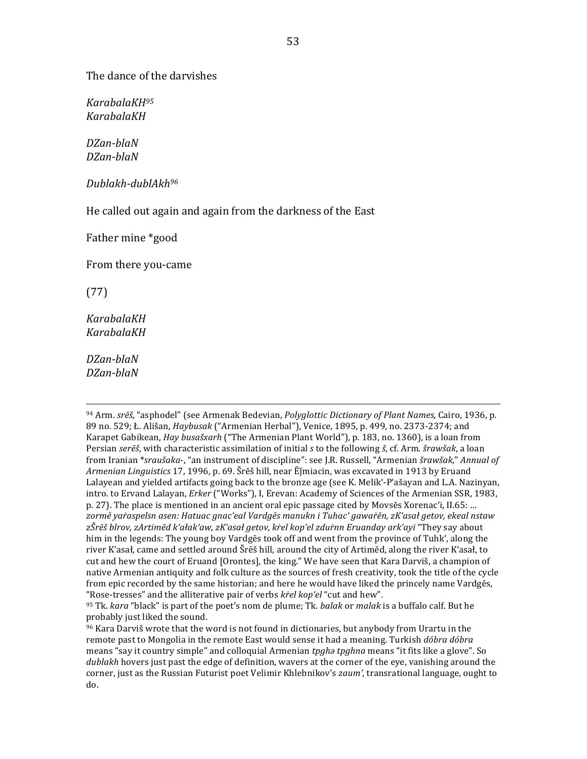The dance of the darvishes

*KarabalaKH95 KarabalaKH*

*DZan-blaN DZan-blaN*

*Dublakh-dublAkh96*

He called out again and again from the darkness of the East

Father mine \*good

From there you-came

(77)

*KarabalaKH KarabalaKH*

*DZan-blaN DZan-blaN*

<sup>94</sup> Arm. *srēš*, "asphodel" (see Armenak Bedevian, *Polyglottic Dictionary of Plant Names*, Cairo, 1936, p. 89 no. 529; Ł. Ališan, *Haybusak* ("Armenian Herbal"), Venice, 1895, p. 499, no. 2373-2374; and Karapet Gabikean, *Hay busašxarh* ("The Armenian Plant World"), p. 183, no. 1360), is a loan from Persian *serēš*, with characteristic assimilation of initial *s* to the following *š*, cf. Arm. *šrawšak*, a loan from Iranian \*sraušaka-, "an instrument of discipline": see J.R. Russell, "Armenian šrawšak," Annual of *Armenian Linguistics* 17, 1996, p. 69. Šrēš hill, near Ējmiacin, was excavated in 1913 by Eruand Lalayean and yielded artifacts going back to the bronze age (see K. Melik'-P'ašayan and L.A. Nazinyan, intro. to Ervand Lalayan, *Erker* ("Works"), I, Erevan: Academy of Sciences of the Armenian SSR, 1983, p. 27). The place is mentioned in an ancient oral epic passage cited by Movsēs Xorenac'i, II.65: ... zormē ya*řaspelsn asen: Hatuac gnac'eal Vardgēs* manukn i Tuhac' gawařēn, zK'asał getov, ekeal nstaw *zŠrēš blrov, zArtimēd k'ałak'aw, zK'asał getov, kṙel kop'el zduṙnn Eruanday ark'ayi* "They say about him in the legends: The young boy Vardgēs took off and went from the province of Tuhk', along the river K'asał, came and settled around Šrēš hill, around the city of Artimēd, along the river K'asał, to cut and hew the court of Eruand [Orontes], the king." We have seen that Kara Darviš, a champion of native Armenian antiquity and folk culture as the sources of fresh creativity, took the title of the cycle from epic recorded by the same historian; and here he would have liked the princely name Vardgēs, "Rose-tresses" and the alliterative pair of verbs *krel kop'el* "cut and hew".

<u> 1989 - Andrea Santa Andrea Andrea Andrea Andrea Andrea Andrea Andrea Andrea Andrea Andrea Andrea Andrea Andr</u>

<sup>95</sup> Tk. *kara* "black" is part of the poet's nom de plume; Tk. *balak* or *malak* is a buffalo calf. But he probably just liked the sound.

 $96$  Kara Darviš wrote that the word is not found in dictionaries, but anybody from Urartu in the remote past to Mongolia in the remote East would sense it had a meaning. Turkish *dóbra dóbra* means "say it country simple" and colloquial Armenian *tpgh tpghna* means "it fits like a glove". So *dublakh* hovers just past the edge of definition, wavers at the corner of the eye, vanishing around the corner, just as the Russian Futurist poet Velimir Khlebnikov's *zaum'*, transrational language, ought to do.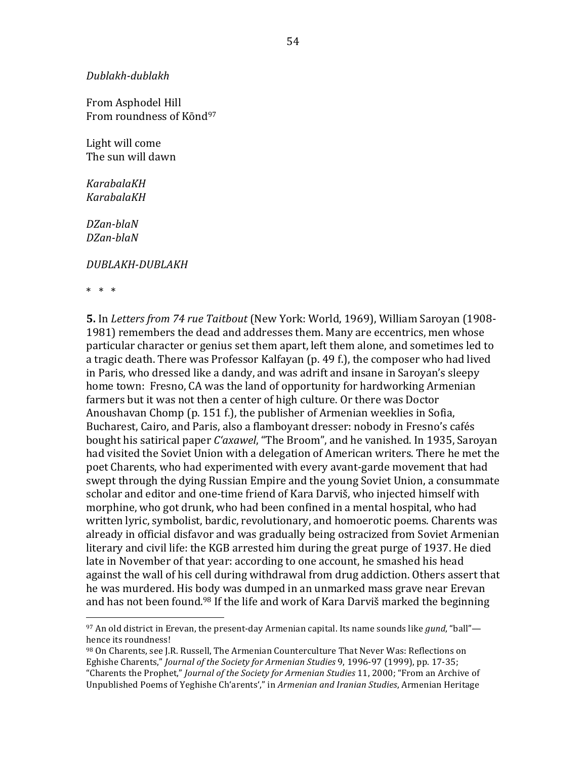*Dublakh-dublakh*

From Asphodel Hill From roundness of Kond<sup>97</sup>

Light will come The sun will dawn

*KarabalaKH KarabalaKH*

*DZan-blaN DZan-blaN*

#### *DUBLAKH-DUBLAKH*

 

 $* * * *$ 

**5.** In *Letters from 74 rue Taitbout* (New York: World, 1969), William Saroyan (1908-1981) remembers the dead and addresses them. Many are eccentrics, men whose particular character or genius set them apart, left them alone, and sometimes led to a tragic death. There was Professor Kalfayan (p. 49 f.), the composer who had lived in Paris, who dressed like a dandy, and was adrift and insane in Saroyan's sleepy home town: Fresno, CA was the land of opportunity for hardworking Armenian farmers but it was not then a center of high culture. Or there was Doctor Anoushavan Chomp (p. 151 f.), the publisher of Armenian weeklies in Sofia, Bucharest, Cairo, and Paris, also a flamboyant dresser: nobody in Fresno's cafés bought his satirical paper *C'axawel*, "The Broom", and he vanished. In 1935, Saroyan had visited the Soviet Union with a delegation of American writers. There he met the poet Charents, who had experimented with every avant-garde movement that had swept through the dying Russian Empire and the young Soviet Union, a consummate scholar and editor and one-time friend of Kara Darviš, who injected himself with morphine, who got drunk, who had been confined in a mental hospital, who had written lyric, symbolist, bardic, revolutionary, and homoerotic poems. Charents was already in official disfavor and was gradually being ostracized from Soviet Armenian literary and civil life: the KGB arrested him during the great purge of 1937. He died late in November of that year: according to one account, he smashed his head against the wall of his cell during withdrawal from drug addiction. Others assert that he was murdered. His body was dumped in an unmarked mass grave near Erevan and has not been found.<sup>98</sup> If the life and work of Kara Darviš marked the beginning

 $97$  An old district in Erevan, the present-day Armenian capital. Its name sounds like *gund*, "ball" hence its roundness!

<sup>98</sup> On Charents, see I.R. Russell, The Armenian Counterculture That Never Was: Reflections on Eghishe Charents," *Journal of the Society for Armenian Studies* 9, 1996-97 (1999), pp. 17-35; "Charents the Prophet," *Journal of the Society for Armenian Studies* 11, 2000; "From an Archive of Unpublished Poems of Yeghishe Ch'arents'," in *Armenian and Iranian Studies*, Armenian Heritage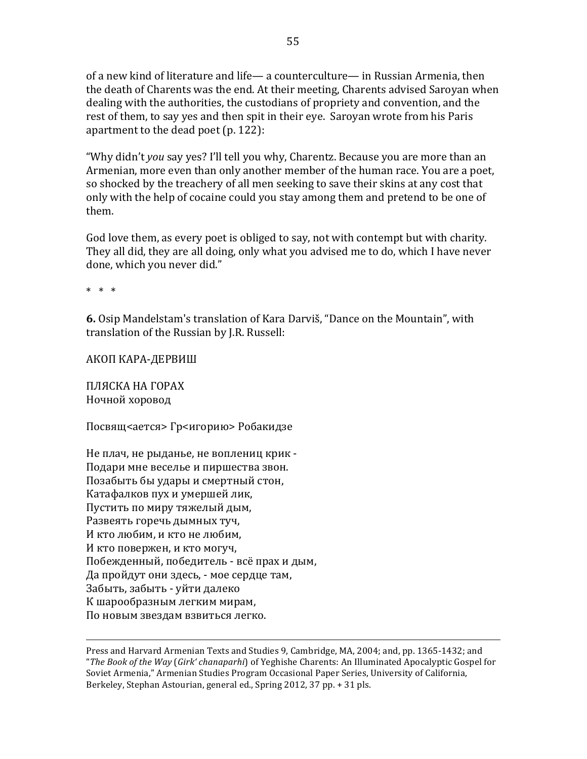of a new kind of literature and life— a counterculture— in Russian Armenia, then the death of Charents was the end. At their meeting, Charents advised Saroyan when dealing with the authorities, the custodians of propriety and convention, and the rest of them, to say ves and then spit in their eye. Saroyan wrote from his Paris apartment to the dead poet  $(p. 122)$ :

"Why didn't *you* say yes? I'll tell you why, Charentz. Because you are more than an Armenian, more even than only another member of the human race. You are a poet, so shocked by the treachery of all men seeking to save their skins at any cost that only with the help of cocaine could you stay among them and pretend to be one of them. 

God love them, as every poet is obliged to say, not with contempt but with charity. They all did, they are all doing, only what you advised me to do, which I have never done, which you never did."

 $* * * *$ 

**6.** Osip Mandelstam's translation of Kara Darviš, "Dance on the Mountain", with translation of the Russian by J.R. Russell:

АКОП КАРА-ДЕРВИШ

ПЛЯСКА НА ГОРАХ Ночной хоровод

Посвящ<ается> Гр<игорию> Робакидзе

Не плач, не рыданье, не воплениц крик -Подари мне веселье и пиршества звон. Позабыть бы удары и смертный стон, Катафалков пух и умершей лик, Пустить по миру тяжелый дым, Развеять горечь дымных туч, И кто любим, и кто не любим, И кто повержен, и кто могуч, Побежденный, победитель - всё прах и дым, Да пройдут они здесь, - мое сердце там, Забыть, забыть - уйти далеко К шарообразным легким мирам, По новым звездам взвиться легко.

<u> 1989 - Andrea San Andrew Maria (h. 1989).</u><br>1900 - Andrew Maria (h. 1980).

Press and Harvard Armenian Texts and Studies 9. Cambridge, MA, 2004; and, pp. 1365-1432; and "*The Book of the Way* (*Girk' chanaparhi*) of Yeghishe Charents: An Illuminated Apocalyptic Gospel for Soviet Armenia," Armenian Studies Program Occasional Paper Series, University of California, Berkeley, Stephan Astourian, general ed., Spring 2012, 37 pp. + 31 pls.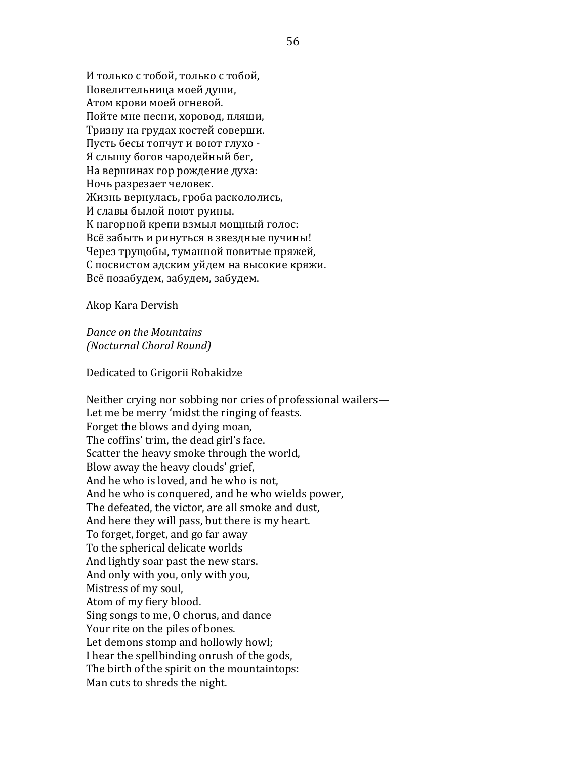И только с тобой, только с тобой, Повелительница моей души, Атом крови моей огневой. Пойте мне песни, хоровод, пляши, Тризну на грудах костей соверши. Пусть бесы топчут и воют глухо -Я слышу богов чародейный бег, На вершинах гор рождение духа: Ночь разрезает человек. Жизнь вернулась, гроба раскололись, И славы былой поют руины. К нагорной крепи взмыл мощный голос: Всё забыть и ринуться в звездные пучины! Через трущобы, туманной повитые пряжей, С посвистом адским уйдем на высокие кряжи. Всё позабудем, забудем, забудем.

Akop Kara Dervish

*Dance on the Mountains (Nocturnal Choral Round)*

Dedicated to Grigorii Robakidze

Neither crying nor sobbing nor cries of professional wailers— Let me be merry 'midst the ringing of feasts. Forget the blows and dying moan, The coffins' trim, the dead girl's face. Scatter the heavy smoke through the world, Blow away the heavy clouds' grief, And he who is loved, and he who is not. And he who is conquered, and he who wields power, The defeated, the victor, are all smoke and dust, And here they will pass, but there is my heart. To forget, forget, and go far away To the spherical delicate worlds And lightly soar past the new stars. And only with you, only with you, Mistress of my soul, Atom of my fiery blood. Sing songs to me, O chorus, and dance Your rite on the piles of bones. Let demons stomp and hollowly howl; I hear the spellbinding onrush of the gods, The birth of the spirit on the mountaintops: Man cuts to shreds the night.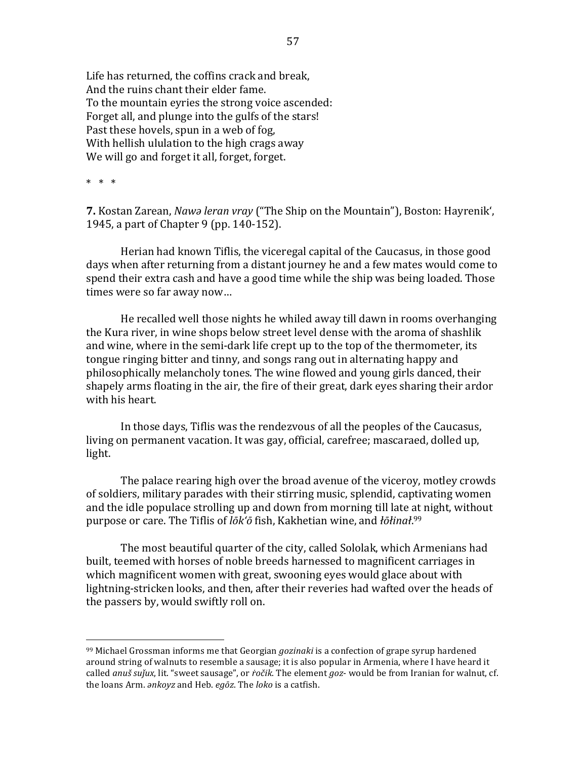Life has returned, the coffins crack and break. And the ruins chant their elder fame. To the mountain eyries the strong voice ascended: Forget all, and plunge into the gulfs of the stars! Past these hovels, spun in a web of fog. With hellish ululation to the high crags away We will go and forget it all, forget, forget.

 $* * * *$ 

**7.** Kostan Zarean, *Nawə leran vray* ("The Ship on the Mountain"), Boston: Hayrenik', 1945, a part of Chapter 9 (pp. 140-152).

Herian had known Tiflis, the viceregal capital of the Caucasus, in those good days when after returning from a distant journey he and a few mates would come to spend their extra cash and have a good time while the ship was being loaded. Those times were so far away now...

He recalled well those nights he whiled away till dawn in rooms overhanging the Kura river, in wine shops below street level dense with the aroma of shashlik and wine, where in the semi-dark life crept up to the top of the thermometer, its tongue ringing bitter and tinny, and songs rang out in alternating happy and philosophically melancholy tones. The wine flowed and young girls danced, their shapely arms floating in the air, the fire of their great, dark eyes sharing their ardor with his heart.

In those days, Tiflis was the rendezvous of all the peoples of the Caucasus, living on permanent vacation. It was gay, official, carefree; mascaraed, dolled up, light.

The palace rearing high over the broad avenue of the viceroy, motley crowds of soldiers, military parades with their stirring music, splendid, captivating women and the idle populace strolling up and down from morning till late at night, without purpose or care. The Tiflis of *lōk'ō* fish, Kakhetian wine, and *łōłinał.*<sup>99</sup>

The most beautiful quarter of the city, called Sololak, which Armenians had built, teemed with horses of noble breeds harnessed to magnificent carriages in which magnificent women with great, swooning eyes would glace about with lightning-stricken looks, and then, after their reveries had wafted over the heads of the passers by, would swiftly roll on.

<sup>&</sup>lt;sup>99</sup> Michael Grossman informs me that Georgian *gozinaki* is a confection of grape syrup hardened around string of walnuts to resemble a sausage; it is also popular in Armenia, where I have heard it called *anuš* sujux, lit. "sweet sausage", or *ročik*. The element *goz*- would be from Iranian for walnut, cf. the loans Arm. *ankoyz* and Heb. *egōz*. The *loko* is a catfish.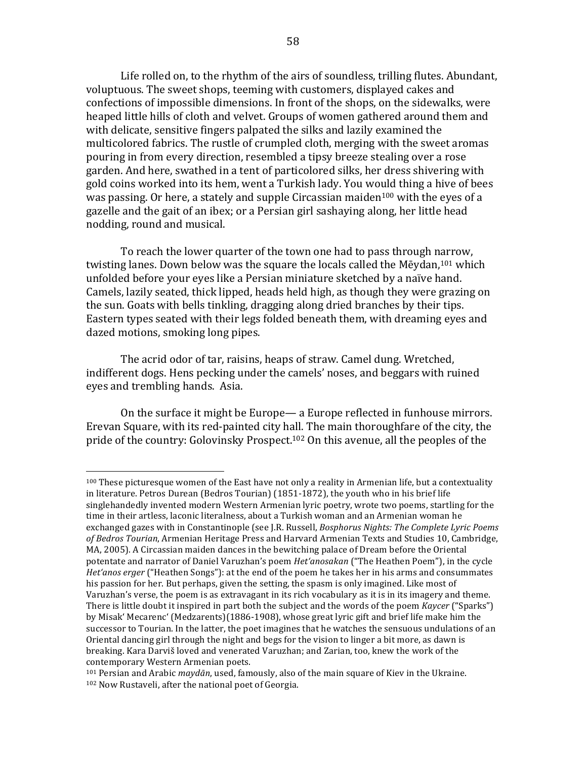Life rolled on, to the rhythm of the airs of soundless, trilling flutes. Abundant, voluptuous. The sweet shops, teeming with customers, displayed cakes and confections of impossible dimensions. In front of the shops, on the sidewalks, were heaped little hills of cloth and velvet. Groups of women gathered around them and with delicate, sensitive fingers palpated the silks and lazily examined the multicolored fabrics. The rustle of crumpled cloth, merging with the sweet aromas pouring in from every direction, resembled a tipsy breeze stealing over a rose garden. And here, swathed in a tent of particolored silks, her dress shivering with gold coins worked into its hem, went a Turkish lady. You would thing a hive of bees was passing. Or here, a stately and supple Circassian maiden<sup>100</sup> with the eyes of a gazelle and the gait of an ibex; or a Persian girl sashaying along, her little head nodding, round and musical.

To reach the lower quarter of the town one had to pass through narrow, twisting lanes. Down below was the square the locals called the Mēydan.<sup>101</sup> which unfolded before your eyes like a Persian miniature sketched by a naïve hand. Camels, lazily seated, thick lipped, heads held high, as though they were grazing on the sun. Goats with bells tinkling, dragging along dried branches by their tips. Eastern types seated with their legs folded beneath them, with dreaming eyes and dazed motions, smoking long pipes.

The acrid odor of tar, raisins, heaps of straw. Camel dung. Wretched, indifferent dogs. Hens pecking under the camels' noses, and beggars with ruined eyes and trembling hands. Asia.

On the surface it might be Europe— a Europe reflected in funhouse mirrors. Erevan Square, with its red-painted city hall. The main thoroughfare of the city, the pride of the country: Golovinsky Prospect.<sup>102</sup> On this avenue, all the peoples of the

<sup>100</sup> These picturesque women of the East have not only a reality in Armenian life, but a contextuality in literature. Petros Durean (Bedros Tourian)  $(1851-1872)$ , the youth who in his brief life singlehandedly invented modern Western Armenian lyric poetry, wrote two poems, startling for the time in their artless, laconic literalness, about a Turkish woman and an Armenian woman he exchanged gazes with in Constantinople (see J.R. Russell, *Bosphorus Nights: The Complete Lyric Poems* of Bedros Tourian, Armenian Heritage Press and Harvard Armenian Texts and Studies 10, Cambridge, MA, 2005). A Circassian maiden dances in the bewitching palace of Dream before the Oriental potentate and narrator of Daniel Varuzhan's poem *Het'anosakan* ("The Heathen Poem"), in the cycle *Het'anos erger* ("Heathen Songs"): at the end of the poem he takes her in his arms and consummates his passion for her. But perhaps, given the setting, the spasm is only imagined. Like most of Varuzhan's verse, the poem is as extravagant in its rich vocabulary as it is in its imagery and theme. There is little doubt it inspired in part both the subject and the words of the poem *Kaycer* ("Sparks") by Misak' Mecarenc' (Medzarents)(1886-1908), whose great lyric gift and brief life make him the successor to Tourian. In the latter, the poet imagines that he watches the sensuous undulations of an Oriental dancing girl through the night and begs for the vision to linger a bit more, as dawn is breaking. Kara Darviš loved and venerated Varuzhan; and Zarian, too, knew the work of the contemporary Western Armenian poets.

 $101$  Persian and Arabic *maydān*, used, famously, also of the main square of Kiev in the Ukraine. <sup>102</sup> Now Rustaveli, after the national poet of Georgia.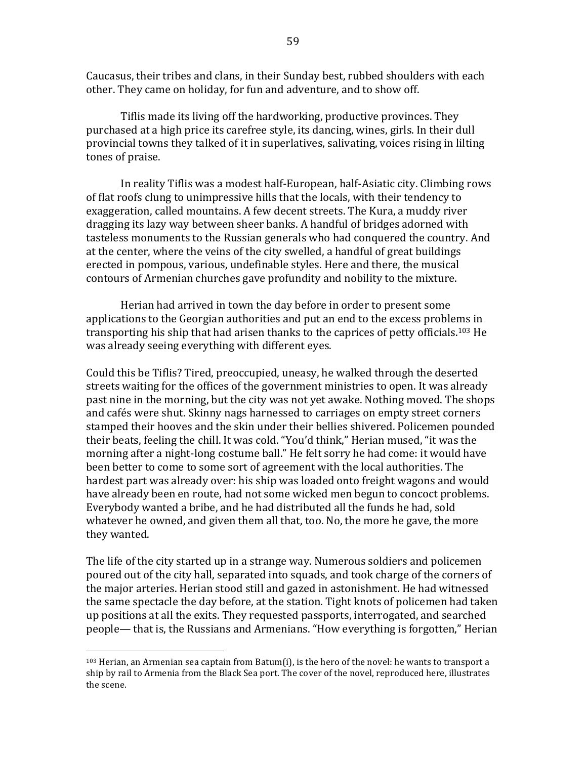Caucasus, their tribes and clans, in their Sunday best, rubbed shoulders with each other. They came on holiday, for fun and adventure, and to show off.

Tiflis made its living off the hardworking, productive provinces. They purchased at a high price its carefree style, its dancing, wines, girls. In their dull provincial towns they talked of it in superlatives, salivating, voices rising in lilting tones of praise.

In reality Tiflis was a modest half-European, half-Asiatic city. Climbing rows of flat roofs clung to unimpressive hills that the locals, with their tendency to exaggeration, called mountains. A few decent streets. The Kura, a muddy river dragging its lazy way between sheer banks. A handful of bridges adorned with tasteless monuments to the Russian generals who had conquered the country. And at the center, where the veins of the city swelled, a handful of great buildings erected in pompous, various, undefinable styles. Here and there, the musical contours of Armenian churches gave profundity and nobility to the mixture.

Herian had arrived in town the day before in order to present some applications to the Georgian authorities and put an end to the excess problems in transporting his ship that had arisen thanks to the caprices of petty officials.<sup>103</sup> He was already seeing everything with different eyes.

Could this be Tiflis? Tired, preoccupied, uneasy, he walked through the deserted streets waiting for the offices of the government ministries to open. It was already past nine in the morning, but the city was not yet awake. Nothing moved. The shops and cafés were shut. Skinny nags harnessed to carriages on empty street corners stamped their hooves and the skin under their bellies shivered. Policemen pounded their beats, feeling the chill. It was cold. "You'd think," Herian mused, "it was the morning after a night-long costume ball." He felt sorry he had come: it would have been better to come to some sort of agreement with the local authorities. The hardest part was already over: his ship was loaded onto freight wagons and would have already been en route, had not some wicked men begun to concoct problems. Everybody wanted a bribe, and he had distributed all the funds he had, sold whatever he owned, and given them all that, too. No, the more he gave, the more they wanted.

The life of the city started up in a strange way. Numerous soldiers and policemen poured out of the city hall, separated into squads, and took charge of the corners of the major arteries. Herian stood still and gazed in astonishment. He had witnessed the same spectacle the day before, at the station. Tight knots of policemen had taken up positions at all the exits. They requested passports, interrogated, and searched people— that is, the Russians and Armenians. "How everything is forgotten," Herian

 $103$  Herian, an Armenian sea captain from Batum(i), is the hero of the novel: he wants to transport a ship by rail to Armenia from the Black Sea port. The cover of the novel, reproduced here, illustrates the scene.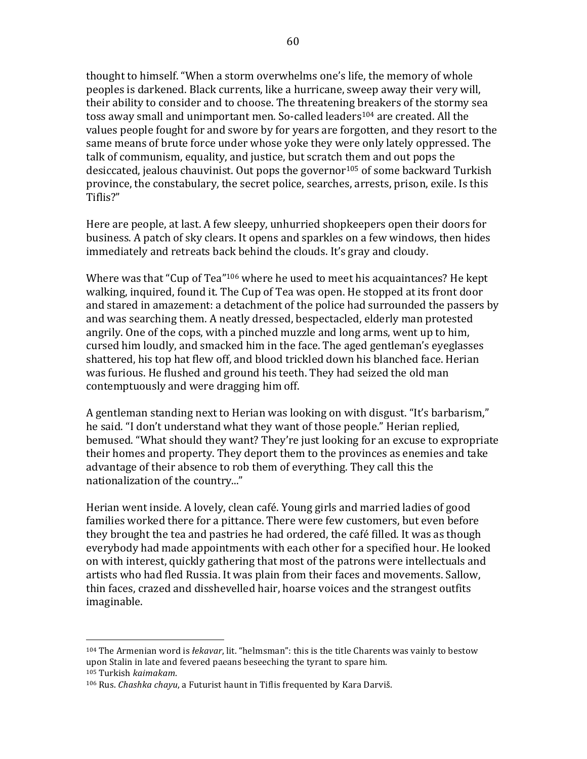thought to himself. "When a storm overwhelms one's life, the memory of whole peoples is darkened. Black currents, like a hurricane, sweep away their very will, their ability to consider and to choose. The threatening breakers of the stormy sea toss away small and unimportant men. So-called leaders<sup>104</sup> are created. All the values people fought for and swore by for years are forgotten, and they resort to the same means of brute force under whose voke they were only lately oppressed. The talk of communism, equality, and justice, but scratch them and out pops the desiccated, jealous chauvinist. Out pops the governor<sup>105</sup> of some backward Turkish province, the constabulary, the secret police, searches, arrests, prison, exile. Is this Tiflis?"

Here are people, at last. A few sleepy, unhurried shopkeepers open their doors for business. A patch of sky clears. It opens and sparkles on a few windows, then hides immediately and retreats back behind the clouds. It's gray and cloudy.

Where was that "Cup of Tea"<sup>106</sup> where he used to meet his acquaintances? He kept walking, inquired, found it. The Cup of Tea was open. He stopped at its front door and stared in amazement: a detachment of the police had surrounded the passers by and was searching them. A neatly dressed, bespectacled, elderly man protested angrily. One of the cops, with a pinched muzzle and long arms, went up to him, cursed him loudly, and smacked him in the face. The aged gentleman's eyeglasses shattered, his top hat flew off, and blood trickled down his blanched face. Herian was furious. He flushed and ground his teeth. They had seized the old man contemptuously and were dragging him off.

A gentleman standing next to Herian was looking on with disgust. "It's barbarism," he said. "I don't understand what they want of those people." Herian replied, bemused. "What should they want? They're just looking for an excuse to expropriate their homes and property. They deport them to the provinces as enemies and take advantage of their absence to rob them of everything. They call this the nationalization of the country..."

Herian went inside. A lovely, clean café. Young girls and married ladies of good families worked there for a pittance. There were few customers, but even before they brought the tea and pastries he had ordered, the café filled. It was as though everybody had made appointments with each other for a specified hour. He looked on with interest, quickly gathering that most of the patrons were intellectuals and artists who had fled Russia. It was plain from their faces and movements. Sallow, thin faces, crazed and disshevelled hair, hoarse voices and the strangest outfits imaginable.

 $104$  The Armenian word is *łekavar*, lit. "helmsman": this is the title Charents was vainly to bestow upon Stalin in late and fevered paeans beseeching the tyrant to spare him. <sup>105</sup> Turkish *kaimakam*.

<sup>&</sup>lt;sup>106</sup> Rus. *Chashka chayu*, a Futurist haunt in Tiflis frequented by Kara Darviš.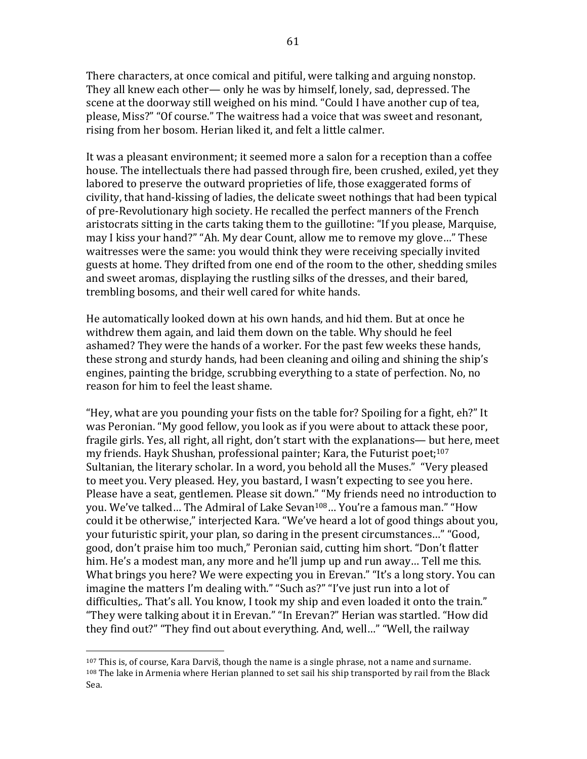There characters, at once comical and pitiful, were talking and arguing nonstop. They all knew each other— only he was by himself, lonely, sad, depressed. The scene at the doorway still weighed on his mind. "Could I have another cup of tea, please, Miss?" "Of course." The waitress had a voice that was sweet and resonant, rising from her bosom. Herian liked it, and felt a little calmer.

It was a pleasant environment; it seemed more a salon for a reception than a coffee house. The intellectuals there had passed through fire, been crushed, exiled, yet they labored to preserve the outward proprieties of life, those exaggerated forms of civility, that hand-kissing of ladies, the delicate sweet nothings that had been typical of pre-Revolutionary high society. He recalled the perfect manners of the French aristocrats sitting in the carts taking them to the guillotine: "If you please, Marquise, may I kiss your hand?" "Ah. My dear Count, allow me to remove my glove..." These waitresses were the same: you would think they were receiving specially invited guests at home. They drifted from one end of the room to the other, shedding smiles and sweet aromas, displaying the rustling silks of the dresses, and their bared, trembling bosoms, and their well cared for white hands.

He automatically looked down at his own hands, and hid them. But at once he withdrew them again, and laid them down on the table. Why should he feel ashamed? They were the hands of a worker. For the past few weeks these hands, these strong and sturdy hands, had been cleaning and oiling and shining the ship's engines, painting the bridge, scrubbing everything to a state of perfection. No, no reason for him to feel the least shame.

"Hey, what are you pounding your fists on the table for? Spoiling for a fight,  $eh$ ?" It was Peronian. "My good fellow, you look as if you were about to attack these poor, fragile girls. Yes, all right, all right, don't start with the explanations— but here, meet my friends. Hayk Shushan, professional painter; Kara, the Futurist poet;<sup>107</sup> Sultanian, the literary scholar. In a word, you behold all the Muses." "Very pleased to meet you. Very pleased. Hey, you bastard. I wasn't expecting to see you here. Please have a seat, gentlemen. Please sit down." "My friends need no introduction to you. We've talked... The Admiral of Lake Sevan<sup>108</sup>... You're a famous man." "How could it be otherwise," interjected Kara. "We've heard a lot of good things about you, your futuristic spirit, your plan, so daring in the present circumstances..." "Good, good, don't praise him too much," Peronian said, cutting him short. "Don't flatter him. He's a modest man, any more and he'll jump up and run away... Tell me this. What brings you here? We were expecting you in Erevan." "It's a long story. You can imagine the matters I'm dealing with." "Such as?" "I've just run into a lot of difficulties.. That's all. You know, I took my ship and even loaded it onto the train." "They were talking about it in Erevan." "In Erevan?" Herian was startled. "How did they find out?" "They find out about everything. And, well..." "Well, the railway

 $107$  This is, of course, Kara Darviš, though the name is a single phrase, not a name and surname.  $108$  The lake in Armenia where Herian planned to set sail his ship transported by rail from the Black Sea.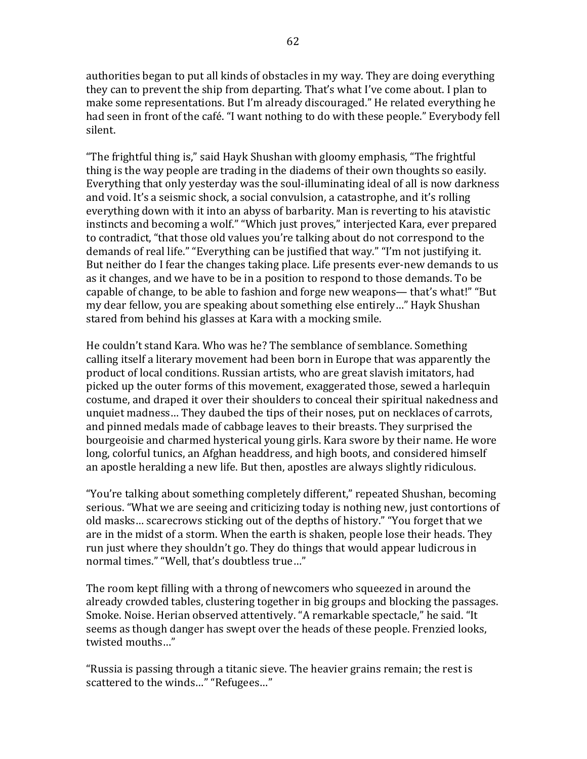authorities began to put all kinds of obstacles in my way. They are doing everything they can to prevent the ship from departing. That's what I've come about. I plan to make some representations. But I'm already discouraged." He related everything he had seen in front of the café. "I want nothing to do with these people." Everybody fell silent.

"The frightful thing is," said Hayk Shushan with gloomy emphasis, "The frightful thing is the way people are trading in the diadems of their own thoughts so easily. Everything that only yesterday was the soul-illuminating ideal of all is now darkness and void. It's a seismic shock, a social convulsion, a catastrophe, and it's rolling everything down with it into an abyss of barbarity. Man is reverting to his atavistic instincts and becoming a wolf." "Which just proves," interjected Kara, ever prepared to contradict, "that those old values you're talking about do not correspond to the demands of real life." "Everything can be justified that way." "I'm not justifying it. But neither do I fear the changes taking place. Life presents ever-new demands to us as it changes, and we have to be in a position to respond to those demands. To be capable of change, to be able to fashion and forge new weapons— that's what!" "But my dear fellow, you are speaking about something else entirely..." Hayk Shushan stared from behind his glasses at Kara with a mocking smile.

He couldn't stand Kara. Who was he? The semblance of semblance. Something calling itself a literary movement had been born in Europe that was apparently the product of local conditions. Russian artists, who are great slavish imitators, had picked up the outer forms of this movement, exaggerated those, sewed a harlequin costume, and draped it over their shoulders to conceal their spiritual nakedness and unquiet madness... They daubed the tips of their noses, put on necklaces of carrots, and pinned medals made of cabbage leaves to their breasts. They surprised the bourgeoisie and charmed hysterical young girls. Kara swore by their name. He wore long, colorful tunics, an Afghan headdress, and high boots, and considered himself an apostle heralding a new life. But then, apostles are always slightly ridiculous.

"You're talking about something completely different," repeated Shushan, becoming serious. "What we are seeing and criticizing today is nothing new, just contortions of old masks... scarecrows sticking out of the depths of history." "You forget that we are in the midst of a storm. When the earth is shaken, people lose their heads. They run just where they shouldn't go. They do things that would appear ludicrous in normal times." "Well, that's doubtless true..."

The room kept filling with a throng of newcomers who squeezed in around the already crowded tables, clustering together in big groups and blocking the passages. Smoke. Noise. Herian observed attentively. "A remarkable spectacle," he said. "It seems as though danger has swept over the heads of these people. Frenzied looks, twisted mouths..."

"Russia is passing through a titanic sieve. The heavier grains remain; the rest is scattered to the winds..." "Refugees..."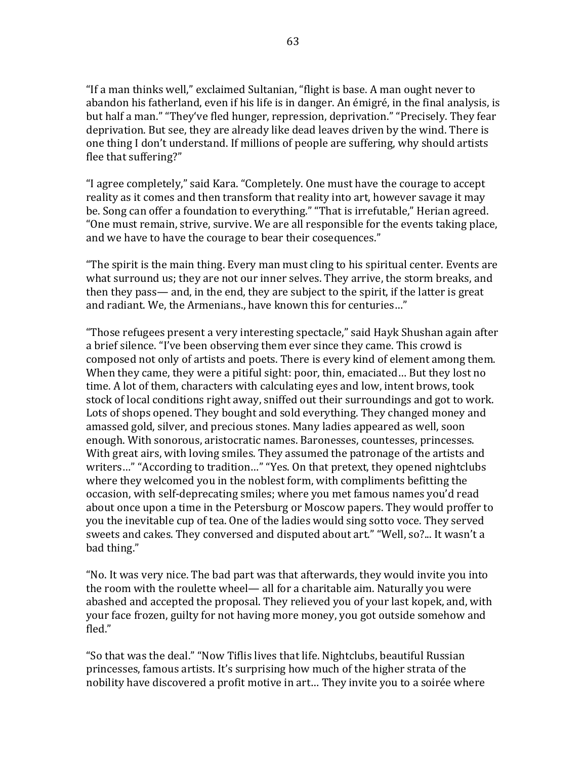"If a man thinks well," exclaimed Sultanian, "flight is base. A man ought never to abandon his fatherland, even if his life is in danger. An émigré, in the final analysis, is but half a man." "They've fled hunger, repression, deprivation." "Precisely. They fear deprivation. But see, they are already like dead leaves driven by the wind. There is one thing I don't understand. If millions of people are suffering, why should artists flee that suffering?"

"I agree completely," said Kara. "Completely. One must have the courage to accept reality as it comes and then transform that reality into art, however savage it may be. Song can offer a foundation to everything." "That is irrefutable," Herian agreed. "One must remain, strive, survive. We are all responsible for the events taking place, and we have to have the courage to bear their cosequences."

"The spirit is the main thing. Every man must cling to his spiritual center. Events are what surround us; they are not our inner selves. They arrive, the storm breaks, and then they pass— and, in the end, they are subject to the spirit, if the latter is great and radiant. We, the Armenians., have known this for centuries..."

"Those refugees present a very interesting spectacle," said Hayk Shushan again after a brief silence. "I've been observing them ever since they came. This crowd is composed not only of artists and poets. There is every kind of element among them. When they came, they were a pitiful sight: poor, thin, emaciated... But they lost no time. A lot of them, characters with calculating eyes and low, intent brows, took stock of local conditions right away, sniffed out their surroundings and got to work. Lots of shops opened. They bought and sold everything. They changed money and amassed gold, silver, and precious stones. Many ladies appeared as well, soon enough. With sonorous, aristocratic names. Baronesses, countesses, princesses. With great airs, with loving smiles. They assumed the patronage of the artists and writers..." "According to tradition..." "Yes. On that pretext, they opened nightclubs where they welcomed you in the noblest form, with compliments befitting the occasion, with self-deprecating smiles; where you met famous names you'd read about once upon a time in the Petersburg or Moscow papers. They would proffer to you the inevitable cup of tea. One of the ladies would sing sotto voce. They served sweets and cakes. They conversed and disputed about art." "Well, so?... It wasn't a bad thing."

"No. It was very nice. The bad part was that afterwards, they would invite you into the room with the roulette wheel— all for a charitable aim. Naturally you were abashed and accepted the proposal. They relieved you of your last kopek, and, with your face frozen, guilty for not having more money, you got outside somehow and fled." 

"So that was the deal." "Now Tiflis lives that life. Nightclubs, beautiful Russian princesses, famous artists. It's surprising how much of the higher strata of the nobility have discovered a profit motive in art... They invite you to a soirée where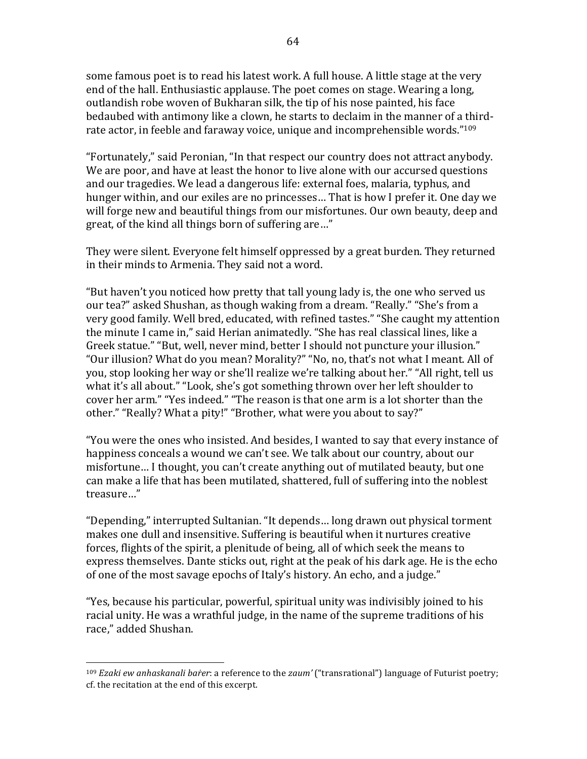some famous poet is to read his latest work. A full house. A little stage at the very end of the hall. Enthusiastic applause. The poet comes on stage. Wearing a long, outlandish robe woven of Bukharan silk, the tip of his nose painted, his face bedaubed with antimony like a clown, he starts to declaim in the manner of a thirdrate actor, in feeble and faraway voice, unique and incomprehensible words."<sup>109</sup>

"Fortunately," said Peronian, "In that respect our country does not attract anybody. We are poor, and have at least the honor to live alone with our accursed questions and our tragedies. We lead a dangerous life: external foes, malaria, typhus, and hunger within, and our exiles are no princesses... That is how I prefer it. One day we will forge new and beautiful things from our misfortunes. Our own beauty, deep and great, of the kind all things born of suffering are..."

They were silent. Everyone felt himself oppressed by a great burden. They returned in their minds to Armenia. They said not a word.

"But haven't you noticed how pretty that tall young lady is, the one who served us our tea?" asked Shushan, as though waking from a dream. "Really." "She's from a very good family. Well bred, educated, with refined tastes." "She caught my attention the minute I came in," said Herian animatedly. "She has real classical lines, like a Greek statue." "But, well, never mind, better I should not puncture your illusion." "Our illusion? What do you mean? Morality?" "No, no, that's not what I meant. All of you, stop looking her way or she'll realize we're talking about her." "All right, tell us what it's all about." "Look, she's got something thrown over her left shoulder to cover her arm." "Yes indeed." "The reason is that one arm is a lot shorter than the other." "Really? What a pity!" "Brother, what were you about to say?"

"You were the ones who insisted. And besides, I wanted to say that every instance of happiness conceals a wound we can't see. We talk about our country, about our misfortune... I thought, you can't create anything out of mutilated beauty, but one can make a life that has been mutilated, shattered, full of suffering into the noblest treasure…"

"Depending," interrupted Sultanian. "It depends... long drawn out physical torment makes one dull and insensitive. Suffering is beautiful when it nurtures creative forces, flights of the spirit, a plenitude of being, all of which seek the means to express themselves. Dante sticks out, right at the peak of his dark age. He is the echo of one of the most savage epochs of Italy's history. An echo, and a judge."

"Yes, because his particular, powerful, spiritual unity was indivisibly joined to his racial unity. He was a wrathful judge, in the name of the supreme traditions of his race," added Shushan.

<sup>&</sup>lt;sup>109</sup> *Ezaki ew anhaskanali baŕer*: a reference to the *zaum'* ("transrational") language of Futurist poetry; cf. the recitation at the end of this excerpt.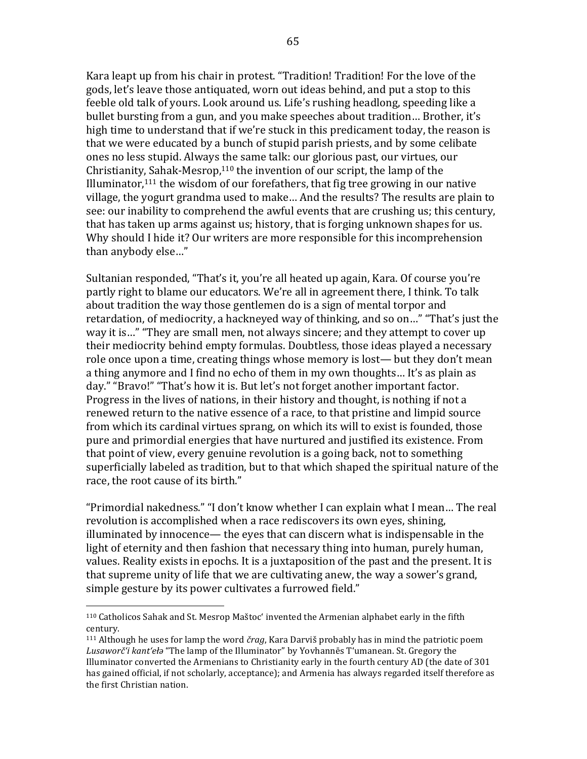Kara leapt up from his chair in protest. "Tradition! Tradition! For the love of the gods, let's leave those antiquated, worn out ideas behind, and put a stop to this feeble old talk of yours. Look around us. Life's rushing headlong, speeding like a bullet bursting from a gun, and you make speeches about tradition... Brother, it's high time to understand that if we're stuck in this predicament today, the reason is that we were educated by a bunch of stupid parish priests, and by some celibate ones no less stupid. Always the same talk: our glorious past, our virtues, our Christianity, Sahak-Mesrop, $110$  the invention of our script, the lamp of the Illuminator, $111$  the wisdom of our forefathers, that fig tree growing in our native village, the yogurt grandma used to make... And the results? The results are plain to see: our inability to comprehend the awful events that are crushing us; this century, that has taken up arms against us; history, that is forging unknown shapes for us. Why should I hide it? Our writers are more responsible for this incomprehension than anybody else..."

Sultanian responded, "That's it, you're all heated up again, Kara. Of course you're partly right to blame our educators. We're all in agreement there, I think. To talk about tradition the way those gentlemen do is a sign of mental torpor and retardation, of mediocrity, a hackneyed way of thinking, and so on..." "That's just the way it is..." "They are small men, not always sincere; and they attempt to cover up their mediocrity behind empty formulas. Doubtless, those ideas played a necessary role once upon a time, creating things whose memory is lost— but they don't mean a thing anymore and I find no echo of them in my own thoughts... It's as plain as day." "Bravo!" "That's how it is. But let's not forget another important factor. Progress in the lives of nations, in their history and thought, is nothing if not a renewed return to the native essence of a race, to that pristine and limpid source from which its cardinal virtues sprang, on which its will to exist is founded, those pure and primordial energies that have nurtured and justified its existence. From that point of view, every genuine revolution is a going back, not to something superficially labeled as tradition, but to that which shaped the spiritual nature of the race, the root cause of its birth."

"Primordial nakedness." "I don't know whether I can explain what I mean... The real revolution is accomplished when a race rediscovers its own eyes, shining, illuminated by innocence— the eyes that can discern what is indispensable in the light of eternity and then fashion that necessary thing into human, purely human, values. Reality exists in epochs. It is a juxtaposition of the past and the present. It is that supreme unity of life that we are cultivating anew, the way a sower's grand, simple gesture by its power cultivates a furrowed field."

<sup>110</sup> Catholicos Sahak and St. Mesrop Maštoc' invented the Armenian alphabet early in the fifth century.

 $111$  Although he uses for lamp the word *črag*, Kara Darviš probably has in mind the patriotic poem Lusaworč'i kant'ełą "The lamp of the Illuminator" by Yovhannēs T'umanean. St. Gregory the Illuminator converted the Armenians to Christianity early in the fourth century AD (the date of  $301$ ) has gained official, if not scholarly, acceptance); and Armenia has always regarded itself therefore as the first Christian nation.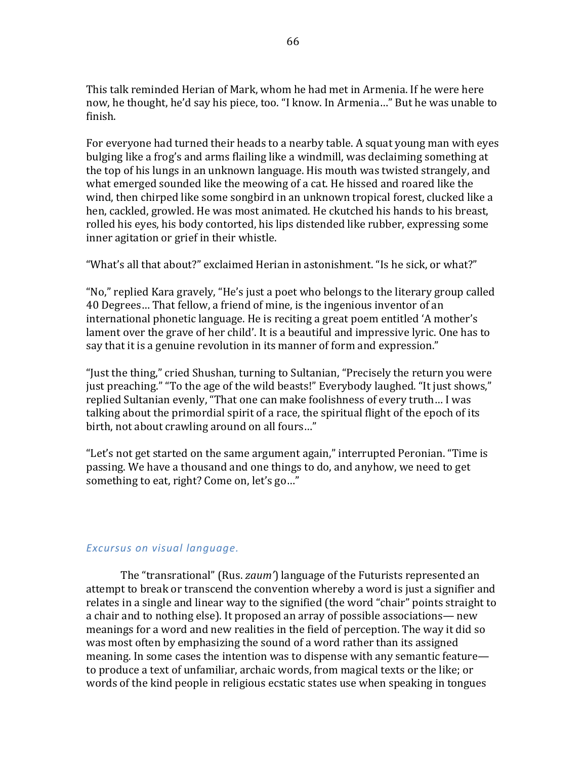This talk reminded Herian of Mark, whom he had met in Armenia. If he were here now, he thought, he'd say his piece, too. "I know. In Armenia..." But he was unable to finish.

For everyone had turned their heads to a nearby table. A squat young man with eyes bulging like a frog's and arms flailing like a windmill, was declaiming something at the top of his lungs in an unknown language. His mouth was twisted strangely, and what emerged sounded like the meowing of a cat. He hissed and roared like the wind, then chirped like some songbird in an unknown tropical forest, clucked like a hen, cackled, growled. He was most animated. He ckutched his hands to his breast, rolled his eyes, his body contorted, his lips distended like rubber, expressing some inner agitation or grief in their whistle.

"What's all that about?" exclaimed Herian in astonishment. "Is he sick, or what?"

"No," replied Kara gravely, "He's just a poet who belongs to the literary group called 40 Degrees... That fellow, a friend of mine, is the ingenious inventor of an international phonetic language. He is reciting a great poem entitled 'A mother's lament over the grave of her child'. It is a beautiful and impressive lyric. One has to say that it is a genuine revolution in its manner of form and expression."

"Just the thing," cried Shushan, turning to Sultanian, "Precisely the return you were just preaching." "To the age of the wild beasts!" Everybody laughed. "It just shows," replied Sultanian evenly, "That one can make foolishness of every truth... I was talking about the primordial spirit of a race, the spiritual flight of the epoch of its birth, not about crawling around on all fours..."

"Let's not get started on the same argument again," interrupted Peronian. "Time is passing. We have a thousand and one things to do, and anyhow, we need to get something to eat, right? Come on, let's go..."

# *Excursus on visual language.*

The "transrational" (Rus. *zaum*) language of the Futurists represented an attempt to break or transcend the convention whereby a word is just a signifier and relates in a single and linear way to the signified (the word "chair" points straight to a chair and to nothing else). It proposed an array of possible associations— new meanings for a word and new realities in the field of perception. The way it did so was most often by emphasizing the sound of a word rather than its assigned meaning. In some cases the intention was to dispense with any semantic feature to produce a text of unfamiliar, archaic words, from magical texts or the like; or words of the kind people in religious ecstatic states use when speaking in tongues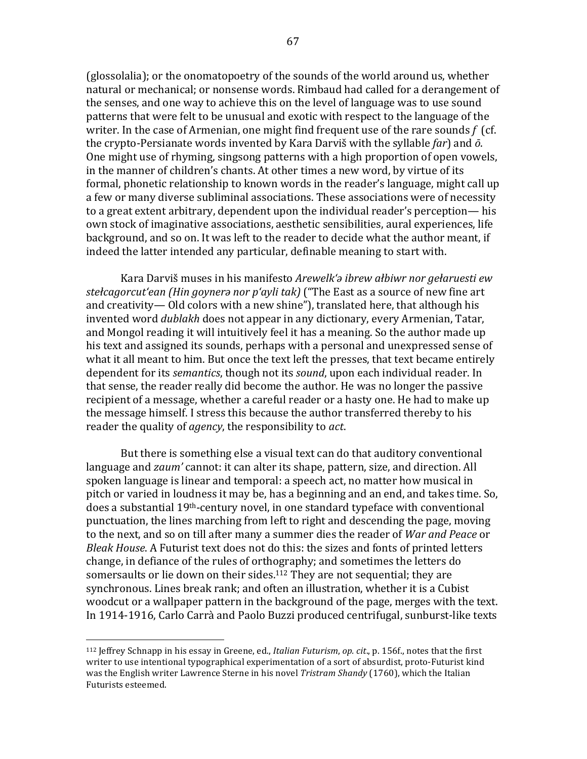(glossolalia); or the onomatopoetry of the sounds of the world around us, whether natural or mechanical; or nonsense words. Rimbaud had called for a derangement of the senses, and one way to achieve this on the level of language was to use sound patterns that were felt to be unusual and exotic with respect to the language of the writer. In the case of Armenian, one might find frequent use of the rare sounds  $f$  (cf. the crypto-Persianate words invented by Kara Darviš with the syllable  $\ell$ ar) and  $\bar{o}$ . One might use of rhyming, singsong patterns with a high proportion of open vowels, in the manner of children's chants. At other times a new word, by virtue of its formal, phonetic relationship to known words in the reader's language, might call up a few or many diverse subliminal associations. These associations were of necessity to a great extent arbitrary, dependent upon the individual reader's perception— his own stock of imaginative associations, aesthetic sensibilities, aural experiences, life background, and so on. It was left to the reader to decide what the author meant, if indeed the latter intended any particular, definable meaning to start with.

Kara Darviš muses in his manifesto *Arewelk'a ibrew ałbiwr nor gełaruesti ew stełcagorcut'ean* (Hin goynera nor p'ayli tak) ("The East as a source of new fine art and creativity— Old colors with a new shine"), translated here, that although his invented word *dublakh* does not appear in any dictionary, every Armenian, Tatar, and Mongol reading it will intuitively feel it has a meaning. So the author made up his text and assigned its sounds, perhaps with a personal and unexpressed sense of what it all meant to him. But once the text left the presses, that text became entirely dependent for its *semantics*, though not its *sound*, upon each individual reader. In that sense, the reader really did become the author. He was no longer the passive recipient of a message, whether a careful reader or a hasty one. He had to make up the message himself. I stress this because the author transferred thereby to his reader the quality of *agency*, the responsibility to *act*.

But there is something else a visual text can do that auditory conventional language and *zaum'* cannot: it can alter its shape, pattern, size, and direction. All spoken language is linear and temporal: a speech act, no matter how musical in pitch or varied in loudness it may be, has a beginning and an end, and takes time. So, does a substantial  $19<sup>th</sup>$ -century novel, in one standard typeface with conventional punctuation, the lines marching from left to right and descending the page, moving to the next, and so on till after many a summer dies the reader of *War and Peace* or *Bleak House*. A Futurist text does not do this: the sizes and fonts of printed letters change, in defiance of the rules of orthography; and sometimes the letters do somersaults or lie down on their sides.<sup>112</sup> They are not sequential; they are synchronous. Lines break rank; and often an illustration, whether it is a Cubist woodcut or a wallpaper pattern in the background of the page, merges with the text. In 1914-1916, Carlo Carrà and Paolo Buzzi produced centrifugal, sunburst-like texts

<sup>&</sup>lt;sup>112</sup> Jeffrey Schnapp in his essay in Greene, ed., *Italian Futurism*, *op. cit.*, p. 156f., notes that the first writer to use intentional typographical experimentation of a sort of absurdist, proto-Futurist kind was the English writer Lawrence Sterne in his novel *Tristram Shandy* (1760), which the Italian Futurists esteemed.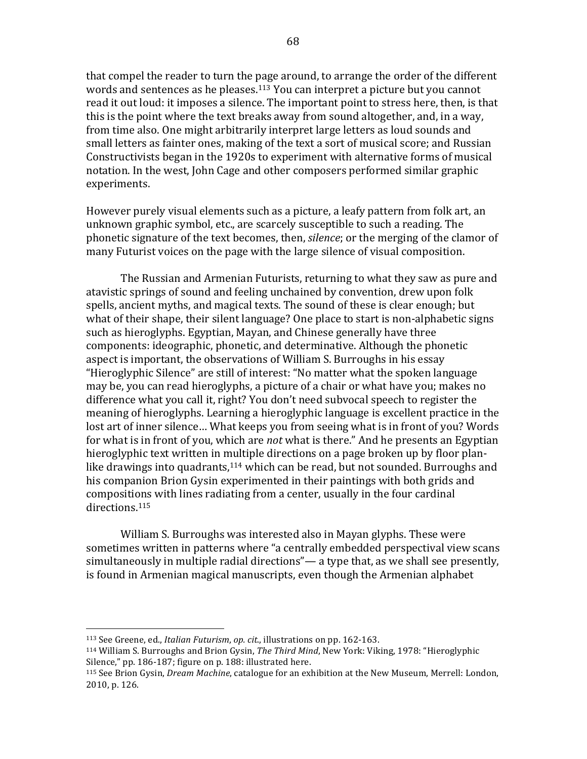that compel the reader to turn the page around, to arrange the order of the different words and sentences as he pleases.<sup>113</sup> You can interpret a picture but you cannot read it out loud: it imposes a silence. The important point to stress here, then, is that this is the point where the text breaks away from sound altogether, and, in a way, from time also. One might arbitrarily interpret large letters as loud sounds and small letters as fainter ones, making of the text a sort of musical score; and Russian Constructivists began in the 1920s to experiment with alternative forms of musical notation. In the west, John Cage and other composers performed similar graphic experiments.

However purely visual elements such as a picture, a leafy pattern from folk art, an unknown graphic symbol, etc., are scarcely susceptible to such a reading. The phonetic signature of the text becomes, then, *silence*; or the merging of the clamor of many Futurist voices on the page with the large silence of visual composition.

The Russian and Armenian Futurists, returning to what they saw as pure and atavistic springs of sound and feeling unchained by convention, drew upon folk spells, ancient myths, and magical texts. The sound of these is clear enough; but what of their shape, their silent language? One place to start is non-alphabetic signs such as hieroglyphs. Egyptian, Mayan, and Chinese generally have three components: ideographic, phonetic, and determinative. Although the phonetic aspect is important, the observations of William S. Burroughs in his essay "Hieroglyphic Silence" are still of interest: "No matter what the spoken language may be, you can read hieroglyphs, a picture of a chair or what have you; makes no difference what you call it, right? You don't need subvocal speech to register the meaning of hieroglyphs. Learning a hieroglyphic language is excellent practice in the lost art of inner silence... What keeps you from seeing what is in front of you? Words for what is in front of you, which are *not* what is there." And he presents an Egyptian hieroglyphic text written in multiple directions on a page broken up by floor planlike drawings into quadrants, $114$  which can be read, but not sounded. Burroughs and his companion Brion Gysin experimented in their paintings with both grids and compositions with lines radiating from a center, usually in the four cardinal directions.<sup>115</sup>

William S. Burroughs was interested also in Mayan glyphs. These were sometimes written in patterns where "a centrally embedded perspectival view scans simultaneously in multiple radial directions"— a type that, as we shall see presently, is found in Armenian magical manuscripts, even though the Armenian alphabet

<sup>&</sup>lt;sup>113</sup> See Greene, ed., *Italian Futurism, op. cit.*, illustrations on pp. 162-163.

<sup>&</sup>lt;sup>114</sup> William S. Burroughs and Brion Gysin, *The Third Mind*, New York: Viking, 1978: "Hieroglyphic Silence," pp. 186-187; figure on p. 188: illustrated here.

<sup>115</sup> See Brion Gysin, *Dream Machine*, catalogue for an exhibition at the New Museum, Merrell: London, 2010, p. 126.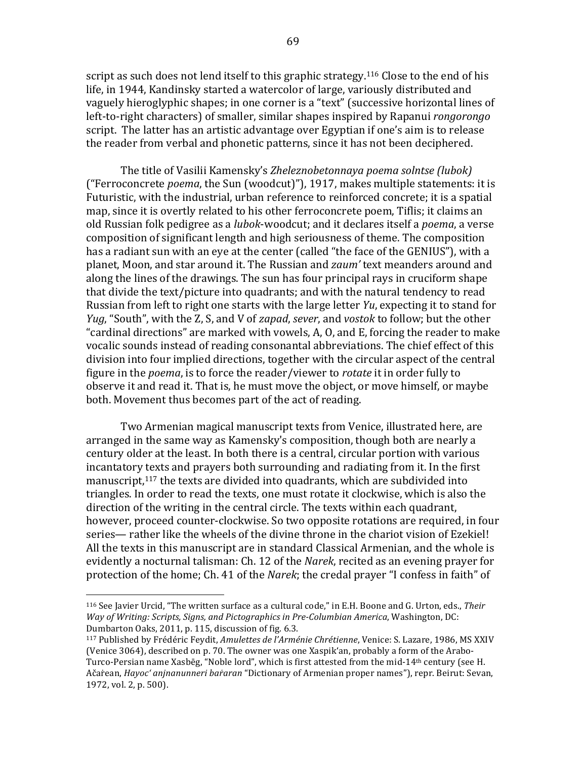script as such does not lend itself to this graphic strategy.<sup>116</sup> Close to the end of his life, in 1944, Kandinsky started a watercolor of large, variously distributed and vaguely hieroglyphic shapes; in one corner is a "text" (successive horizontal lines of left-to-right characters) of smaller, similar shapes inspired by Rapanui *rongorongo* script. The latter has an artistic advantage over Egyptian if one's aim is to release the reader from verbal and phonetic patterns, since it has not been deciphered.

The title of Vasilii Kamensky's *Zheleznobetonnaya poema solntse (lubok)* ("Ferroconcrete *poema*, the Sun (woodcut)"), 1917, makes multiple statements: it is Futuristic, with the industrial, urban reference to reinforced concrete; it is a spatial map, since it is overtly related to his other ferroconcrete poem, Tiflis; it claims an old Russian folk pedigree as a *lubok*-woodcut; and it declares itself a *poema*, a verse composition of significant length and high seriousness of theme. The composition has a radiant sun with an eye at the center (called "the face of the GENIUS"), with a planet, Moon, and star around it. The Russian and *zaum'* text meanders around and along the lines of the drawings. The sun has four principal rays in cruciform shape that divide the text/picture into quadrants; and with the natural tendency to read Russian from left to right one starts with the large letter *Yu*, expecting it to stand for *Yug*, "South", with the Z, S, and V of *zapad*, *sever*, and *vostok* to follow; but the other "cardinal directions" are marked with vowels, A, O, and E, forcing the reader to make vocalic sounds instead of reading consonantal abbreviations. The chief effect of this division into four implied directions, together with the circular aspect of the central figure in the *poema*, is to force the reader/viewer to *rotate* it in order fully to observe it and read it. That is, he must move the object, or move himself, or maybe both. Movement thus becomes part of the act of reading.

Two Armenian magical manuscript texts from Venice, illustrated here, are arranged in the same way as Kamensky's composition, though both are nearly a century older at the least. In both there is a central, circular portion with various incantatory texts and prayers both surrounding and radiating from it. In the first manuscript, $117$  the texts are divided into quadrants, which are subdivided into triangles. In order to read the texts, one must rotate it clockwise, which is also the direction of the writing in the central circle. The texts within each quadrant, however, proceed counter-clockwise. So two opposite rotations are required, in four series— rather like the wheels of the divine throne in the chariot vision of Ezekiel! All the texts in this manuscript are in standard Classical Armenian, and the whole is evidently a nocturnal talisman: Ch. 12 of the *Narek*, recited as an evening prayer for protection of the home; Ch. 41 of the *Narek*; the credal prayer "I confess in faith" of

<sup>116</sup> See Javier Urcid, "The written surface as a cultural code," in E.H. Boone and G. Urton, eds., Their *Way of Writing: Scripts, Signs, and Pictographics in Pre-Columbian America,* Washington, DC: Dumbarton Oaks, 2011, p. 115, discussion of fig. 6.3.

<sup>117</sup> Published by Frédéric Feydit, *Amulettes de l'Arménie Chrétienne*, Venice: S. Lazare, 1986, MS XXIV (Venice 3064), described on p. 70. The owner was one Xaspik'an, probably a form of the Arabo-Turco-Persian name Xasbēg, "Noble lord", which is first attested from the mid-14<sup>th</sup> century (see H. Ačarean, *Hayoc' anjnanunneri bararan* "Dictionary of Armenian proper names"), repr. Beirut: Sevan, 1972, vol. 2, p. 500).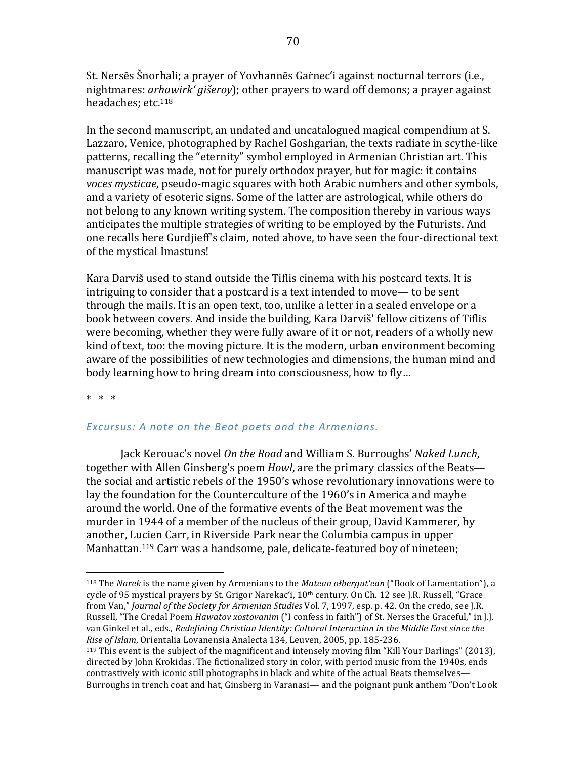St. Nersēs Šnorhali; a prayer of Yovhannēs Garnec'i against nocturnal terrors (i.e., nightmares: *arhawirk' gišeroy*); other prayers to ward off demons; a prayer against headaches: etc.<sup>118</sup>

In the second manuscript, an undated and uncatalogued magical compendium at S. Lazzaro, Venice, photographed by Rachel Goshgarian, the texts radiate in scythe-like patterns, recalling the "eternity" symbol employed in Armenian Christian art. This manuscript was made, not for purely orthodox prayer, but for magic: it contains *voces mysticae*, pseudo-magic squares with both Arabic numbers and other symbols, and a variety of esoteric signs. Some of the latter are astrological, while others do not belong to any known writing system. The composition thereby in various ways anticipates the multiple strategies of writing to be employed by the Futurists. And one recalls here Gurdjieff's claim, noted above, to have seen the four-directional text of the mystical Imastuns!

Kara Darviš used to stand outside the Tiflis cinema with his postcard texts. It is intriguing to consider that a postcard is a text intended to move— to be sent through the mails. It is an open text, too, unlike a letter in a sealed envelope or a book between covers. And inside the building, Kara Darviš' fellow citizens of Tiflis were becoming, whether they were fully aware of it or not, readers of a wholly new kind of text, too: the moving picture. It is the modern, urban environment becoming aware of the possibilities of new technologies and dimensions, the human mind and body learning how to bring dream into consciousness, how to fly...

 $*$   $*$   $*$ 

 

# Excursus: A note on the Beat poets and the Armenians.

Jack Kerouac's novel On the Road and William S. Burroughs' Naked Lunch, together with Allen Ginsberg's poem *Howl*, are the primary classics of the Beats the social and artistic rebels of the 1950's whose revolutionary innovations were to lay the foundation for the Counterculture of the 1960's in America and maybe around the world. One of the formative events of the Beat movement was the murder in 1944 of a member of the nucleus of their group, David Kammerer, by another, Lucien Carr, in Riverside Park near the Columbia campus in upper Manhattan.<sup>119</sup> Carr was a handsome, pale, delicate-featured boy of nineteen;

<sup>&</sup>lt;sup>118</sup> The *Narek* is the name given by Armenians to the *Matean ołbergut'ean* ("Book of Lamentation"), a cycle of 95 mystical prayers by St. Grigor Narekac'i, 10<sup>th</sup> century. On Ch. 12 see J.R. Russell, "Grace from Van," *Journal of the Society for Armenian Studies* Vol. 7, 1997, esp. p. 42. On the credo, see J.R. Russell, "The Credal Poem *Hawatov xostovanim* ("I confess in faith") of St. Nerses the Graceful," in J.J. van Ginkel et al., eds., *Redefining Christian Identity: Cultural Interaction in the Middle East since the Rise of Islam*, Orientalia Lovanensia Analecta 134, Leuven, 2005, pp. 185-236.

<sup>&</sup>lt;sup>119</sup> This event is the subject of the magnificent and intensely moving film "Kill Your Darlings" (2013), directed by John Krokidas. The fictionalized story in color, with period music from the 1940s, ends contrastively with iconic still photographs in black and white of the actual Beats themselves— Burroughs in trench coat and hat, Ginsberg in Varanasi— and the poignant punk anthem "Don't Look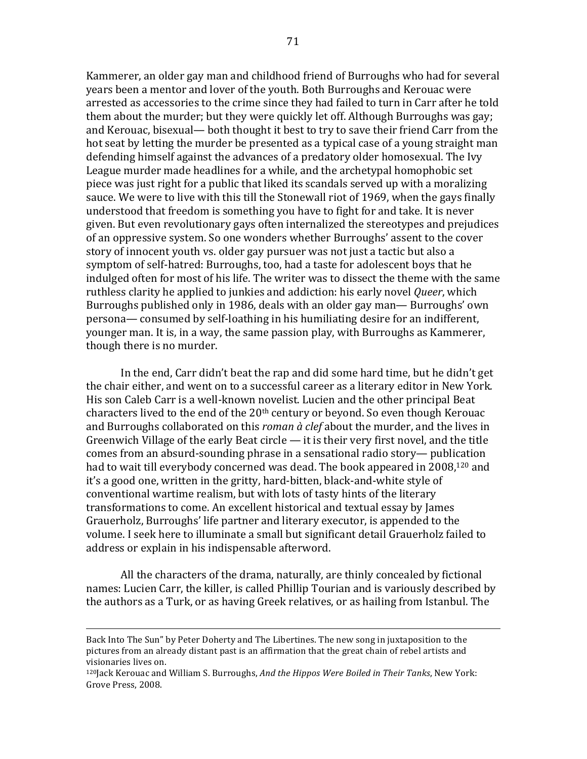Kammerer, an older gay man and childhood friend of Burroughs who had for several years been a mentor and lover of the youth. Both Burroughs and Kerouac were arrested as accessories to the crime since they had failed to turn in Carr after he told them about the murder; but they were quickly let off. Although Burroughs was gay; and Kerouac, bisexual— both thought it best to try to save their friend Carr from the hot seat by letting the murder be presented as a typical case of a young straight man defending himself against the advances of a predatory older homosexual. The Ivy League murder made headlines for a while, and the archetypal homophobic set piece was just right for a public that liked its scandals served up with a moralizing sauce. We were to live with this till the Stonewall riot of 1969, when the gays finally understood that freedom is something you have to fight for and take. It is never given. But even revolutionary gays often internalized the stereotypes and prejudices of an oppressive system. So one wonders whether Burroughs' assent to the cover story of innocent youth vs. older gay pursuer was not just a tactic but also a symptom of self-hatred: Burroughs, too, had a taste for adolescent boys that he indulged often for most of his life. The writer was to dissect the theme with the same ruthless clarity he applied to junkies and addiction: his early novel *Queer*, which Burroughs published only in 1986, deals with an older gay man— Burroughs' own persona— consumed by self-loathing in his humiliating desire for an indifferent, younger man. It is, in a way, the same passion play, with Burroughs as Kammerer, though there is no murder.

In the end, Carr didn't beat the rap and did some hard time, but he didn't get the chair either, and went on to a successful career as a literary editor in New York. His son Caleb Carr is a well-known novelist. Lucien and the other principal Beat characters lived to the end of the  $20<sup>th</sup>$  century or beyond. So even though Kerouac and Burroughs collaborated on this *roman à clef* about the murder, and the lives in Greenwich Village of the early Beat circle  $-$  it is their very first novel, and the title comes from an absurd-sounding phrase in a sensational radio story— publication had to wait till everybody concerned was dead. The book appeared in 2008,<sup>120</sup> and it's a good one, written in the gritty, hard-bitten, black-and-white style of conventional wartime realism, but with lots of tasty hints of the literary transformations to come. An excellent historical and textual essay by James Grauerholz, Burroughs' life partner and literary executor, is appended to the volume. I seek here to illuminate a small but significant detail Grauerholz failed to address or explain in his indispensable afterword.

All the characters of the drama, naturally, are thinly concealed by fictional names: Lucien Carr, the killer, is called Phillip Tourian and is variously described by the authors as a Turk, or as having Greek relatives, or as hailing from Istanbul. The

<u> 1989 - Andrea Santa Andrea Andrea Andrea Andrea Andrea Andrea Andrea Andrea Andrea Andrea Andrea Andrea Andr</u>

Back Into The Sun" by Peter Doherty and The Libertines. The new song in juxtaposition to the pictures from an already distant past is an affirmation that the great chain of rebel artists and visionaries lives on.

<sup>&</sup>lt;sup>120</sup>Jack Kerouac and William S. Burroughs, *And the Hippos Were Boiled in Their Tanks*, New York: Grove Press, 2008.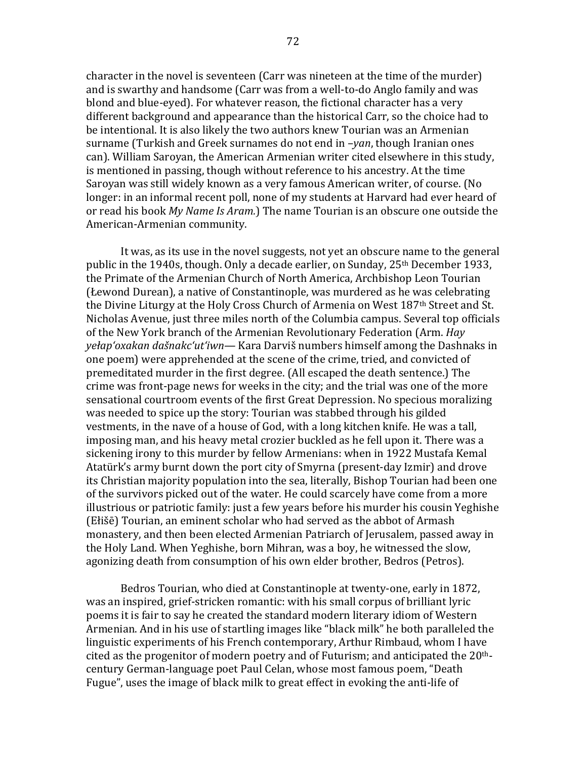character in the novel is seventeen (Carr was nineteen at the time of the murder) and is swarthy and handsome (Carr was from a well-to-do Anglo family and was blond and blue-eyed). For whatever reason, the fictional character has a very different background and appearance than the historical Carr, so the choice had to be intentional. It is also likely the two authors knew Tourian was an Armenian surname (Turkish and Greek surnames do not end in  $-*van*$ , though Iranian ones can). William Saroyan, the American Armenian writer cited elsewhere in this study, is mentioned in passing, though without reference to his ancestry. At the time Saroyan was still widely known as a very famous American writer, of course. (No longer: in an informal recent poll, none of my students at Harvard had ever heard of or read his book *My Name Is Aram.*) The name Tourian is an obscure one outside the American-Armenian community.

It was, as its use in the novel suggests, not yet an obscure name to the general public in the 1940s, though. Only a decade earlier, on Sunday,  $25<sup>th</sup>$  December 1933, the Primate of the Armenian Church of North America, Archbishop Leon Tourian (Łewond Durean), a native of Constantinople, was murdered as he was celebrating the Divine Liturgy at the Holy Cross Church of Armenia on West  $187<sup>th</sup>$  Street and St. Nicholas Avenue, just three miles north of the Columbia campus. Several top officials of the New York branch of the Armenian Revolutionary Federation (Arm. *Hay yełap'oxakan dašnakc'ut'iwn*— Kara Darviš numbers himself among the Dashnaks in one poem) were apprehended at the scene of the crime, tried, and convicted of premeditated murder in the first degree. (All escaped the death sentence.) The crime was front-page news for weeks in the city; and the trial was one of the more sensational courtroom events of the first Great Depression. No specious moralizing was needed to spice up the story: Tourian was stabbed through his gilded vestments, in the nave of a house of God, with a long kitchen knife. He was a tall, imposing man, and his heavy metal crozier buckled as he fell upon it. There was a sickening irony to this murder by fellow Armenians: when in 1922 Mustafa Kemal Atatürk's army burnt down the port city of Smyrna (present-day Izmir) and drove its Christian majority population into the sea, literally, Bishop Tourian had been one of the survivors picked out of the water. He could scarcely have come from a more illustrious or patriotic family: just a few years before his murder his cousin Yeghishe (Ełišē) Tourian, an eminent scholar who had served as the abbot of Armash monastery, and then been elected Armenian Patriarch of Jerusalem, passed away in the Holy Land. When Yeghishe, born Mihran, was a boy, he witnessed the slow, agonizing death from consumption of his own elder brother, Bedros (Petros).

Bedros Tourian, who died at Constantinople at twenty-one, early in 1872, was an inspired, grief-stricken romantic: with his small corpus of brilliant lyric poems it is fair to say he created the standard modern literary idiom of Western Armenian. And in his use of startling images like "black milk" he both paralleled the linguistic experiments of his French contemporary, Arthur Rimbaud, whom I have cited as the progenitor of modern poetry and of Futurism; and anticipated the  $20<sup>th</sup>$ century German-language poet Paul Celan, whose most famous poem, "Death Fugue", uses the image of black milk to great effect in evoking the anti-life of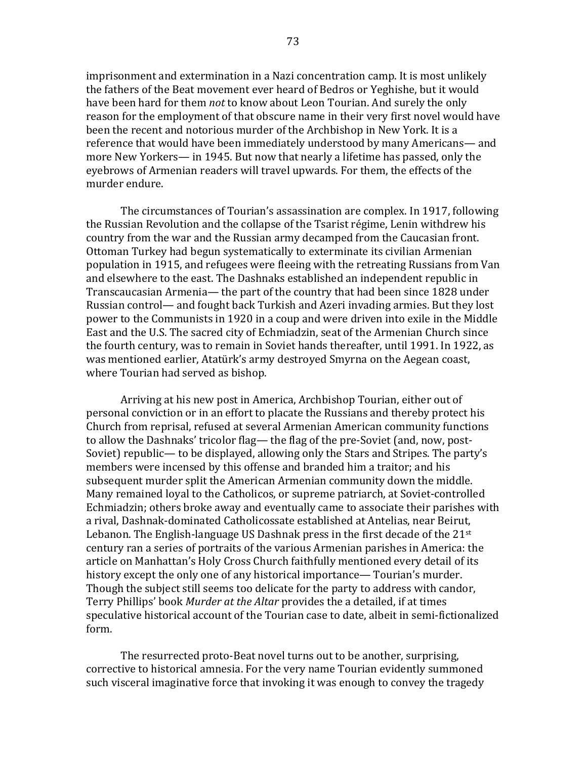imprisonment and extermination in a Nazi concentration camp. It is most unlikely the fathers of the Beat movement ever heard of Bedros or Yeghishe, but it would have been hard for them *not* to know about Leon Tourian. And surely the only reason for the employment of that obscure name in their very first novel would have been the recent and notorious murder of the Archbishop in New York. It is a reference that would have been immediately understood by many Americans— and more New Yorkers— in 1945. But now that nearly a lifetime has passed, only the eyebrows of Armenian readers will travel upwards. For them, the effects of the murder endure.

The circumstances of Tourian's assassination are complex. In 1917, following the Russian Revolution and the collapse of the Tsarist régime, Lenin withdrew his country from the war and the Russian army decamped from the Caucasian front. Ottoman Turkey had begun systematically to exterminate its civilian Armenian population in 1915, and refugees were fleeing with the retreating Russians from Van and elsewhere to the east. The Dashnaks established an independent republic in Transcaucasian Armenia— the part of the country that had been since 1828 under Russian control— and fought back Turkish and Azeri invading armies. But they lost power to the Communists in 1920 in a coup and were driven into exile in the Middle East and the U.S. The sacred city of Echmiadzin, seat of the Armenian Church since the fourth century, was to remain in Soviet hands thereafter, until 1991. In 1922, as was mentioned earlier, Atatürk's army destroyed Smyrna on the Aegean coast, where Tourian had served as bishop.

Arriving at his new post in America, Archbishop Tourian, either out of personal conviction or in an effort to placate the Russians and thereby protect his Church from reprisal, refused at several Armenian American community functions to allow the Dashnaks' tricolor flag— the flag of the pre-Soviet (and, now, post-Soviet) republic— to be displayed, allowing only the Stars and Stripes. The party's members were incensed by this offense and branded him a traitor; and his subsequent murder split the American Armenian community down the middle. Many remained loyal to the Catholicos, or supreme patriarch, at Soviet-controlled Echmiadzin; others broke away and eventually came to associate their parishes with a rival, Dashnak-dominated Catholicossate established at Antelias, near Beirut, Lebanon. The English-language US Dashnak press in the first decade of the  $21^{st}$ century ran a series of portraits of the various Armenian parishes in America: the article on Manhattan's Holy Cross Church faithfully mentioned every detail of its history except the only one of any historical importance— Tourian's murder. Though the subject still seems too delicate for the party to address with candor, Terry Phillips' book *Murder at the Altar* provides the a detailed, if at times speculative historical account of the Tourian case to date, albeit in semi-fictionalized form. 

The resurrected proto-Beat novel turns out to be another, surprising, corrective to historical amnesia. For the very name Tourian evidently summoned such visceral imaginative force that invoking it was enough to convey the tragedy